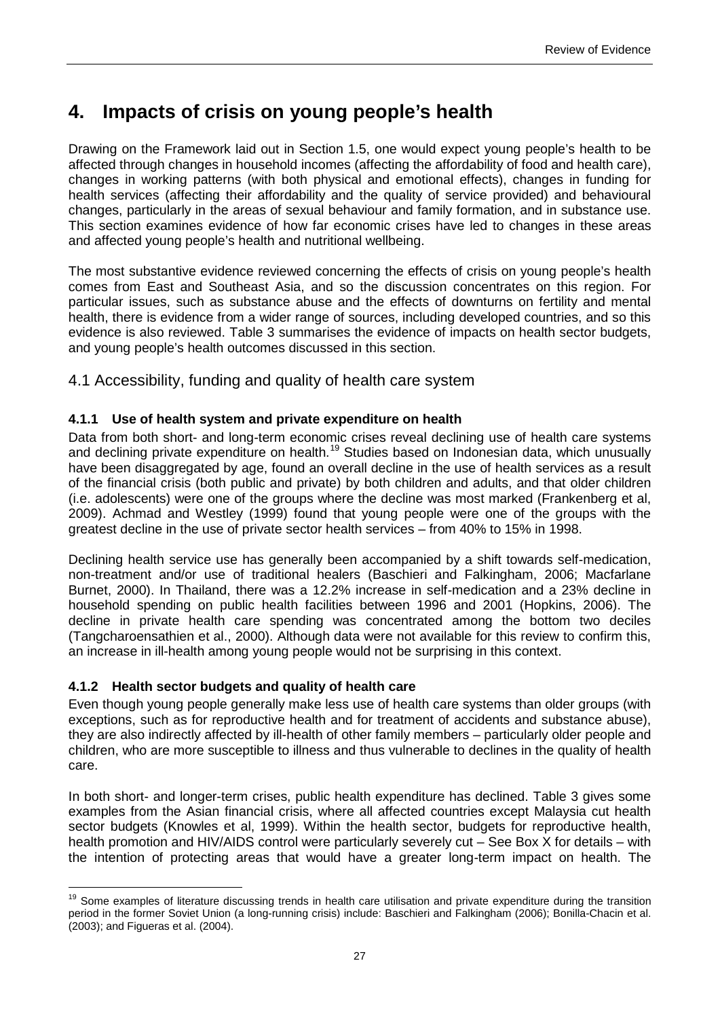# **4. Impacts of crisis on young people's health**

Drawing on the Framework laid out in Section 1.5, one would expect young people's health to be affected through changes in household incomes (affecting the affordability of food and health care), changes in working patterns (with both physical and emotional effects), changes in funding for health services (affecting their affordability and the quality of service provided) and behavioural changes, particularly in the areas of sexual behaviour and family formation, and in substance use. This section examines evidence of how far economic crises have led to changes in these areas and affected young people's health and nutritional wellbeing.

The most substantive evidence reviewed concerning the effects of crisis on young people's health comes from East and Southeast Asia, and so the discussion concentrates on this region. For particular issues, such as substance abuse and the effects of downturns on fertility and mental health, there is evidence from a wider range of sources, including developed countries, and so this evidence is also reviewed. Table 3 summarises the evidence of impacts on health sector budgets, and young people's health outcomes discussed in this section.

4.1 Accessibility, funding and quality of health care system

### **4.1.1 Use of health system and private expenditure on health**

Data from both short- and long-term economic crises reveal declining use of health care systems and declining private expenditure on health.<sup>[19](#page-33-0)</sup> Studies based on Indonesian data, which unusually have been disaggregated by age, found an overall decline in the use of health services as a result of the financial crisis (both public and private) by both children and adults, and that older children (i.e. adolescents) were one of the groups where the decline was most marked (Frankenberg et al, 2009). Achmad and Westley (1999) found that young people were one of the groups with the greatest decline in the use of private sector health services – from 40% to 15% in 1998.

Declining health service use has generally been accompanied by a shift towards self-medication, non-treatment and/or use of traditional healers (Baschieri and Falkingham, 2006; Macfarlane Burnet, 2000). In Thailand, there was a 12.2% increase in self-medication and a 23% decline in household spending on public health facilities between 1996 and 2001 (Hopkins, 2006). The decline in private health care spending was concentrated among the bottom two deciles (Tangcharoensathien et al., 2000). Although data were not available for this review to confirm this, an increase in ill-health among young people would not be surprising in this context.

#### **4.1.2 Health sector budgets and quality of health care**

Even though young people generally make less use of health care systems than older groups (with exceptions, such as for reproductive health and for treatment of accidents and substance abuse), they are also indirectly affected by ill-health of other family members – particularly older people and children, who are more susceptible to illness and thus vulnerable to declines in the quality of health care.

In both short- and longer-term crises, public health expenditure has declined. Table 3 gives some examples from the Asian financial crisis, where all affected countries except Malaysia cut health sector budgets (Knowles et al, 1999). Within the health sector, budgets for reproductive health, health promotion and HIV/AIDS control were particularly severely cut – See Box X for details – with the intention of protecting areas that would have a greater long-term impact on health. The

<span id="page-36-0"></span> $\overline{a}$ <sup>19</sup> Some examples of literature discussing trends in health care utilisation and private expenditure during the transition period in the former Soviet Union (a long-running crisis) include: Baschieri and Falkingham (2006); Bonilla-Chacin et al. (2003); and Figueras et al. (2004).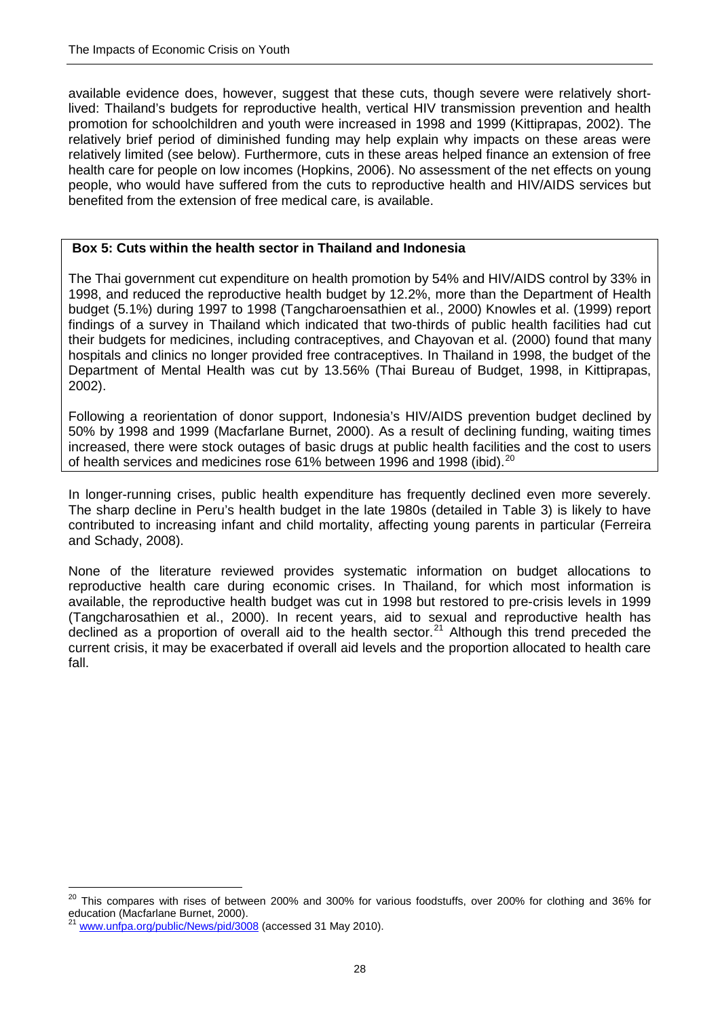available evidence does, however, suggest that these cuts, though severe were relatively shortlived: Thailand's budgets for reproductive health, vertical HIV transmission prevention and health promotion for schoolchildren and youth were increased in 1998 and 1999 (Kittiprapas, 2002). The relatively brief period of diminished funding may help explain why impacts on these areas were relatively limited (see below). Furthermore, cuts in these areas helped finance an extension of free health care for people on low incomes (Hopkins, 2006). No assessment of the net effects on young people, who would have suffered from the cuts to reproductive health and HIV/AIDS services but benefited from the extension of free medical care, is available.

#### **Box 5: Cuts within the health sector in Thailand and Indonesia**

The Thai government cut expenditure on health promotion by 54% and HIV/AIDS control by 33% in 1998, and reduced the reproductive health budget by 12.2%, more than the Department of Health budget (5.1%) during 1997 to 1998 (Tangcharoensathien et al., 2000) Knowles et al. (1999) report findings of a survey in Thailand which indicated that two-thirds of public health facilities had cut their budgets for medicines, including contraceptives, and Chayovan et al. (2000) found that many hospitals and clinics no longer provided free contraceptives. In Thailand in 1998, the budget of the Department of Mental Health was cut by 13.56% (Thai Bureau of Budget, 1998, in Kittiprapas, 2002).

Following a reorientation of donor support, Indonesia's HIV/AIDS prevention budget declined by 50% by 1998 and 1999 (Macfarlane Burnet, 2000). As a result of declining funding, waiting times increased, there were stock outages of basic drugs at public health facilities and the cost to users of health services and medicines rose 61% between 1996 and 1998 (ibid).<sup>[20](#page-36-0)</sup>

In longer-running crises, public health expenditure has frequently declined even more severely. The sharp decline in Peru's health budget in the late 1980s (detailed in Table 3) is likely to have contributed to increasing infant and child mortality, affecting young parents in particular (Ferreira and Schady, 2008).

None of the literature reviewed provides systematic information on budget allocations to reproductive health care during economic crises. In Thailand, for which most information is available, the reproductive health budget was cut in 1998 but restored to pre-crisis levels in 1999 (Tangcharosathien et al., 2000). In recent years, aid to sexual and reproductive health has declined as a proportion of overall aid to the health sector.<sup>[21](#page-37-0)</sup> Although this trend preceded the current crisis, it may be exacerbated if overall aid levels and the proportion allocated to health care fall.

 $\overline{a}$ <sup>20</sup> This compares with rises of between 200% and 300% for various foodstuffs, over 200% for clothing and 36% for education (Macfarlane Burnet, 2000).

<span id="page-37-1"></span><span id="page-37-0"></span>[www.unfpa.org/public/News/pid/3008](http://www.unfpa.org/public/News/pid/3008) (accessed 31 May 2010).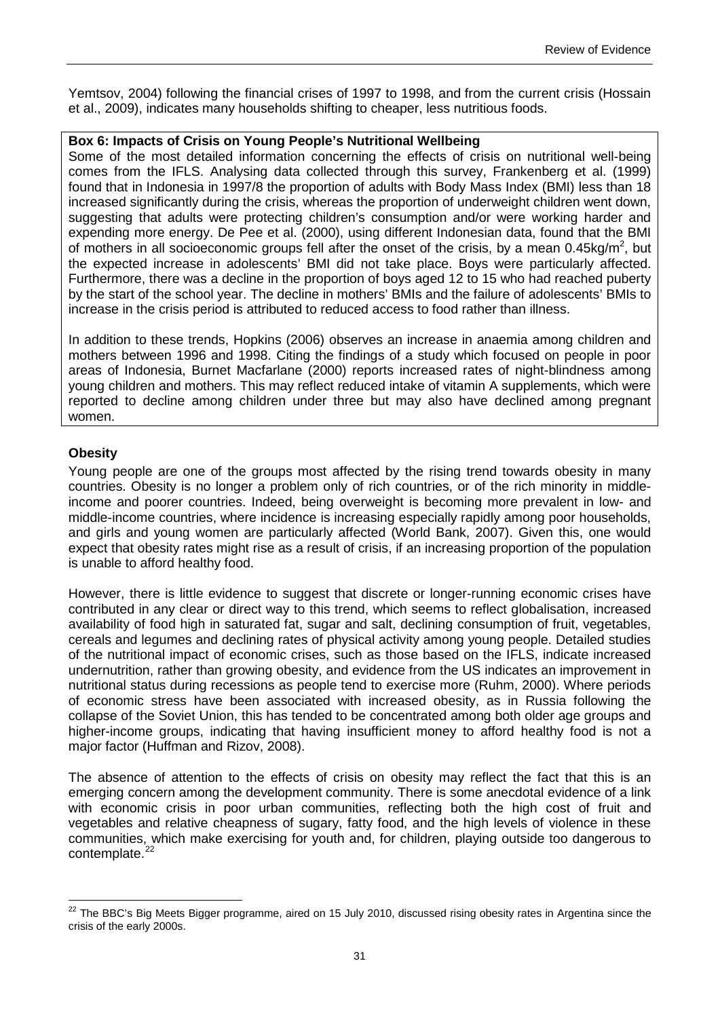Yemtsov, 2004) following the financial crises of 1997 to 1998, and from the current crisis (Hossain et al., 2009), indicates many households shifting to cheaper, less nutritious foods.

#### **Box 6: Impacts of Crisis on Young People's Nutritional Wellbeing**

Some of the most detailed information concerning the effects of crisis on nutritional well-being comes from the IFLS. Analysing data collected through this survey, Frankenberg et al. (1999) found that in Indonesia in 1997/8 the proportion of adults with Body Mass Index (BMI) less than 18 increased significantly during the crisis, whereas the proportion of underweight children went down, suggesting that adults were protecting children's consumption and/or were working harder and expending more energy. De Pee et al. (2000), using different Indonesian data, found that the BMI of mothers in all socioeconomic groups fell after the onset of the crisis, by a mean  $0.45 \text{kg/m}^2$ , but the expected increase in adolescents' BMI did not take place. Boys were particularly affected. Furthermore, there was a decline in the proportion of boys aged 12 to 15 who had reached puberty by the start of the school year. The decline in mothers' BMIs and the failure of adolescents' BMIs to increase in the crisis period is attributed to reduced access to food rather than illness.

In addition to these trends, Hopkins (2006) observes an increase in anaemia among children and mothers between 1996 and 1998. Citing the findings of a study which focused on people in poor areas of Indonesia, Burnet Macfarlane (2000) reports increased rates of night-blindness among young children and mothers. This may reflect reduced intake of vitamin A supplements, which were reported to decline among children under three but may also have declined among pregnant women.

#### **Obesity**

Young people are one of the groups most affected by the rising trend towards obesity in many countries. Obesity is no longer a problem only of rich countries, or of the rich minority in middleincome and poorer countries. Indeed, being overweight is becoming more prevalent in low- and middle-income countries, where incidence is increasing especially rapidly among poor households, and girls and young women are particularly affected (World Bank, 2007). Given this, one would expect that obesity rates might rise as a result of crisis, if an increasing proportion of the population is unable to afford healthy food.

However, there is little evidence to suggest that discrete or longer-running economic crises have contributed in any clear or direct way to this trend, which seems to reflect globalisation, increased availability of food high in saturated fat, sugar and salt, declining consumption of fruit, vegetables, cereals and legumes and declining rates of physical activity among young people. Detailed studies of the nutritional impact of economic crises, such as those based on the IFLS, indicate increased undernutrition, rather than growing obesity, and evidence from the US indicates an improvement in nutritional status during recessions as people tend to exercise more (Ruhm, 2000). Where periods of economic stress have been associated with increased obesity, as in Russia following the collapse of the Soviet Union, this has tended to be concentrated among both older age groups and higher-income groups, indicating that having insufficient money to afford healthy food is not a major factor (Huffman and Rizov, 2008).

The absence of attention to the effects of crisis on obesity may reflect the fact that this is an emerging concern among the development community. There is some anecdotal evidence of a link with economic crisis in poor urban communities, reflecting both the high cost of fruit and vegetables and relative cheapness of sugary, fatty food, and the high levels of violence in these communities, which make exercising for youth and, for children, playing outside too dangerous to contemplate.<sup>22</sup>

<span id="page-40-0"></span> $\overline{a}$  $22$  The BBC's Big Meets Bigger programme, aired on 15 July 2010, discussed rising obesity rates in Argentina since the crisis of the early 2000s.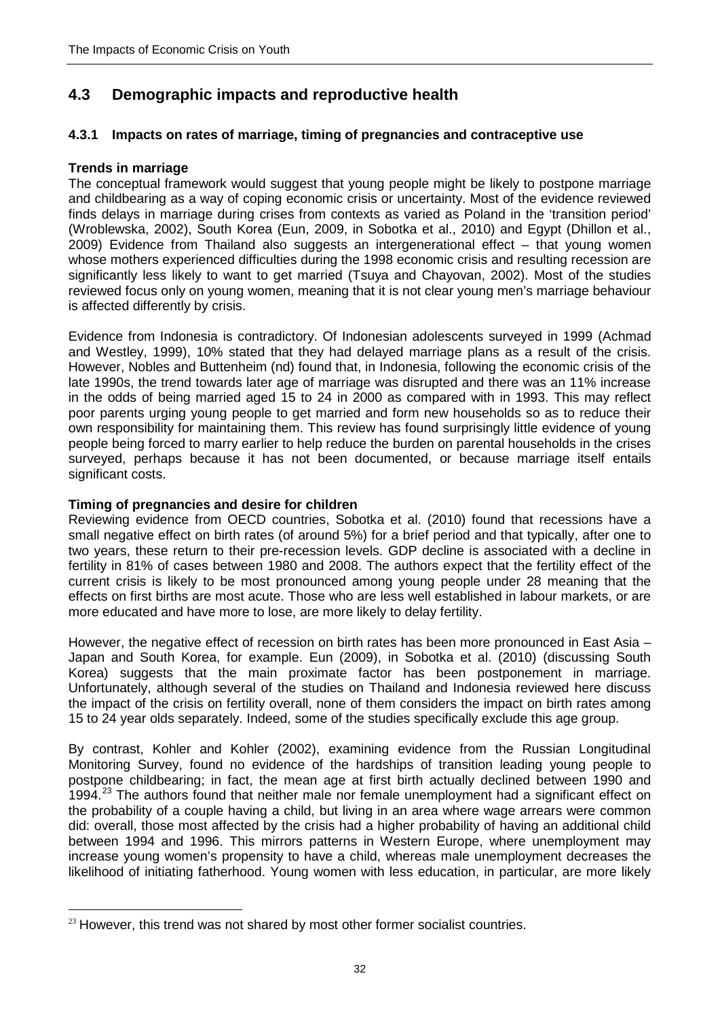# **4.3 Demographic impacts and reproductive health**

## **4.3.1 Impacts on rates of marriage, timing of pregnancies and contraceptive use**

#### **Trends in marriage**

The conceptual framework would suggest that young people might be likely to postpone marriage and childbearing as a way of coping economic crisis or uncertainty. Most of the evidence reviewed finds delays in marriage during crises from contexts as varied as Poland in the 'transition period' (Wroblewska, 2002), South Korea (Eun, 2009, in Sobotka et al., 2010) and Egypt (Dhillon et al., 2009) Evidence from Thailand also suggests an intergenerational effect – that young women whose mothers experienced difficulties during the 1998 economic crisis and resulting recession are significantly less likely to want to get married (Tsuya and Chayovan, 2002). Most of the studies reviewed focus only on young women, meaning that it is not clear young men's marriage behaviour is affected differently by crisis.

Evidence from Indonesia is contradictory. Of Indonesian adolescents surveyed in 1999 (Achmad and Westley, 1999), 10% stated that they had delayed marriage plans as a result of the crisis. However, Nobles and Buttenheim (nd) found that, in Indonesia, following the economic crisis of the late 1990s, the trend towards later age of marriage was disrupted and there was an 11% increase in the odds of being married aged 15 to 24 in 2000 as compared with in 1993. This may reflect poor parents urging young people to get married and form new households so as to reduce their own responsibility for maintaining them. This review has found surprisingly little evidence of young people being forced to marry earlier to help reduce the burden on parental households in the crises surveyed, perhaps because it has not been documented, or because marriage itself entails significant costs.

#### **Timing of pregnancies and desire for children**

Reviewing evidence from OECD countries, Sobotka et al. (2010) found that recessions have a small negative effect on birth rates (of around 5%) for a brief period and that typically, after one to two years, these return to their pre-recession levels. GDP decline is associated with a decline in fertility in 81% of cases between 1980 and 2008. The authors expect that the fertility effect of the current crisis is likely to be most pronounced among young people under 28 meaning that the effects on first births are most acute. Those who are less well established in labour markets, or are more educated and have more to lose, are more likely to delay fertility.

However, the negative effect of recession on birth rates has been more pronounced in East Asia – Japan and South Korea, for example. Eun (2009), in Sobotka et al. (2010) (discussing South Korea) suggests that the main proximate factor has been postponement in marriage. Unfortunately, although several of the studies on Thailand and Indonesia reviewed here discuss the impact of the crisis on fertility overall, none of them considers the impact on birth rates among 15 to 24 year olds separately. Indeed, some of the studies specifically exclude this age group.

By contrast, Kohler and Kohler (2002), examining evidence from the Russian Longitudinal Monitoring Survey, found no evidence of the hardships of transition leading young people to postpone childbearing; in fact, the mean age at first birth actually declined between 1990 and 1994.<sup>[23](#page-40-0)</sup> The authors found that neither male nor female unemployment had a significant effect on the probability of a couple having a child, but living in an area where wage arrears were common did: overall, those most affected by the crisis had a higher probability of having an additional child between 1994 and 1996. This mirrors patterns in Western Europe, where unemployment may increase young women's propensity to have a child, whereas male unemployment decreases the likelihood of initiating fatherhood. Young women with less education, in particular, are more likely

<span id="page-41-0"></span><sup>&</sup>lt;u>.</u>  $23$  However, this trend was not shared by most other former socialist countries.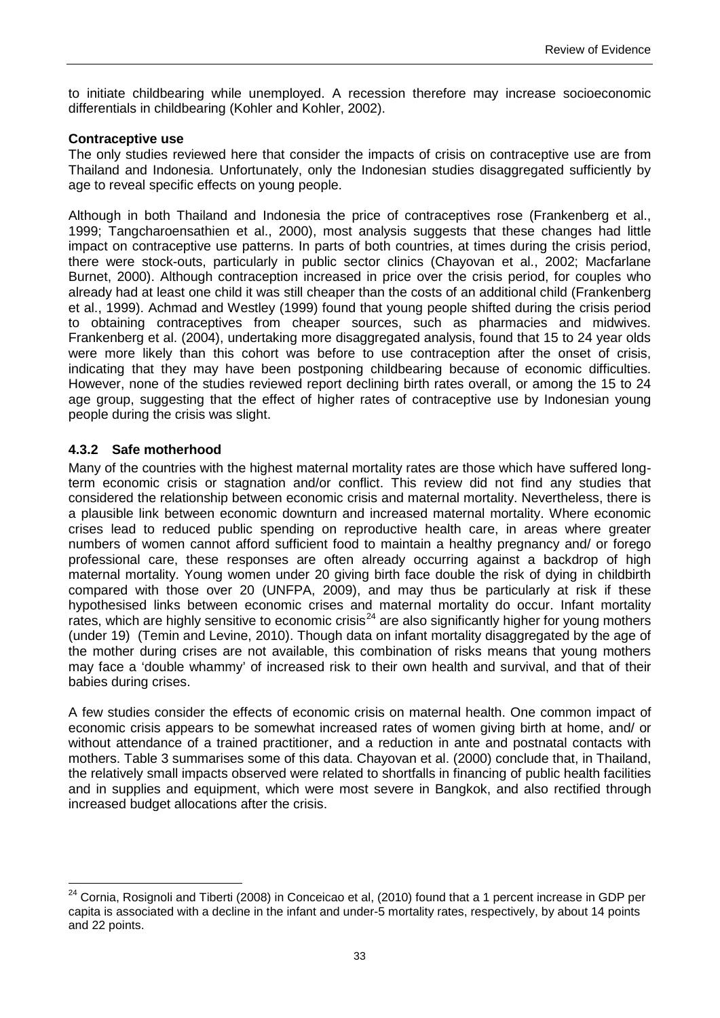to initiate childbearing while unemployed. A recession therefore may increase socioeconomic differentials in childbearing (Kohler and Kohler, 2002).

#### **Contraceptive use**

The only studies reviewed here that consider the impacts of crisis on contraceptive use are from Thailand and Indonesia. Unfortunately, only the Indonesian studies disaggregated sufficiently by age to reveal specific effects on young people.

Although in both Thailand and Indonesia the price of contraceptives rose (Frankenberg et al., 1999; Tangcharoensathien et al., 2000), most analysis suggests that these changes had little impact on contraceptive use patterns. In parts of both countries, at times during the crisis period, there were stock-outs, particularly in public sector clinics (Chayovan et al., 2002; Macfarlane Burnet, 2000). Although contraception increased in price over the crisis period, for couples who already had at least one child it was still cheaper than the costs of an additional child (Frankenberg et al., 1999). Achmad and Westley (1999) found that young people shifted during the crisis period to obtaining contraceptives from cheaper sources, such as pharmacies and midwives. Frankenberg et al. (2004), undertaking more disaggregated analysis, found that 15 to 24 year olds were more likely than this cohort was before to use contraception after the onset of crisis, indicating that they may have been postponing childbearing because of economic difficulties. However, none of the studies reviewed report declining birth rates overall, or among the 15 to 24 age group, suggesting that the effect of higher rates of contraceptive use by Indonesian young people during the crisis was slight.

#### **4.3.2 Safe motherhood**

Many of the countries with the highest maternal mortality rates are those which have suffered longterm economic crisis or stagnation and/or conflict. This review did not find any studies that considered the relationship between economic crisis and maternal mortality. Nevertheless, there is a plausible link between economic downturn and increased maternal mortality. Where economic crises lead to reduced public spending on reproductive health care, in areas where greater numbers of women cannot afford sufficient food to maintain a healthy pregnancy and/ or forego professional care, these responses are often already occurring against a backdrop of high maternal mortality. Young women under 20 giving birth face double the risk of dying in childbirth compared with those over 20 (UNFPA, 2009), and may thus be particularly at risk if these hypothesised links between economic crises and maternal mortality do occur. Infant mortality rates, which are highly sensitive to economic crisis<sup>[24](#page-41-0)</sup> are also significantly higher for young mothers (under 19) (Temin and Levine, 2010). Though data on infant mortality disaggregated by the age of the mother during crises are not available, this combination of risks means that young mothers may face a 'double whammy' of increased risk to their own health and survival, and that of their babies during crises.

A few studies consider the effects of economic crisis on maternal health. One common impact of economic crisis appears to be somewhat increased rates of women giving birth at home, and/ or without attendance of a trained practitioner, and a reduction in ante and postnatal contacts with mothers. Table 3 summarises some of this data. Chayovan et al. (2000) conclude that, in Thailand, the relatively small impacts observed were related to shortfalls in financing of public health facilities and in supplies and equipment, which were most severe in Bangkok, and also rectified through increased budget allocations after the crisis.

<span id="page-42-0"></span> $\overline{a}$ <sup>24</sup> Cornia, Rosignoli and Tiberti (2008) in Conceicao et al, (2010) found that a 1 percent increase in GDP per capita is associated with a decline in the infant and under-5 mortality rates, respectively, by about 14 points and 22 points.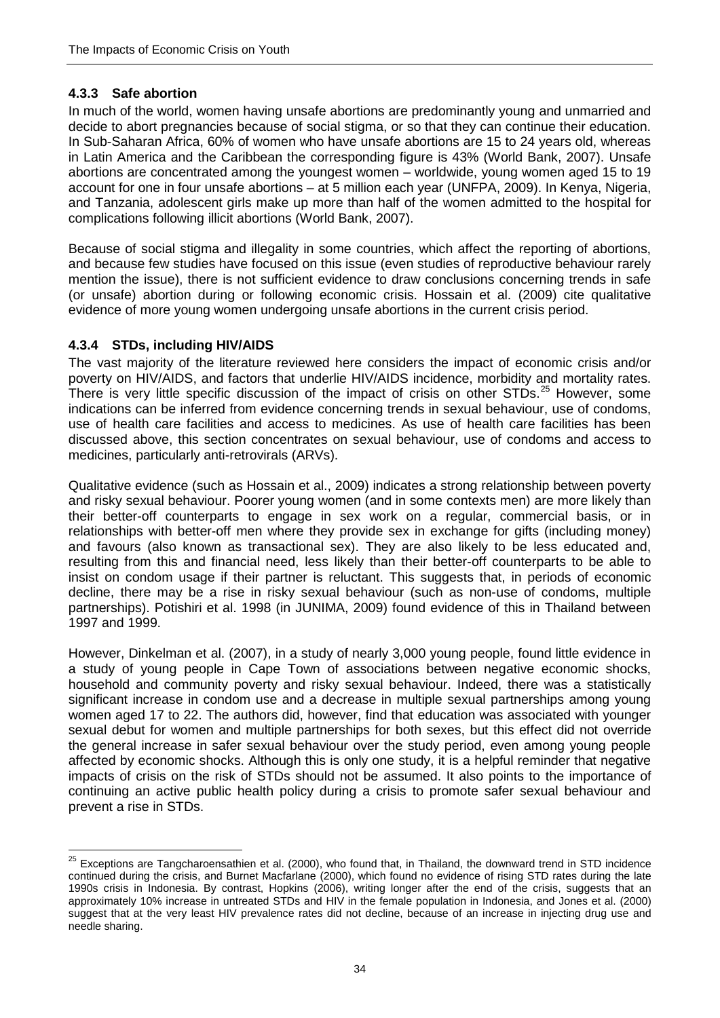## **4.3.3 Safe abortion**

In much of the world, women having unsafe abortions are predominantly young and unmarried and decide to abort pregnancies because of social stigma, or so that they can continue their education. In Sub-Saharan Africa, 60% of women who have unsafe abortions are 15 to 24 years old, whereas in Latin America and the Caribbean the corresponding figure is 43% (World Bank, 2007). Unsafe abortions are concentrated among the youngest women – worldwide, young women aged 15 to 19 account for one in four unsafe abortions – at 5 million each year (UNFPA, 2009). In Kenya, Nigeria, and Tanzania, adolescent girls make up more than half of the women admitted to the hospital for complications following illicit abortions (World Bank, 2007).

Because of social stigma and illegality in some countries, which affect the reporting of abortions, and because few studies have focused on this issue (even studies of reproductive behaviour rarely mention the issue), there is not sufficient evidence to draw conclusions concerning trends in safe (or unsafe) abortion during or following economic crisis. Hossain et al. (2009) cite qualitative evidence of more young women undergoing unsafe abortions in the current crisis period.

### **4.3.4 STDs, including HIV/AIDS**

The vast majority of the literature reviewed here considers the impact of economic crisis and/or poverty on HIV/AIDS, and factors that underlie HIV/AIDS incidence, morbidity and mortality rates. There is very little specific discussion of the impact of crisis on other STDs.<sup>[25](#page-42-0)</sup> However, some indications can be inferred from evidence concerning trends in sexual behaviour, use of condoms, use of health care facilities and access to medicines. As use of health care facilities has been discussed above, this section concentrates on sexual behaviour, use of condoms and access to medicines, particularly anti-retrovirals (ARVs).

Qualitative evidence (such as Hossain et al., 2009) indicates a strong relationship between poverty and risky sexual behaviour. Poorer young women (and in some contexts men) are more likely than their better-off counterparts to engage in sex work on a regular, commercial basis, or in relationships with better-off men where they provide sex in exchange for gifts (including money) and favours (also known as transactional sex). They are also likely to be less educated and, resulting from this and financial need, less likely than their better-off counterparts to be able to insist on condom usage if their partner is reluctant. This suggests that, in periods of economic decline, there may be a rise in risky sexual behaviour (such as non-use of condoms, multiple partnerships). Potishiri et al. 1998 (in JUNIMA, 2009) found evidence of this in Thailand between 1997 and 1999.

However, Dinkelman et al. (2007), in a study of nearly 3,000 young people, found little evidence in a study of young people in Cape Town of associations between negative economic shocks, household and community poverty and risky sexual behaviour. Indeed, there was a statistically significant increase in condom use and a decrease in multiple sexual partnerships among young women aged 17 to 22. The authors did, however, find that education was associated with younger sexual debut for women and multiple partnerships for both sexes, but this effect did not override the general increase in safer sexual behaviour over the study period, even among young people affected by economic shocks. Although this is only one study, it is a helpful reminder that negative impacts of crisis on the risk of STDs should not be assumed. It also points to the importance of continuing an active public health policy during a crisis to promote safer sexual behaviour and prevent a rise in STDs.

<sup>&</sup>lt;u>.</u> <sup>25</sup> Exceptions are Tangcharoensathien et al. (2000), who found that, in Thailand, the downward trend in STD incidence continued during the crisis, and Burnet Macfarlane (2000), which found no evidence of rising STD rates during the late 1990s crisis in Indonesia. By contrast, Hopkins (2006), writing longer after the end of the crisis, suggests that an approximately 10% increase in untreated STDs and HIV in the female population in Indonesia, and Jones et al. (2000) suggest that at the very least HIV prevalence rates did not decline, because of an increase in injecting drug use and needle sharing.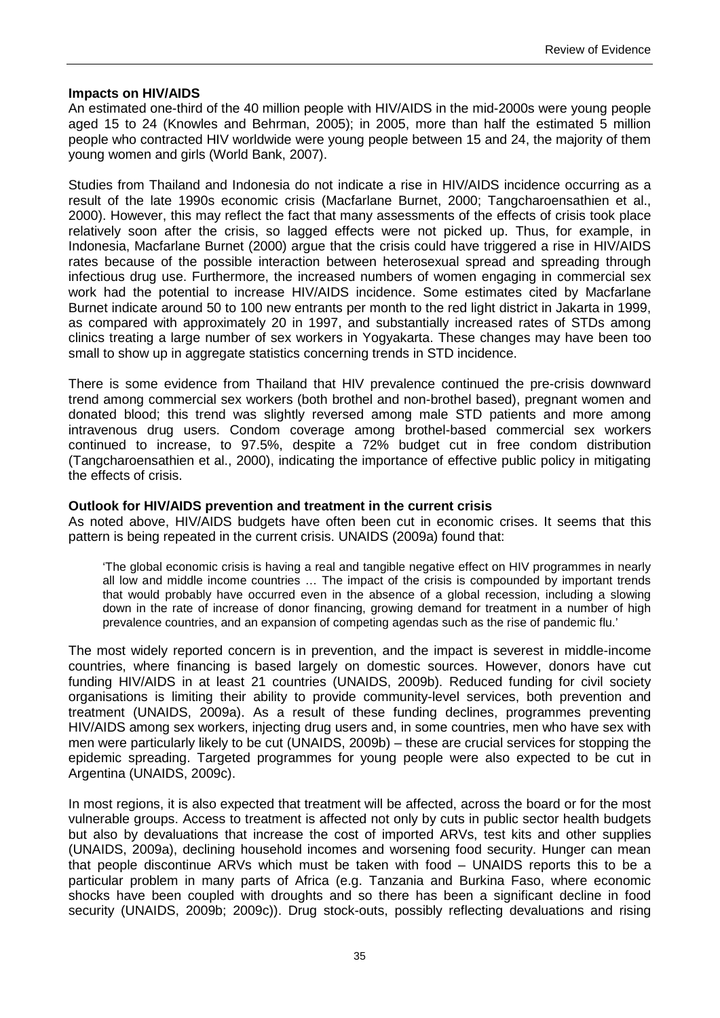#### **Impacts on HIV/AIDS**

An estimated one-third of the 40 million people with HIV/AIDS in the mid-2000s were young people aged 15 to 24 (Knowles and Behrman, 2005); in 2005, more than half the estimated 5 million people who contracted HIV worldwide were young people between 15 and 24, the majority of them young women and girls (World Bank, 2007).

Studies from Thailand and Indonesia do not indicate a rise in HIV/AIDS incidence occurring as a result of the late 1990s economic crisis (Macfarlane Burnet, 2000; Tangcharoensathien et al., 2000). However, this may reflect the fact that many assessments of the effects of crisis took place relatively soon after the crisis, so lagged effects were not picked up. Thus, for example, in Indonesia, Macfarlane Burnet (2000) argue that the crisis could have triggered a rise in HIV/AIDS rates because of the possible interaction between heterosexual spread and spreading through infectious drug use. Furthermore, the increased numbers of women engaging in commercial sex work had the potential to increase HIV/AIDS incidence. Some estimates cited by Macfarlane Burnet indicate around 50 to 100 new entrants per month to the red light district in Jakarta in 1999, as compared with approximately 20 in 1997, and substantially increased rates of STDs among clinics treating a large number of sex workers in Yogyakarta. These changes may have been too small to show up in aggregate statistics concerning trends in STD incidence.

There is some evidence from Thailand that HIV prevalence continued the pre-crisis downward trend among commercial sex workers (both brothel and non-brothel based), pregnant women and donated blood; this trend was slightly reversed among male STD patients and more among intravenous drug users. Condom coverage among brothel-based commercial sex workers continued to increase, to 97.5%, despite a 72% budget cut in free condom distribution (Tangcharoensathien et al., 2000), indicating the importance of effective public policy in mitigating the effects of crisis.

#### **Outlook for HIV/AIDS prevention and treatment in the current crisis**

As noted above, HIV/AIDS budgets have often been cut in economic crises. It seems that this pattern is being repeated in the current crisis. UNAIDS (2009a) found that:

'The global economic crisis is having a real and tangible negative effect on HIV programmes in nearly all low and middle income countries … The impact of the crisis is compounded by important trends that would probably have occurred even in the absence of a global recession, including a slowing down in the rate of increase of donor financing, growing demand for treatment in a number of high prevalence countries, and an expansion of competing agendas such as the rise of pandemic flu.'

The most widely reported concern is in prevention, and the impact is severest in middle-income countries, where financing is based largely on domestic sources. However, donors have cut funding HIV/AIDS in at least 21 countries (UNAIDS, 2009b). Reduced funding for civil society organisations is limiting their ability to provide community-level services, both prevention and treatment (UNAIDS, 2009a). As a result of these funding declines, programmes preventing HIV/AIDS among sex workers, injecting drug users and, in some countries, men who have sex with men were particularly likely to be cut (UNAIDS, 2009b) – these are crucial services for stopping the epidemic spreading. Targeted programmes for young people were also expected to be cut in Argentina (UNAIDS, 2009c).

In most regions, it is also expected that treatment will be affected, across the board or for the most vulnerable groups. Access to treatment is affected not only by cuts in public sector health budgets but also by devaluations that increase the cost of imported ARVs, test kits and other supplies (UNAIDS, 2009a), declining household incomes and worsening food security. Hunger can mean that people discontinue ARVs which must be taken with food – UNAIDS reports this to be a particular problem in many parts of Africa (e.g. Tanzania and Burkina Faso, where economic shocks have been coupled with droughts and so there has been a significant decline in food security (UNAIDS, 2009b; 2009c)). Drug stock-outs, possibly reflecting devaluations and rising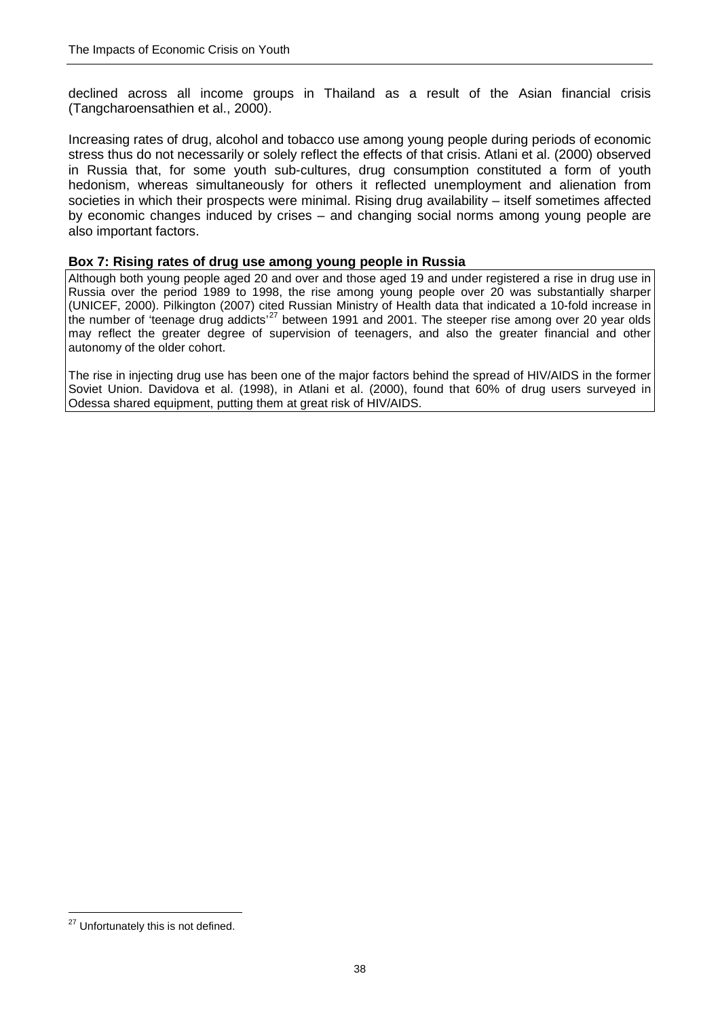declined across all income groups in Thailand as a result of the Asian financial crisis (Tangcharoensathien et al., 2000).

Increasing rates of drug, alcohol and tobacco use among young people during periods of economic stress thus do not necessarily or solely reflect the effects of that crisis. Atlani et al. (2000) observed in Russia that, for some youth sub-cultures, drug consumption constituted a form of youth hedonism, whereas simultaneously for others it reflected unemployment and alienation from societies in which their prospects were minimal. Rising drug availability – itself sometimes affected by economic changes induced by crises – and changing social norms among young people are also important factors.

#### **Box 7: Rising rates of drug use among young people in Russia**

Although both young people aged 20 and over and those aged 19 and under registered a rise in drug use in Russia over the period 1989 to 1998, the rise among young people over 20 was substantially sharper (UNICEF, 2000). Pilkington (2007) cited Russian Ministry of Health data that indicated a 10-fold increase in the number of 'teenage drug addicts'<sup>[27](#page-46-0)</sup> between 1991 and 2001. The steeper rise among over 20 year olds may reflect the greater degree of supervision of teenagers, and also the greater financial and other autonomy of the older cohort.

The rise in injecting drug use has been one of the major factors behind the spread of HIV/AIDS in the former Soviet Union. Davidova et al. (1998), in Atlani et al. (2000), found that 60% of drug users surveyed in Odessa shared equipment, putting them at great risk of HIV/AIDS.

<span id="page-47-0"></span><u>.</u>

<sup>&</sup>lt;sup>27</sup> Unfortunately this is not defined.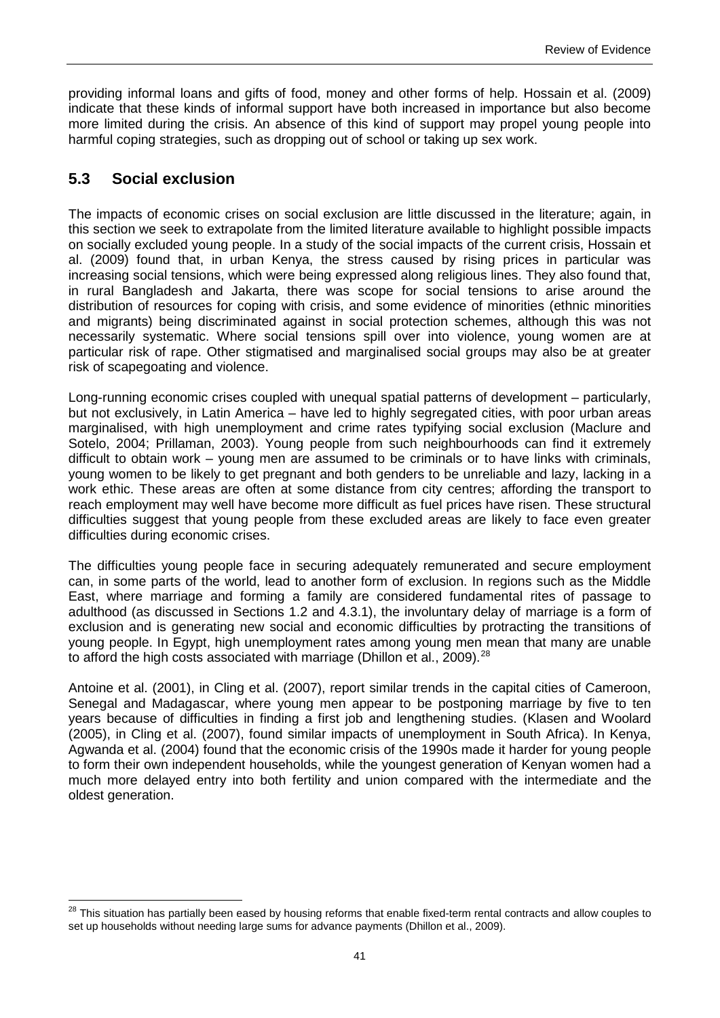providing informal loans and gifts of food, money and other forms of help. Hossain et al. (2009) indicate that these kinds of informal support have both increased in importance but also become more limited during the crisis. An absence of this kind of support may propel young people into harmful coping strategies, such as dropping out of school or taking up sex work.

# **5.3 Social exclusion**

<span id="page-50-0"></span> $\overline{a}$ 

The impacts of economic crises on social exclusion are little discussed in the literature; again, in this section we seek to extrapolate from the limited literature available to highlight possible impacts on socially excluded young people. In a study of the social impacts of the current crisis, Hossain et al. (2009) found that, in urban Kenya, the stress caused by rising prices in particular was increasing social tensions, which were being expressed along religious lines. They also found that, in rural Bangladesh and Jakarta, there was scope for social tensions to arise around the distribution of resources for coping with crisis, and some evidence of minorities (ethnic minorities and migrants) being discriminated against in social protection schemes, although this was not necessarily systematic. Where social tensions spill over into violence, young women are at particular risk of rape. Other stigmatised and marginalised social groups may also be at greater risk of scapegoating and violence.

Long-running economic crises coupled with unequal spatial patterns of development – particularly, but not exclusively, in Latin America – have led to highly segregated cities, with poor urban areas marginalised, with high unemployment and crime rates typifying social exclusion (Maclure and Sotelo, 2004; Prillaman, 2003). Young people from such neighbourhoods can find it extremely difficult to obtain work – young men are assumed to be criminals or to have links with criminals, young women to be likely to get pregnant and both genders to be unreliable and lazy, lacking in a work ethic. These areas are often at some distance from city centres; affording the transport to reach employment may well have become more difficult as fuel prices have risen. These structural difficulties suggest that young people from these excluded areas are likely to face even greater difficulties during economic crises.

The difficulties young people face in securing adequately remunerated and secure employment can, in some parts of the world, lead to another form of exclusion. In regions such as the Middle East, where marriage and forming a family are considered fundamental rites of passage to adulthood (as discussed in Sections 1.2 and 4.3.1), the involuntary delay of marriage is a form of exclusion and is generating new social and economic difficulties by protracting the transitions of young people. In Egypt, high unemployment rates among young men mean that many are unable to afford the high costs associated with marriage (Dhillon et al., 2009).<sup>[28](#page-47-0)</sup>

Antoine et al. (2001), in Cling et al. (2007), report similar trends in the capital cities of Cameroon, Senegal and Madagascar, where young men appear to be postponing marriage by five to ten years because of difficulties in finding a first job and lengthening studies. (Klasen and Woolard (2005), in Cling et al. (2007), found similar impacts of unemployment in South Africa). In Kenya, Agwanda et al. (2004) found that the economic crisis of the 1990s made it harder for young people to form their own independent households, while the youngest generation of Kenyan women had a much more delayed entry into both fertility and union compared with the intermediate and the oldest generation.

<sup>&</sup>lt;sup>28</sup> This situation has partially been eased by housing reforms that enable fixed-term rental contracts and allow couples to set up households without needing large sums for advance payments (Dhillon et al., 2009).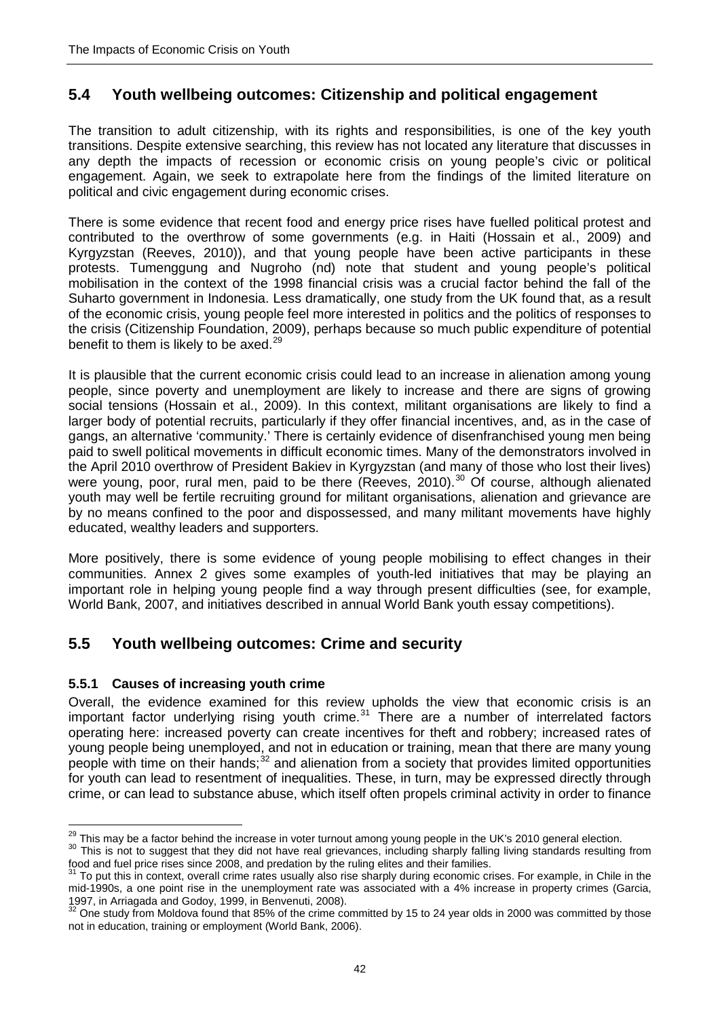# **5.4 Youth wellbeing outcomes: Citizenship and political engagement**

The transition to adult citizenship, with its rights and responsibilities, is one of the key youth transitions. Despite extensive searching, this review has not located any literature that discusses in any depth the impacts of recession or economic crisis on young people's civic or political engagement. Again, we seek to extrapolate here from the findings of the limited literature on political and civic engagement during economic crises.

There is some evidence that recent food and energy price rises have fuelled political protest and contributed to the overthrow of some governments (e.g. in Haiti (Hossain et al., 2009) and Kyrgyzstan (Reeves, 2010)), and that young people have been active participants in these protests. Tumenggung and Nugroho (nd) note that student and young people's political mobilisation in the context of the 1998 financial crisis was a crucial factor behind the fall of the Suharto government in Indonesia. Less dramatically, one study from the UK found that, as a result of the economic crisis, young people feel more interested in politics and the politics of responses to the crisis (Citizenship Foundation, 2009), perhaps because so much public expenditure of potential benefit to them is likely to be axed. $29$ 

It is plausible that the current economic crisis could lead to an increase in alienation among young people, since poverty and unemployment are likely to increase and there are signs of growing social tensions (Hossain et al., 2009). In this context, militant organisations are likely to find a larger body of potential recruits, particularly if they offer financial incentives, and, as in the case of gangs, an alternative 'community.' There is certainly evidence of disenfranchised young men being paid to swell political movements in difficult economic times. Many of the demonstrators involved in the April 2010 overthrow of President Bakiev in Kyrgyzstan (and many of those who lost their lives) were young, poor, rural men, paid to be there (Reeves, 2010).<sup>[30](#page-51-0)</sup> Of course, although alienated youth may well be fertile recruiting ground for militant organisations, alienation and grievance are by no means confined to the poor and dispossessed, and many militant movements have highly educated, wealthy leaders and supporters.

More positively, there is some evidence of young people mobilising to effect changes in their communities. Annex 2 gives some examples of youth-led initiatives that may be playing an important role in helping young people find a way through present difficulties (see, for example, World Bank, 2007, and initiatives described in annual World Bank youth essay competitions).

# **5.5 Youth wellbeing outcomes: Crime and security**

## **5.5.1 Causes of increasing youth crime**

Overall, the evidence examined for this review upholds the view that economic crisis is an important factor underlying rising youth crime.<sup>[31](#page-51-1)</sup> There are a number of interrelated factors operating here: increased poverty can create incentives for theft and robbery; increased rates of young people being unemployed, and not in education or training, mean that there are many young people with time on their hands; $32$  and alienation from a society that provides limited opportunities for youth can lead to resentment of inequalities. These, in turn, may be expressed directly through crime, or can lead to substance abuse, which itself often propels criminal activity in order to finance

<sup>&</sup>lt;sup>29</sup> This mav be a factor behind the increase in voter turnout among young people in the UK's 2010 general election.

<span id="page-51-0"></span><sup>&</sup>lt;sup>30</sup> This is not to suggest that they did not have real grievances, including sharply falling living standards resulting from food and fuel price rises since 2008, and predation by the ruling elites and their families.

<span id="page-51-1"></span><sup>31</sup> To put this in context, overall crime rates usually also rise sharply during economic crises. For example, in Chile in the mid-1990s, a one point rise in the unemployment rate was associated with a 4% increase in property crimes (Garcia,

<span id="page-51-2"></span><sup>1997,</sup> in Arriagada and Godoy, 1999, in Benvenuti, 2008).<br><sup>32</sup> One study from Moldova found that 85% of the crime committed by 15 to 24 year olds in 2000 was committed by those not in education, training or employment (World Bank, 2006).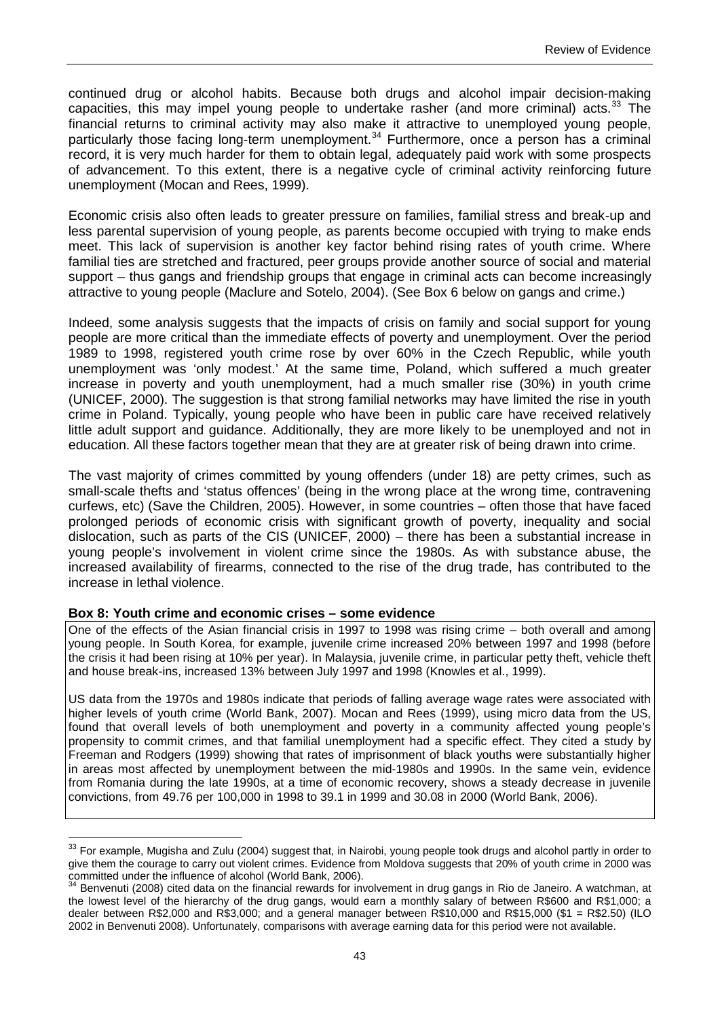continued drug or alcohol habits. Because both drugs and alcohol impair decision-making capacities, this may impel young people to undertake rasher (and more criminal) acts.<sup>[33](#page-51-0)</sup> The financial returns to criminal activity may also make it attractive to unemployed young people, particularly those facing long-term unemployment.<sup>[34](#page-52-0)</sup> Furthermore, once a person has a criminal record, it is very much harder for them to obtain legal, adequately paid work with some prospects of advancement. To this extent, there is a negative cycle of criminal activity reinforcing future unemployment (Mocan and Rees, 1999).

Economic crisis also often leads to greater pressure on families, familial stress and break-up and less parental supervision of young people, as parents become occupied with trying to make ends meet. This lack of supervision is another key factor behind rising rates of youth crime. Where familial ties are stretched and fractured, peer groups provide another source of social and material support – thus gangs and friendship groups that engage in criminal acts can become increasingly attractive to young people (Maclure and Sotelo, 2004). (See Box 6 below on gangs and crime.)

Indeed, some analysis suggests that the impacts of crisis on family and social support for young people are more critical than the immediate effects of poverty and unemployment. Over the period 1989 to 1998, registered youth crime rose by over 60% in the Czech Republic, while youth unemployment was 'only modest.' At the same time, Poland, which suffered a much greater increase in poverty and youth unemployment, had a much smaller rise (30%) in youth crime (UNICEF, 2000). The suggestion is that strong familial networks may have limited the rise in youth crime in Poland. Typically, young people who have been in public care have received relatively little adult support and guidance. Additionally, they are more likely to be unemployed and not in education. All these factors together mean that they are at greater risk of being drawn into crime.

The vast majority of crimes committed by young offenders (under 18) are petty crimes, such as small-scale thefts and 'status offences' (being in the wrong place at the wrong time, contravening curfews, etc) (Save the Children, 2005). However, in some countries – often those that have faced prolonged periods of economic crisis with significant growth of poverty, inequality and social dislocation, such as parts of the CIS (UNICEF, 2000) – there has been a substantial increase in young people's involvement in violent crime since the 1980s. As with substance abuse, the increased availability of firearms, connected to the rise of the drug trade, has contributed to the increase in lethal violence.

#### **Box 8: Youth crime and economic crises – some evidence**

<u>.</u>

One of the effects of the Asian financial crisis in 1997 to 1998 was rising crime – both overall and among young people. In South Korea, for example, juvenile crime increased 20% between 1997 and 1998 (before the crisis it had been rising at 10% per year). In Malaysia, juvenile crime, in particular petty theft, vehicle theft and house break-ins, increased 13% between July 1997 and 1998 (Knowles et al., 1999).

US data from the 1970s and 1980s indicate that periods of falling average wage rates were associated with higher levels of youth crime (World Bank, 2007). Mocan and Rees (1999), using micro data from the US, found that overall levels of both unemployment and poverty in a community affected young people's propensity to commit crimes, and that familial unemployment had a specific effect. They cited a study by Freeman and Rodgers (1999) showing that rates of imprisonment of black youths were substantially higher in areas most affected by unemployment between the mid-1980s and 1990s. In the same vein, evidence from Romania during the late 1990s, at a time of economic recovery, shows a steady decrease in juvenile convictions, from 49.76 per 100,000 in 1998 to 39.1 in 1999 and 30.08 in 2000 (World Bank, 2006).

<sup>&</sup>lt;sup>33</sup> For example, Mugisha and Zulu (2004) suggest that, in Nairobi, young people took drugs and alcohol partly in order to give them the courage to carry out violent crimes. Evidence from Moldova suggests that 20% of youth crime in 2000 was committed under the influence of alcohol (World Bank, 2006).

<span id="page-52-1"></span><span id="page-52-0"></span><sup>34</sup> Benvenuti (2008) cited data on the financial rewards for involvement in drug gangs in Rio de Janeiro. A watchman, at the lowest level of the hierarchy of the drug gangs, would earn a monthly salary of between R\$600 and R\$1,000; a dealer between R\$2,000 and R\$3,000; and a general manager between R\$10,000 and R\$15,000 (\$1 = R\$2.50) (ILO 2002 in Benvenuti 2008). Unfortunately, comparisons with average earning data for this period were not available.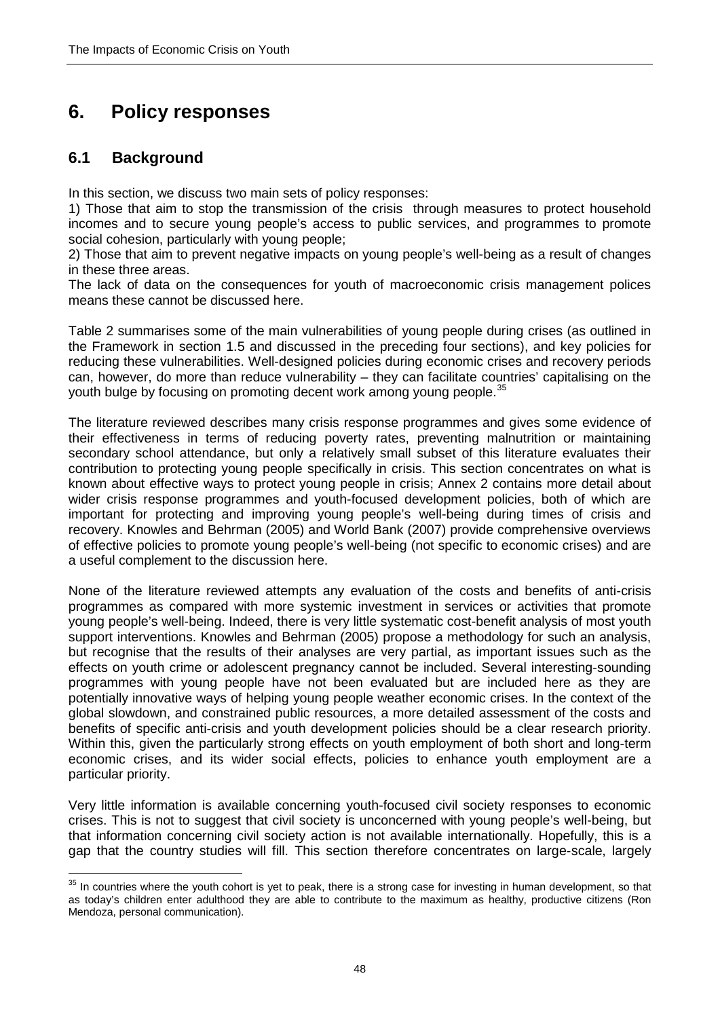# **6. Policy responses**

# **6.1 Background**

In this section, we discuss two main sets of policy responses:

1) Those that aim to stop the transmission of the crisis through measures to protect household incomes and to secure young people's access to public services, and programmes to promote social cohesion, particularly with young people;

2) Those that aim to prevent negative impacts on young people's well-being as a result of changes in these three areas.

The lack of data on the consequences for youth of macroeconomic crisis management polices means these cannot be discussed here.

Table 2 summarises some of the main vulnerabilities of young people during crises (as outlined in the Framework in section 1.5 and discussed in the preceding four sections), and key policies for reducing these vulnerabilities. Well-designed policies during economic crises and recovery periods can, however, do more than reduce vulnerability – they can facilitate countries' capitalising on the youth bulge by focusing on promoting decent work among young people.<sup>[35](#page-52-1)</sup>

The literature reviewed describes many crisis response programmes and gives some evidence of their effectiveness in terms of reducing poverty rates, preventing malnutrition or maintaining secondary school attendance, but only a relatively small subset of this literature evaluates their contribution to protecting young people specifically in crisis. This section concentrates on what is known about effective ways to protect young people in crisis; Annex 2 contains more detail about wider crisis response programmes and youth-focused development policies, both of which are important for protecting and improving young people's well-being during times of crisis and recovery. Knowles and Behrman (2005) and World Bank (2007) provide comprehensive overviews of effective policies to promote young people's well-being (not specific to economic crises) and are a useful complement to the discussion here.

None of the literature reviewed attempts any evaluation of the costs and benefits of anti-crisis programmes as compared with more systemic investment in services or activities that promote young people's well-being. Indeed, there is very little systematic cost-benefit analysis of most youth support interventions. Knowles and Behrman (2005) propose a methodology for such an analysis, but recognise that the results of their analyses are very partial, as important issues such as the effects on youth crime or adolescent pregnancy cannot be included. Several interesting-sounding programmes with young people have not been evaluated but are included here as they are potentially innovative ways of helping young people weather economic crises. In the context of the global slowdown, and constrained public resources, a more detailed assessment of the costs and benefits of specific anti-crisis and youth development policies should be a clear research priority. Within this, given the particularly strong effects on youth employment of both short and long-term economic crises, and its wider social effects, policies to enhance youth employment are a particular priority.

Very little information is available concerning youth-focused civil society responses to economic crises. This is not to suggest that civil society is unconcerned with young people's well-being, but that information concerning civil society action is not available internationally. Hopefully, this is a gap that the country studies will fill. This section therefore concentrates on large-scale, largely

<span id="page-57-0"></span> $\overline{a}$ <sup>35</sup> In countries where the youth cohort is yet to peak, there is a strong case for investing in human development, so that as today's children enter adulthood they are able to contribute to the maximum as healthy, productive citizens (Ron Mendoza, personal communication).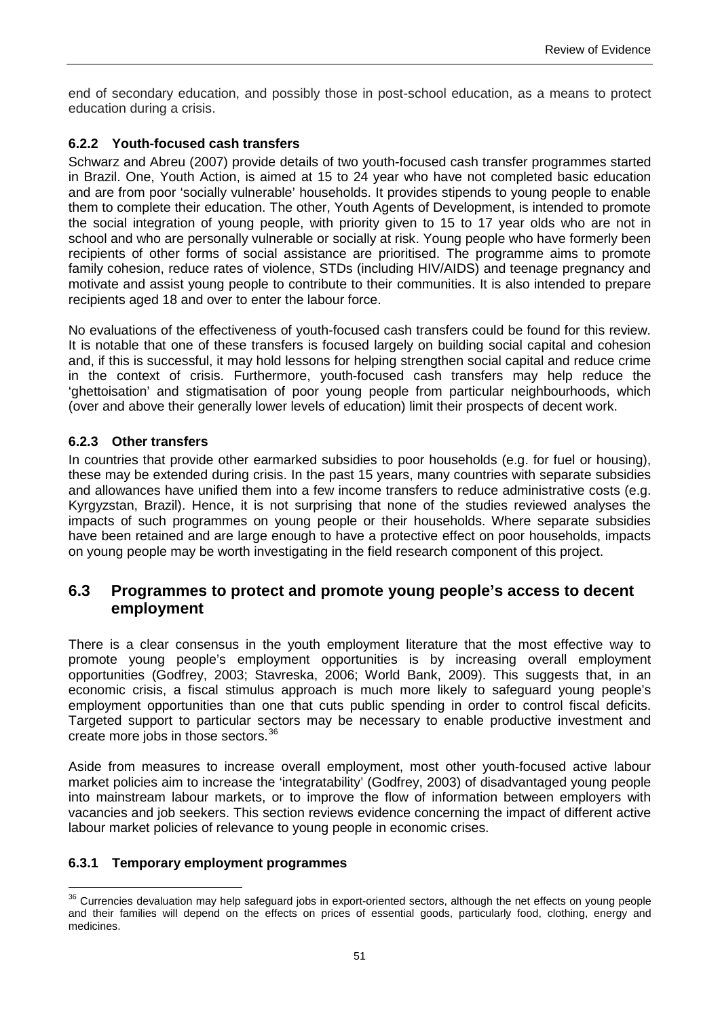end of secondary education, and possibly those in post-school education, as a means to protect education during a crisis.

## **6.2.2 Youth-focused cash transfers**

Schwarz and Abreu (2007) provide details of two youth-focused cash transfer programmes started in Brazil. One, Youth Action, is aimed at 15 to 24 year who have not completed basic education and are from poor 'socially vulnerable' households. It provides stipends to young people to enable them to complete their education. The other, Youth Agents of Development, is intended to promote the social integration of young people, with priority given to 15 to 17 year olds who are not in school and who are personally vulnerable or socially at risk. Young people who have formerly been recipients of other forms of social assistance are prioritised. The programme aims to promote family cohesion, reduce rates of violence, STDs (including HIV/AIDS) and teenage pregnancy and motivate and assist young people to contribute to their communities. It is also intended to prepare recipients aged 18 and over to enter the labour force.

No evaluations of the effectiveness of youth-focused cash transfers could be found for this review. It is notable that one of these transfers is focused largely on building social capital and cohesion and, if this is successful, it may hold lessons for helping strengthen social capital and reduce crime in the context of crisis. Furthermore, youth-focused cash transfers may help reduce the 'ghettoisation' and stigmatisation of poor young people from particular neighbourhoods, which (over and above their generally lower levels of education) limit their prospects of decent work.

### **6.2.3 Other transfers**

In countries that provide other earmarked subsidies to poor households (e.g. for fuel or housing), these may be extended during crisis. In the past 15 years, many countries with separate subsidies and allowances have unified them into a few income transfers to reduce administrative costs (e.g. Kyrgyzstan, Brazil). Hence, it is not surprising that none of the studies reviewed analyses the impacts of such programmes on young people or their households. Where separate subsidies have been retained and are large enough to have a protective effect on poor households, impacts on young people may be worth investigating in the field research component of this project.

## **6.3 Programmes to protect and promote young people's access to decent employment**

There is a clear consensus in the youth employment literature that the most effective way to promote young people's employment opportunities is by increasing overall employment opportunities (Godfrey, 2003; Stavreska, 2006; World Bank, 2009). This suggests that, in an economic crisis, a fiscal stimulus approach is much more likely to safeguard young people's employment opportunities than one that cuts public spending in order to control fiscal deficits. Targeted support to particular sectors may be necessary to enable productive investment and create more jobs in those sectors.<sup>[36](#page-57-0)</sup>

Aside from measures to increase overall employment, most other youth-focused active labour market policies aim to increase the 'integratability' (Godfrey, 2003) of disadvantaged young people into mainstream labour markets, or to improve the flow of information between employers with vacancies and job seekers. This section reviews evidence concerning the impact of different active labour market policies of relevance to young people in economic crises.

#### **6.3.1 Temporary employment programmes**

<span id="page-60-0"></span> $\overline{a}$ <sup>36</sup> Currencies devaluation may help safeguard jobs in export-oriented sectors, although the net effects on young people and their families will depend on the effects on prices of essential goods, particularly food, clothing, energy and medicines.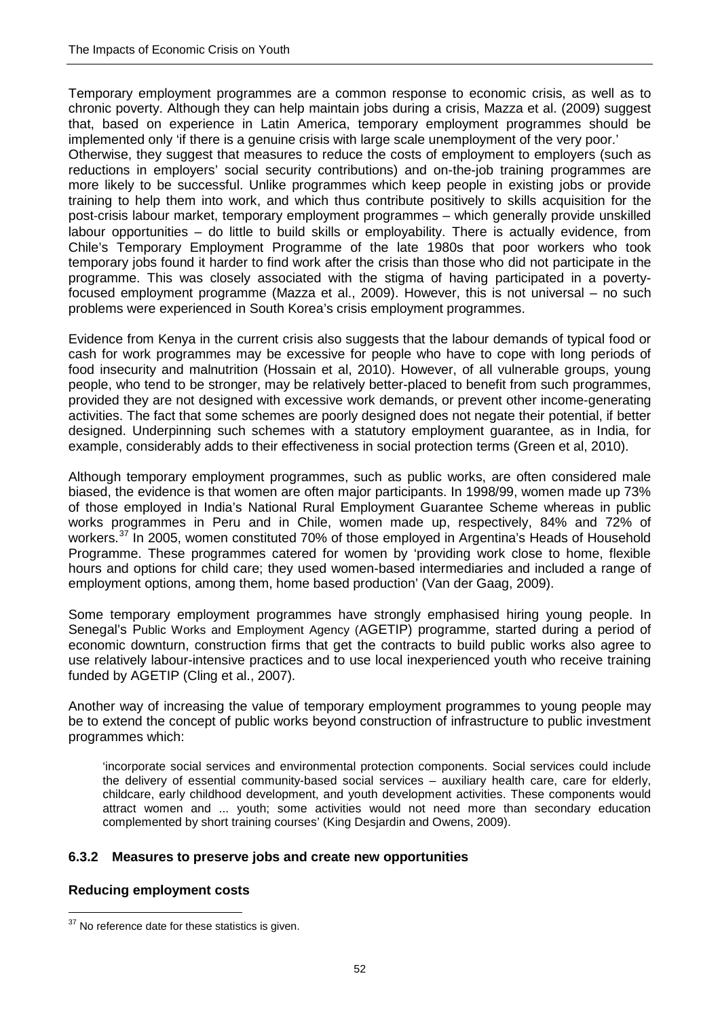Temporary employment programmes are a common response to economic crisis, as well as to chronic poverty. Although they can help maintain jobs during a crisis, Mazza et al. (2009) suggest that, based on experience in Latin America, temporary employment programmes should be implemented only 'if there is a genuine crisis with large scale unemployment of the very poor.'

Otherwise, they suggest that measures to reduce the costs of employment to employers (such as reductions in employers' social security contributions) and on-the-job training programmes are more likely to be successful. Unlike programmes which keep people in existing jobs or provide training to help them into work, and which thus contribute positively to skills acquisition for the post-crisis labour market, temporary employment programmes – which generally provide unskilled labour opportunities – do little to build skills or employability. There is actually evidence, from Chile's Temporary Employment Programme of the late 1980s that poor workers who took temporary jobs found it harder to find work after the crisis than those who did not participate in the programme. This was closely associated with the stigma of having participated in a povertyfocused employment programme (Mazza et al., 2009). However, this is not universal – no such problems were experienced in South Korea's crisis employment programmes.

Evidence from Kenya in the current crisis also suggests that the labour demands of typical food or cash for work programmes may be excessive for people who have to cope with long periods of food insecurity and malnutrition (Hossain et al, 2010). However, of all vulnerable groups, young people, who tend to be stronger, may be relatively better-placed to benefit from such programmes, provided they are not designed with excessive work demands, or prevent other income-generating activities. The fact that some schemes are poorly designed does not negate their potential, if better designed. Underpinning such schemes with a statutory employment guarantee, as in India, for example, considerably adds to their effectiveness in social protection terms (Green et al, 2010).

Although temporary employment programmes, such as public works, are often considered male biased, the evidence is that women are often major participants. In 1998/99, women made up 73% of those employed in India's National Rural Employment Guarantee Scheme whereas in public works programmes in Peru and in Chile, women made up, respectively, 84% and 72% of workers.<sup>[37](#page-60-0)</sup> In 2005, women constituted 70% of those employed in Argentina's Heads of Household Programme. These programmes catered for women by 'providing work close to home, flexible hours and options for child care; they used women-based intermediaries and included a range of employment options, among them, home based production' (Van der Gaag, 2009).

Some temporary employment programmes have strongly emphasised hiring young people. In Senegal's Public Works and Employment Agency (AGETIP) programme, started during a period of economic downturn, construction firms that get the contracts to build public works also agree to use relatively labour-intensive practices and to use local inexperienced youth who receive training funded by AGETIP (Cling et al., 2007).

Another way of increasing the value of temporary employment programmes to young people may be to extend the concept of public works beyond construction of infrastructure to public investment programmes which:

'incorporate social services and environmental protection components. Social services could include the delivery of essential community-based social services – auxiliary health care, care for elderly, childcare, early childhood development, and youth development activities. These components would attract women and ... youth; some activities would not need more than secondary education complemented by short training courses' (King Desjardin and Owens, 2009).

## **6.3.2 Measures to preserve jobs and create new opportunities**

#### **Reducing employment costs**

<span id="page-61-0"></span><sup>&</sup>lt;u>.</u>  $37$  No reference date for these statistics is given.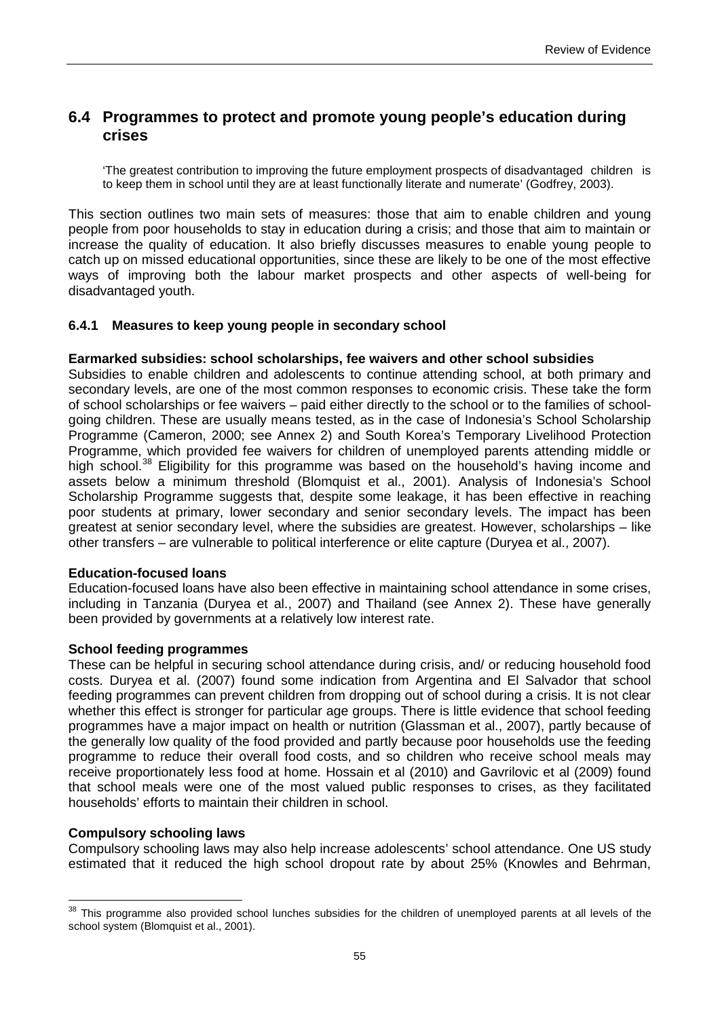## **6.4 Programmes to protect and promote young people's education during crises**

'The greatest contribution to improving the future employment prospects of disadvantaged children is to keep them in school until they are at least functionally literate and numerate' (Godfrey, 2003).

This section outlines two main sets of measures: those that aim to enable children and young people from poor households to stay in education during a crisis; and those that aim to maintain or increase the quality of education. It also briefly discusses measures to enable young people to catch up on missed educational opportunities, since these are likely to be one of the most effective ways of improving both the labour market prospects and other aspects of well-being for disadvantaged youth.

#### **6.4.1 Measures to keep young people in secondary school**

#### **Earmarked subsidies: school scholarships, fee waivers and other school subsidies**

Subsidies to enable children and adolescents to continue attending school, at both primary and secondary levels, are one of the most common responses to economic crisis. These take the form of school scholarships or fee waivers – paid either directly to the school or to the families of schoolgoing children. These are usually means tested, as in the case of Indonesia's School Scholarship Programme (Cameron, 2000; see Annex 2) and South Korea's Temporary Livelihood Protection Programme, which provided fee waivers for children of unemployed parents attending middle or high school.<sup>[38](#page-61-0)</sup> Eligibility for this programme was based on the household's having income and assets below a minimum threshold (Blomquist et al., 2001). Analysis of Indonesia's School Scholarship Programme suggests that, despite some leakage, it has been effective in reaching poor students at primary, lower secondary and senior secondary levels. The impact has been greatest at senior secondary level, where the subsidies are greatest. However, scholarships – like other transfers – are vulnerable to political interference or elite capture (Duryea et al., 2007).

#### **Education-focused loans**

Education-focused loans have also been effective in maintaining school attendance in some crises, including in Tanzania (Duryea et al., 2007) and Thailand (see Annex 2). These have generally been provided by governments at a relatively low interest rate.

#### **School feeding programmes**

These can be helpful in securing school attendance during crisis, and/ or reducing household food costs. Duryea et al. (2007) found some indication from Argentina and El Salvador that school feeding programmes can prevent children from dropping out of school during a crisis. It is not clear whether this effect is stronger for particular age groups. There is little evidence that school feeding programmes have a major impact on health or nutrition (Glassman et al., 2007), partly because of the generally low quality of the food provided and partly because poor households use the feeding programme to reduce their overall food costs, and so children who receive school meals may receive proportionately less food at home. Hossain et al (2010) and Gavrilovic et al (2009) found that school meals were one of the most valued public responses to crises, as they facilitated households' efforts to maintain their children in school.

#### **Compulsory schooling laws**

 $\overline{a}$ 

Compulsory schooling laws may also help increase adolescents' school attendance. One US study estimated that it reduced the high school dropout rate by about 25% (Knowles and Behrman,

<span id="page-64-0"></span><sup>&</sup>lt;sup>38</sup> This programme also provided school lunches subsidies for the children of unemployed parents at all levels of the school system (Blomquist et al., 2001).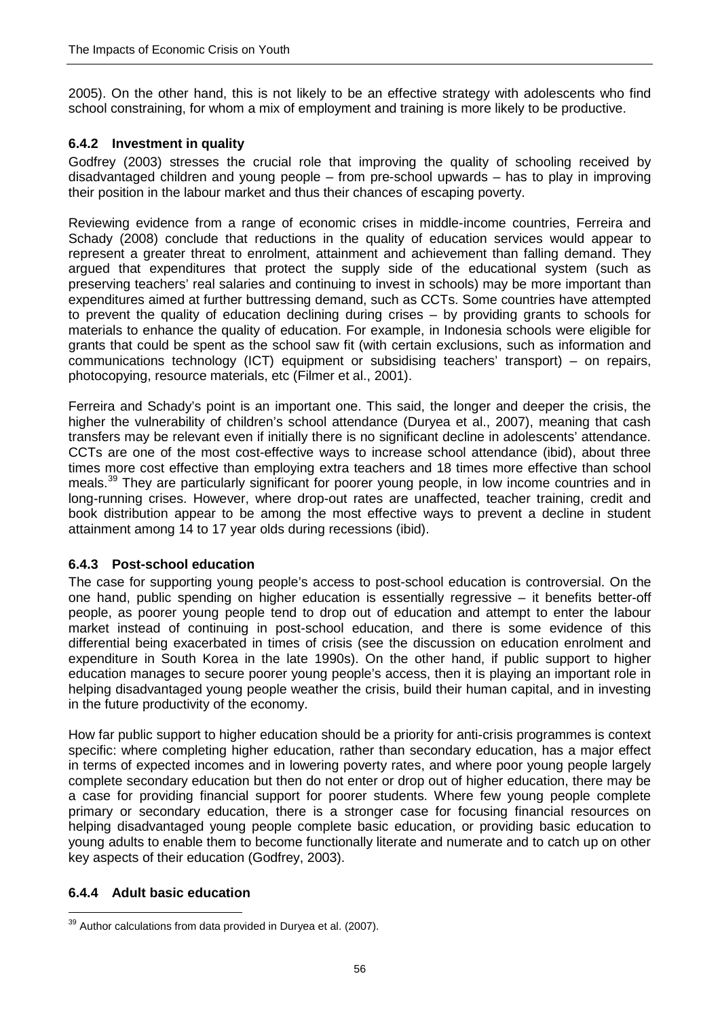2005). On the other hand, this is not likely to be an effective strategy with adolescents who find school constraining, for whom a mix of employment and training is more likely to be productive.

## **6.4.2 Investment in quality**

Godfrey (2003) stresses the crucial role that improving the quality of schooling received by disadvantaged children and young people – from pre-school upwards – has to play in improving their position in the labour market and thus their chances of escaping poverty.

Reviewing evidence from a range of economic crises in middle-income countries, Ferreira and Schady (2008) conclude that reductions in the quality of education services would appear to represent a greater threat to enrolment, attainment and achievement than falling demand. They argued that expenditures that protect the supply side of the educational system (such as preserving teachers' real salaries and continuing to invest in schools) may be more important than expenditures aimed at further buttressing demand, such as CCTs. Some countries have attempted to prevent the quality of education declining during crises – by providing grants to schools for materials to enhance the quality of education. For example, in Indonesia schools were eligible for grants that could be spent as the school saw fit (with certain exclusions, such as information and communications technology (ICT) equipment or subsidising teachers' transport) – on repairs, photocopying, resource materials, etc (Filmer et al., 2001).

Ferreira and Schady's point is an important one. This said, the longer and deeper the crisis, the higher the vulnerability of children's school attendance (Duryea et al., 2007), meaning that cash transfers may be relevant even if initially there is no significant decline in adolescents' attendance. CCTs are one of the most cost-effective ways to increase school attendance (ibid), about three times more cost effective than employing extra teachers and 18 times more effective than school meals.<sup>[39](#page-64-0)</sup> They are particularly significant for poorer young people, in low income countries and in long-running crises. However, where drop-out rates are unaffected, teacher training, credit and book distribution appear to be among the most effective ways to prevent a decline in student attainment among 14 to 17 year olds during recessions (ibid).

#### **6.4.3 Post-school education**

The case for supporting young people's access to post-school education is controversial. On the one hand, public spending on higher education is essentially regressive – it benefits better-off people, as poorer young people tend to drop out of education and attempt to enter the labour market instead of continuing in post-school education, and there is some evidence of this differential being exacerbated in times of crisis (see the discussion on education enrolment and expenditure in South Korea in the late 1990s). On the other hand, if public support to higher education manages to secure poorer young people's access, then it is playing an important role in helping disadvantaged young people weather the crisis, build their human capital, and in investing in the future productivity of the economy.

How far public support to higher education should be a priority for anti-crisis programmes is context specific: where completing higher education, rather than secondary education, has a major effect in terms of expected incomes and in lowering poverty rates, and where poor young people largely complete secondary education but then do not enter or drop out of higher education, there may be a case for providing financial support for poorer students. Where few young people complete primary or secondary education, there is a stronger case for focusing financial resources on helping disadvantaged young people complete basic education, or providing basic education to young adults to enable them to become functionally literate and numerate and to catch up on other key aspects of their education (Godfrey, 2003).

#### **6.4.4 Adult basic education**

<span id="page-65-0"></span><sup>&</sup>lt;u>.</u>  $39$  Author calculations from data provided in Duryea et al. (2007).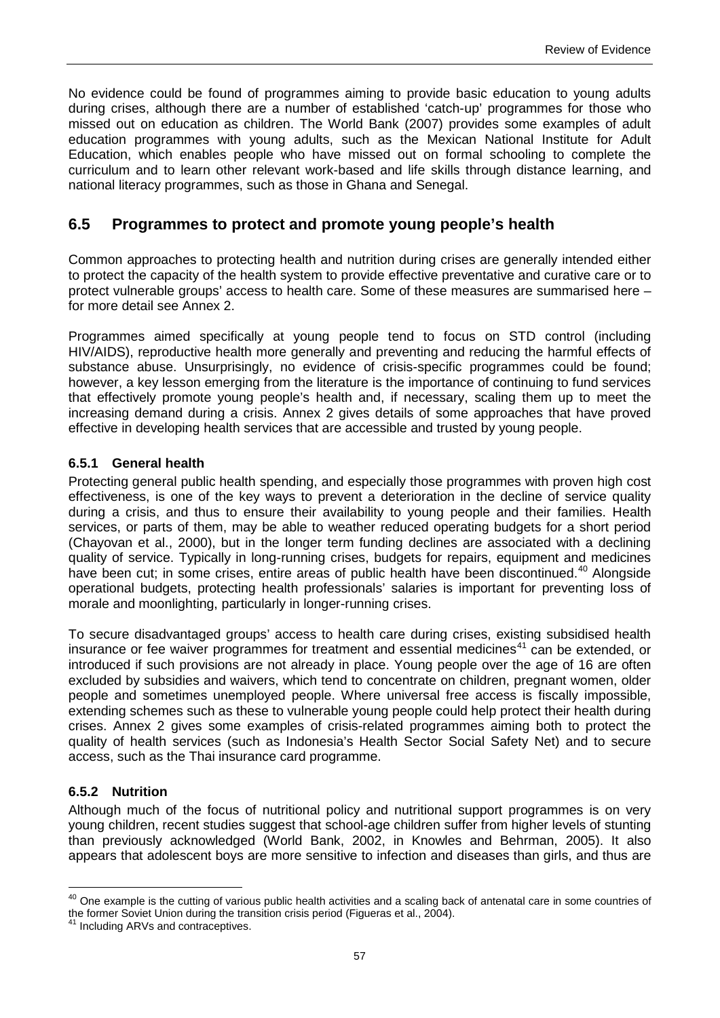No evidence could be found of programmes aiming to provide basic education to young adults during crises, although there are a number of established 'catch-up' programmes for those who missed out on education as children. The World Bank (2007) provides some examples of adult education programmes with young adults, such as the Mexican National Institute for Adult Education, which enables people who have missed out on formal schooling to complete the curriculum and to learn other relevant work-based and life skills through distance learning, and national literacy programmes, such as those in Ghana and Senegal.

## **6.5 Programmes to protect and promote young people's health**

Common approaches to protecting health and nutrition during crises are generally intended either to protect the capacity of the health system to provide effective preventative and curative care or to protect vulnerable groups' access to health care. Some of these measures are summarised here – for more detail see Annex 2.

Programmes aimed specifically at young people tend to focus on STD control (including HIV/AIDS), reproductive health more generally and preventing and reducing the harmful effects of substance abuse. Unsurprisingly, no evidence of crisis-specific programmes could be found; however, a key lesson emerging from the literature is the importance of continuing to fund services that effectively promote young people's health and, if necessary, scaling them up to meet the increasing demand during a crisis. Annex 2 gives details of some approaches that have proved effective in developing health services that are accessible and trusted by young people.

### **6.5.1 General health**

Protecting general public health spending, and especially those programmes with proven high cost effectiveness, is one of the key ways to prevent a deterioration in the decline of service quality during a crisis, and thus to ensure their availability to young people and their families. Health services, or parts of them, may be able to weather reduced operating budgets for a short period (Chayovan et al., 2000), but in the longer term funding declines are associated with a declining quality of service. Typically in long-running crises, budgets for repairs, equipment and medicines have been cut; in some crises, entire areas of public health have been discontinued.<sup>[40](#page-65-0)</sup> Alongside operational budgets, protecting health professionals' salaries is important for preventing loss of morale and moonlighting, particularly in longer-running crises.

To secure disadvantaged groups' access to health care during crises, existing subsidised health insurance or fee waiver programmes for treatment and essential medicines<sup>[41](#page-66-0)</sup> can be extended, or introduced if such provisions are not already in place. Young people over the age of 16 are often excluded by subsidies and waivers, which tend to concentrate on children, pregnant women, older people and sometimes unemployed people. Where universal free access is fiscally impossible, extending schemes such as these to vulnerable young people could help protect their health during crises. Annex 2 gives some examples of crisis-related programmes aiming both to protect the quality of health services (such as Indonesia's Health Sector Social Safety Net) and to secure access, such as the Thai insurance card programme.

#### **6.5.2 Nutrition**

 $\overline{\phantom{a}}$ 

Although much of the focus of nutritional policy and nutritional support programmes is on very young children, recent studies suggest that school-age children suffer from higher levels of stunting than previously acknowledged (World Bank, 2002, in Knowles and Behrman, 2005). It also appears that adolescent boys are more sensitive to infection and diseases than girls, and thus are

<sup>&</sup>lt;sup>40</sup> One example is the cutting of various public health activities and a scaling back of antenatal care in some countries of the former Soviet Union during the transition crisis period (Figueras et al., 2004).

<span id="page-66-1"></span><span id="page-66-0"></span><sup>41</sup> Including ARVs and contraceptives.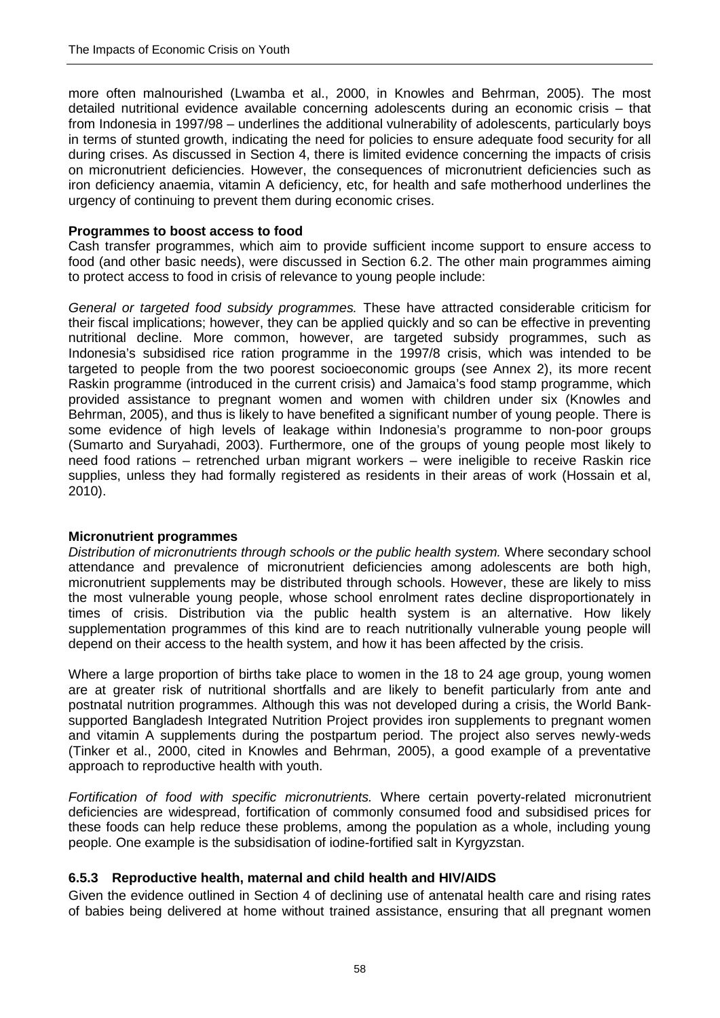more often malnourished (Lwamba et al., 2000, in Knowles and Behrman, 2005). The most detailed nutritional evidence available concerning adolescents during an economic crisis – that from Indonesia in 1997/98 – underlines the additional vulnerability of adolescents, particularly boys in terms of stunted growth, indicating the need for policies to ensure adequate food security for all during crises. As discussed in Section 4, there is limited evidence concerning the impacts of crisis on micronutrient deficiencies. However, the consequences of micronutrient deficiencies such as iron deficiency anaemia, vitamin A deficiency, etc, for health and safe motherhood underlines the urgency of continuing to prevent them during economic crises.

#### **Programmes to boost access to food**

Cash transfer programmes, which aim to provide sufficient income support to ensure access to food (and other basic needs), were discussed in Section 6.2. The other main programmes aiming to protect access to food in crisis of relevance to young people include:

*General or targeted food subsidy programmes.* These have attracted considerable criticism for their fiscal implications; however, they can be applied quickly and so can be effective in preventing nutritional decline. More common, however, are targeted subsidy programmes, such as Indonesia's subsidised rice ration programme in the 1997/8 crisis, which was intended to be targeted to people from the two poorest socioeconomic groups (see Annex 2), its more recent Raskin programme (introduced in the current crisis) and Jamaica's food stamp programme, which provided assistance to pregnant women and women with children under six (Knowles and Behrman, 2005), and thus is likely to have benefited a significant number of young people. There is some evidence of high levels of leakage within Indonesia's programme to non-poor groups (Sumarto and Suryahadi, 2003). Furthermore, one of the groups of young people most likely to need food rations – retrenched urban migrant workers – were ineligible to receive Raskin rice supplies, unless they had formally registered as residents in their areas of work (Hossain et al, 2010).

#### **Micronutrient programmes**

*Distribution of micronutrients through schools or the public health system.* Where secondary school attendance and prevalence of micronutrient deficiencies among adolescents are both high, micronutrient supplements may be distributed through schools. However, these are likely to miss the most vulnerable young people, whose school enrolment rates decline disproportionately in times of crisis. Distribution via the public health system is an alternative. How likely supplementation programmes of this kind are to reach nutritionally vulnerable young people will depend on their access to the health system, and how it has been affected by the crisis.

Where a large proportion of births take place to women in the 18 to 24 age group, young women are at greater risk of nutritional shortfalls and are likely to benefit particularly from ante and postnatal nutrition programmes. Although this was not developed during a crisis, the World Banksupported Bangladesh Integrated Nutrition Project provides iron supplements to pregnant women and vitamin A supplements during the postpartum period. The project also serves newly-weds (Tinker et al., 2000, cited in Knowles and Behrman, 2005), a good example of a preventative approach to reproductive health with youth.

*Fortification of food with specific micronutrients.* Where certain poverty-related micronutrient deficiencies are widespread, fortification of commonly consumed food and subsidised prices for these foods can help reduce these problems, among the population as a whole, including young people. One example is the subsidisation of iodine-fortified salt in Kyrgyzstan.

#### **6.5.3 Reproductive health, maternal and child health and HIV/AIDS**

Given the evidence outlined in Section 4 of declining use of antenatal health care and rising rates of babies being delivered at home without trained assistance, ensuring that all pregnant women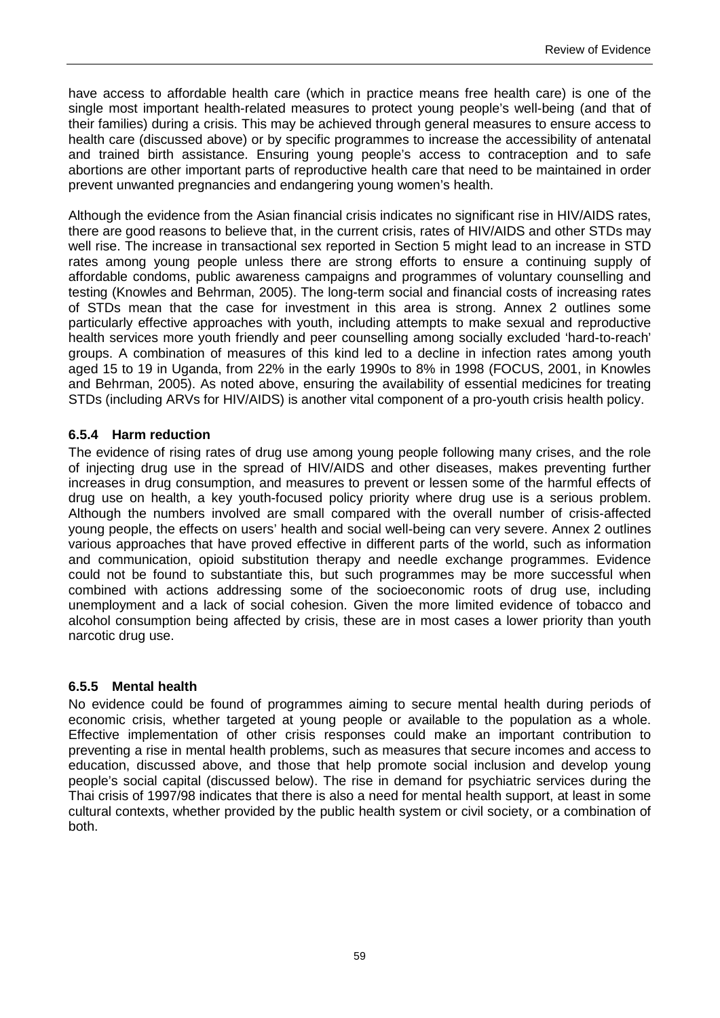have access to affordable health care (which in practice means free health care) is one of the single most important health-related measures to protect young people's well-being (and that of their families) during a crisis. This may be achieved through general measures to ensure access to health care (discussed above) or by specific programmes to increase the accessibility of antenatal and trained birth assistance. Ensuring young people's access to contraception and to safe abortions are other important parts of reproductive health care that need to be maintained in order prevent unwanted pregnancies and endangering young women's health.

Although the evidence from the Asian financial crisis indicates no significant rise in HIV/AIDS rates, there are good reasons to believe that, in the current crisis, rates of HIV/AIDS and other STDs may well rise. The increase in transactional sex reported in Section 5 might lead to an increase in STD rates among young people unless there are strong efforts to ensure a continuing supply of affordable condoms, public awareness campaigns and programmes of voluntary counselling and testing (Knowles and Behrman, 2005). The long-term social and financial costs of increasing rates of STDs mean that the case for investment in this area is strong. Annex 2 outlines some particularly effective approaches with youth, including attempts to make sexual and reproductive health services more youth friendly and peer counselling among socially excluded 'hard-to-reach' groups. A combination of measures of this kind led to a decline in infection rates among youth aged 15 to 19 in Uganda, from 22% in the early 1990s to 8% in 1998 (FOCUS, 2001, in Knowles and Behrman, 2005). As noted above, ensuring the availability of essential medicines for treating STDs (including ARVs for HIV/AIDS) is another vital component of a pro-youth crisis health policy.

### **6.5.4 Harm reduction**

The evidence of rising rates of drug use among young people following many crises, and the role of injecting drug use in the spread of HIV/AIDS and other diseases, makes preventing further increases in drug consumption, and measures to prevent or lessen some of the harmful effects of drug use on health, a key youth-focused policy priority where drug use is a serious problem. Although the numbers involved are small compared with the overall number of crisis-affected young people, the effects on users' health and social well-being can very severe. Annex 2 outlines various approaches that have proved effective in different parts of the world, such as information and communication, opioid substitution therapy and needle exchange programmes. Evidence could not be found to substantiate this, but such programmes may be more successful when combined with actions addressing some of the socioeconomic roots of drug use, including unemployment and a lack of social cohesion. Given the more limited evidence of tobacco and alcohol consumption being affected by crisis, these are in most cases a lower priority than youth narcotic drug use.

#### **6.5.5 Mental health**

No evidence could be found of programmes aiming to secure mental health during periods of economic crisis, whether targeted at young people or available to the population as a whole. Effective implementation of other crisis responses could make an important contribution to preventing a rise in mental health problems, such as measures that secure incomes and access to education, discussed above, and those that help promote social inclusion and develop young people's social capital (discussed below). The rise in demand for psychiatric services during the Thai crisis of 1997/98 indicates that there is also a need for mental health support, at least in some cultural contexts, whether provided by the public health system or civil society, or a combination of both.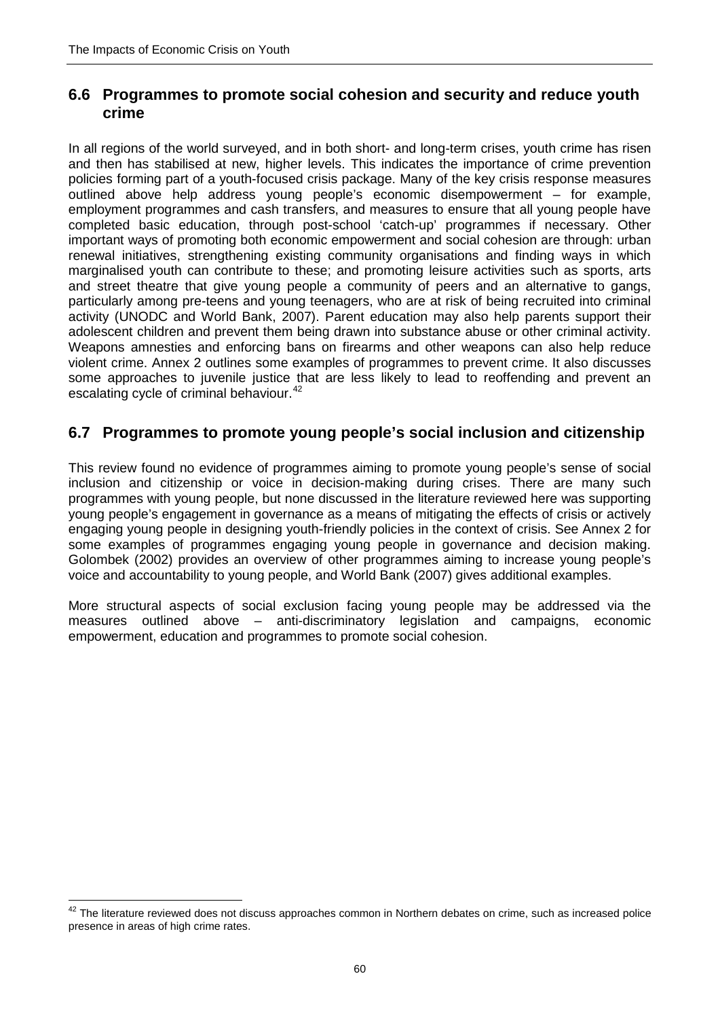$\overline{\phantom{a}}$ 

## **6.6 Programmes to promote social cohesion and security and reduce youth crime**

In all regions of the world surveyed, and in both short- and long-term crises, youth crime has risen and then has stabilised at new, higher levels. This indicates the importance of crime prevention policies forming part of a youth-focused crisis package. Many of the key crisis response measures outlined above help address young people's economic disempowerment – for example, employment programmes and cash transfers, and measures to ensure that all young people have completed basic education, through post-school 'catch-up' programmes if necessary. Other important ways of promoting both economic empowerment and social cohesion are through: urban renewal initiatives, strengthening existing community organisations and finding ways in which marginalised youth can contribute to these; and promoting leisure activities such as sports, arts and street theatre that give young people a community of peers and an alternative to gangs, particularly among pre-teens and young teenagers, who are at risk of being recruited into criminal activity (UNODC and World Bank, 2007). Parent education may also help parents support their adolescent children and prevent them being drawn into substance abuse or other criminal activity. Weapons amnesties and enforcing bans on firearms and other weapons can also help reduce violent crime. Annex 2 outlines some examples of programmes to prevent crime. It also discusses some approaches to juvenile justice that are less likely to lead to reoffending and prevent an escalating cycle of criminal behaviour.<sup>[42](#page-66-1)</sup>

# **6.7 Programmes to promote young people's social inclusion and citizenship**

This review found no evidence of programmes aiming to promote young people's sense of social inclusion and citizenship or voice in decision-making during crises. There are many such programmes with young people, but none discussed in the literature reviewed here was supporting young people's engagement in governance as a means of mitigating the effects of crisis or actively engaging young people in designing youth-friendly policies in the context of crisis. See Annex 2 for some examples of programmes engaging young people in governance and decision making. Golombek (2002) provides an overview of other programmes aiming to increase young people's voice and accountability to young people, and World Bank (2007) gives additional examples.

More structural aspects of social exclusion facing young people may be addressed via the measures outlined above – anti-discriminatory legislation and campaigns, economic empowerment, education and programmes to promote social cohesion.

 $42$  The literature reviewed does not discuss approaches common in Northern debates on crime, such as increased police presence in areas of high crime rates.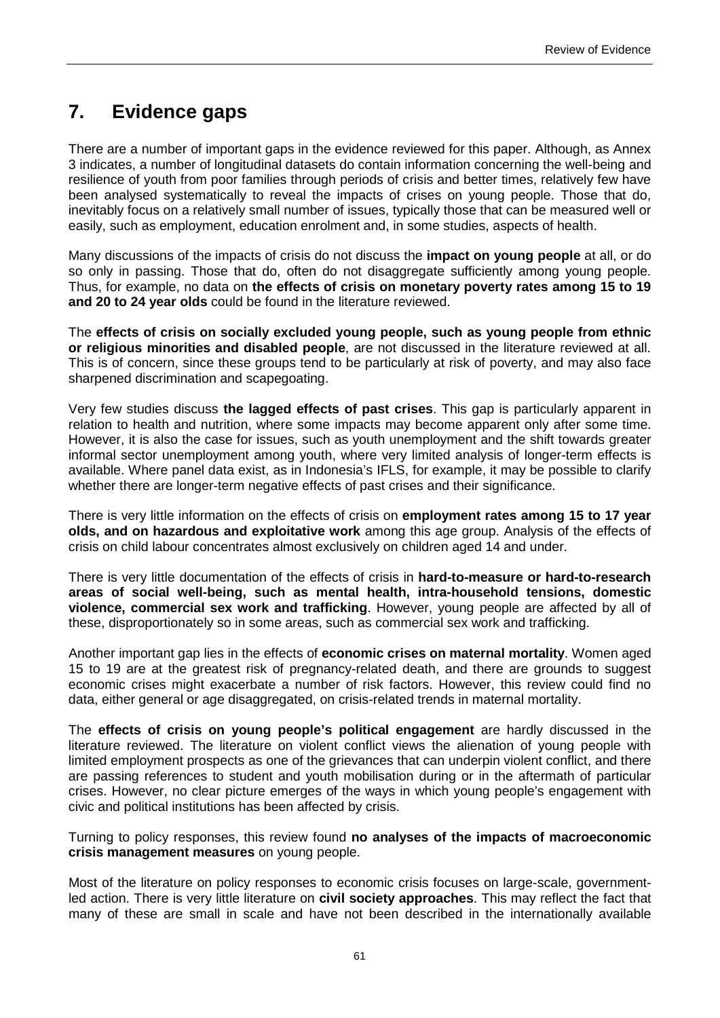# **7. Evidence gaps**

There are a number of important gaps in the evidence reviewed for this paper. Although, as Annex 3 indicates, a number of longitudinal datasets do contain information concerning the well-being and resilience of youth from poor families through periods of crisis and better times, relatively few have been analysed systematically to reveal the impacts of crises on young people. Those that do, inevitably focus on a relatively small number of issues, typically those that can be measured well or easily, such as employment, education enrolment and, in some studies, aspects of health.

Many discussions of the impacts of crisis do not discuss the **impact on young people** at all, or do so only in passing. Those that do, often do not disaggregate sufficiently among young people. Thus, for example, no data on **the effects of crisis on monetary poverty rates among 15 to 19 and 20 to 24 year olds** could be found in the literature reviewed.

The **effects of crisis on socially excluded young people, such as young people from ethnic or religious minorities and disabled people**, are not discussed in the literature reviewed at all. This is of concern, since these groups tend to be particularly at risk of poverty, and may also face sharpened discrimination and scapegoating.

Very few studies discuss **the lagged effects of past crises**. This gap is particularly apparent in relation to health and nutrition, where some impacts may become apparent only after some time. However, it is also the case for issues, such as youth unemployment and the shift towards greater informal sector unemployment among youth, where very limited analysis of longer-term effects is available. Where panel data exist, as in Indonesia's IFLS, for example, it may be possible to clarify whether there are longer-term negative effects of past crises and their significance.

There is very little information on the effects of crisis on **employment rates among 15 to 17 year olds, and on hazardous and exploitative work** among this age group. Analysis of the effects of crisis on child labour concentrates almost exclusively on children aged 14 and under.

There is very little documentation of the effects of crisis in **hard-to-measure or hard-to-research areas of social well-being, such as mental health, intra-household tensions, domestic violence, commercial sex work and trafficking**. However, young people are affected by all of these, disproportionately so in some areas, such as commercial sex work and trafficking.

Another important gap lies in the effects of **economic crises on maternal mortality**. Women aged 15 to 19 are at the greatest risk of pregnancy-related death, and there are grounds to suggest economic crises might exacerbate a number of risk factors. However, this review could find no data, either general or age disaggregated, on crisis-related trends in maternal mortality.

The **effects of crisis on young people's political engagement** are hardly discussed in the literature reviewed. The literature on violent conflict views the alienation of young people with limited employment prospects as one of the grievances that can underpin violent conflict, and there are passing references to student and youth mobilisation during or in the aftermath of particular crises. However, no clear picture emerges of the ways in which young people's engagement with civic and political institutions has been affected by crisis.

Turning to policy responses, this review found **no analyses of the impacts of macroeconomic crisis management measures** on young people.

Most of the literature on policy responses to economic crisis focuses on large-scale, governmentled action. There is very little literature on **civil society approaches**. This may reflect the fact that many of these are small in scale and have not been described in the internationally available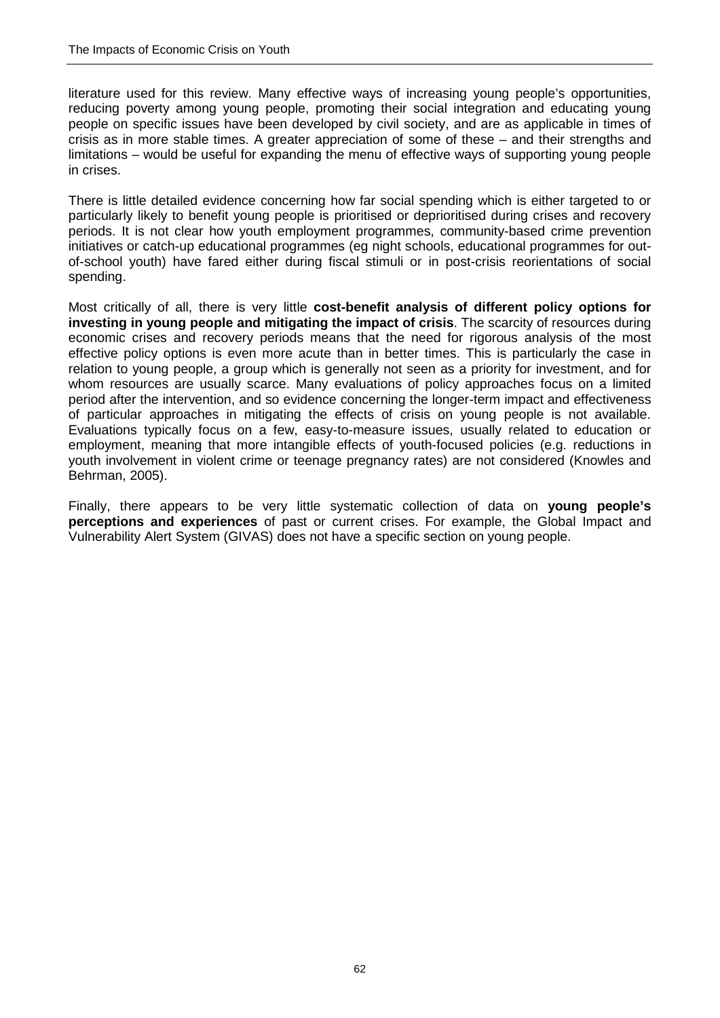literature used for this review. Many effective ways of increasing young people's opportunities, reducing poverty among young people, promoting their social integration and educating young people on specific issues have been developed by civil society, and are as applicable in times of crisis as in more stable times. A greater appreciation of some of these – and their strengths and limitations – would be useful for expanding the menu of effective ways of supporting young people in crises.

There is little detailed evidence concerning how far social spending which is either targeted to or particularly likely to benefit young people is prioritised or deprioritised during crises and recovery periods. It is not clear how youth employment programmes, community-based crime prevention initiatives or catch-up educational programmes (eg night schools, educational programmes for outof-school youth) have fared either during fiscal stimuli or in post-crisis reorientations of social spending.

Most critically of all, there is very little **cost-benefit analysis of different policy options for investing in young people and mitigating the impact of crisis**. The scarcity of resources during economic crises and recovery periods means that the need for rigorous analysis of the most effective policy options is even more acute than in better times. This is particularly the case in relation to young people, a group which is generally not seen as a priority for investment, and for whom resources are usually scarce. Many evaluations of policy approaches focus on a limited period after the intervention, and so evidence concerning the longer-term impact and effectiveness of particular approaches in mitigating the effects of crisis on young people is not available. Evaluations typically focus on a few, easy-to-measure issues, usually related to education or employment, meaning that more intangible effects of youth-focused policies (e.g. reductions in youth involvement in violent crime or teenage pregnancy rates) are not considered (Knowles and Behrman, 2005).

Finally, there appears to be very little systematic collection of data on **young people's perceptions and experiences** of past or current crises. For example, the Global Impact and Vulnerability Alert System (GIVAS) does not have a specific section on young people.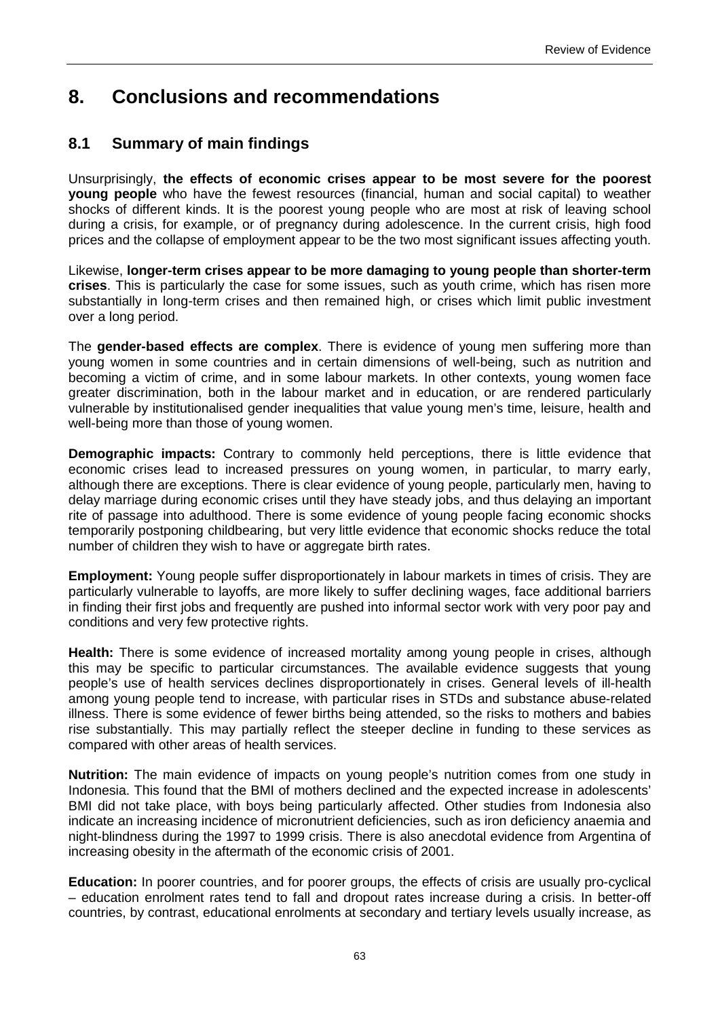### **8. Conclusions and recommendations**

#### **8.1 Summary of main findings**

Unsurprisingly, **the effects of economic crises appear to be most severe for the poorest young people** who have the fewest resources (financial, human and social capital) to weather shocks of different kinds. It is the poorest young people who are most at risk of leaving school during a crisis, for example, or of pregnancy during adolescence. In the current crisis, high food prices and the collapse of employment appear to be the two most significant issues affecting youth.

Likewise, **longer-term crises appear to be more damaging to young people than shorter-term crises**. This is particularly the case for some issues, such as youth crime, which has risen more substantially in long-term crises and then remained high, or crises which limit public investment over a long period.

The **gender-based effects are complex**. There is evidence of young men suffering more than young women in some countries and in certain dimensions of well-being, such as nutrition and becoming a victim of crime, and in some labour markets. In other contexts, young women face greater discrimination, both in the labour market and in education, or are rendered particularly vulnerable by institutionalised gender inequalities that value young men's time, leisure, health and well-being more than those of young women.

**Demographic impacts:** Contrary to commonly held perceptions, there is little evidence that economic crises lead to increased pressures on young women, in particular, to marry early, although there are exceptions. There is clear evidence of young people, particularly men, having to delay marriage during economic crises until they have steady jobs, and thus delaying an important rite of passage into adulthood. There is some evidence of young people facing economic shocks temporarily postponing childbearing, but very little evidence that economic shocks reduce the total number of children they wish to have or aggregate birth rates.

**Employment:** Young people suffer disproportionately in labour markets in times of crisis. They are particularly vulnerable to layoffs, are more likely to suffer declining wages, face additional barriers in finding their first jobs and frequently are pushed into informal sector work with very poor pay and conditions and very few protective rights.

**Health:** There is some evidence of increased mortality among young people in crises, although this may be specific to particular circumstances. The available evidence suggests that young people's use of health services declines disproportionately in crises. General levels of ill-health among young people tend to increase, with particular rises in STDs and substance abuse-related illness. There is some evidence of fewer births being attended, so the risks to mothers and babies rise substantially. This may partially reflect the steeper decline in funding to these services as compared with other areas of health services.

**Nutrition:** The main evidence of impacts on young people's nutrition comes from one study in Indonesia. This found that the BMI of mothers declined and the expected increase in adolescents' BMI did not take place, with boys being particularly affected. Other studies from Indonesia also indicate an increasing incidence of micronutrient deficiencies, such as iron deficiency anaemia and night-blindness during the 1997 to 1999 crisis. There is also anecdotal evidence from Argentina of increasing obesity in the aftermath of the economic crisis of 2001.

**Education:** In poorer countries, and for poorer groups, the effects of crisis are usually pro-cyclical – education enrolment rates tend to fall and dropout rates increase during a crisis. In better-off countries, by contrast, educational enrolments at secondary and tertiary levels usually increase, as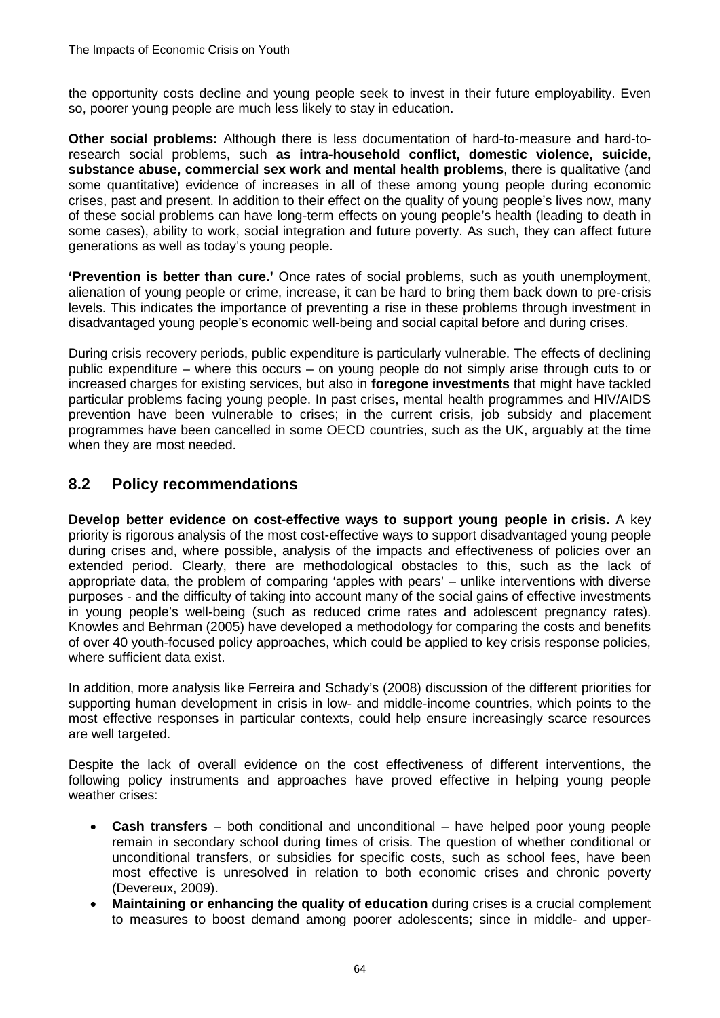the opportunity costs decline and young people seek to invest in their future employability. Even so, poorer young people are much less likely to stay in education.

**Other social problems:** Although there is less documentation of hard-to-measure and hard-toresearch social problems, such **as intra-household conflict, domestic violence, suicide, substance abuse, commercial sex work and mental health problems**, there is qualitative (and some quantitative) evidence of increases in all of these among young people during economic crises, past and present. In addition to their effect on the quality of young people's lives now, many of these social problems can have long-term effects on young people's health (leading to death in some cases), ability to work, social integration and future poverty. As such, they can affect future generations as well as today's young people.

**'Prevention is better than cure.'** Once rates of social problems, such as youth unemployment, alienation of young people or crime, increase, it can be hard to bring them back down to pre-crisis levels. This indicates the importance of preventing a rise in these problems through investment in disadvantaged young people's economic well-being and social capital before and during crises.

During crisis recovery periods, public expenditure is particularly vulnerable. The effects of declining public expenditure – where this occurs – on young people do not simply arise through cuts to or increased charges for existing services, but also in **foregone investments** that might have tackled particular problems facing young people. In past crises, mental health programmes and HIV/AIDS prevention have been vulnerable to crises; in the current crisis, job subsidy and placement programmes have been cancelled in some OECD countries, such as the UK, arguably at the time when they are most needed.

#### **8.2 Policy recommendations**

**Develop better evidence on cost-effective ways to support young people in crisis.** A key priority is rigorous analysis of the most cost-effective ways to support disadvantaged young people during crises and, where possible, analysis of the impacts and effectiveness of policies over an extended period. Clearly, there are methodological obstacles to this, such as the lack of appropriate data, the problem of comparing 'apples with pears' – unlike interventions with diverse purposes - and the difficulty of taking into account many of the social gains of effective investments in young people's well-being (such as reduced crime rates and adolescent pregnancy rates). Knowles and Behrman (2005) have developed a methodology for comparing the costs and benefits of over 40 youth-focused policy approaches, which could be applied to key crisis response policies, where sufficient data exist.

In addition, more analysis like Ferreira and Schady's (2008) discussion of the different priorities for supporting human development in crisis in low- and middle-income countries, which points to the most effective responses in particular contexts, could help ensure increasingly scarce resources are well targeted.

Despite the lack of overall evidence on the cost effectiveness of different interventions, the following policy instruments and approaches have proved effective in helping young people weather crises:

- **Cash transfers** both conditional and unconditional have helped poor young people remain in secondary school during times of crisis. The question of whether conditional or unconditional transfers, or subsidies for specific costs, such as school fees, have been most effective is unresolved in relation to both economic crises and chronic poverty (Devereux, 2009).
- **Maintaining or enhancing the quality of education** during crises is a crucial complement to measures to boost demand among poorer adolescents; since in middle- and upper-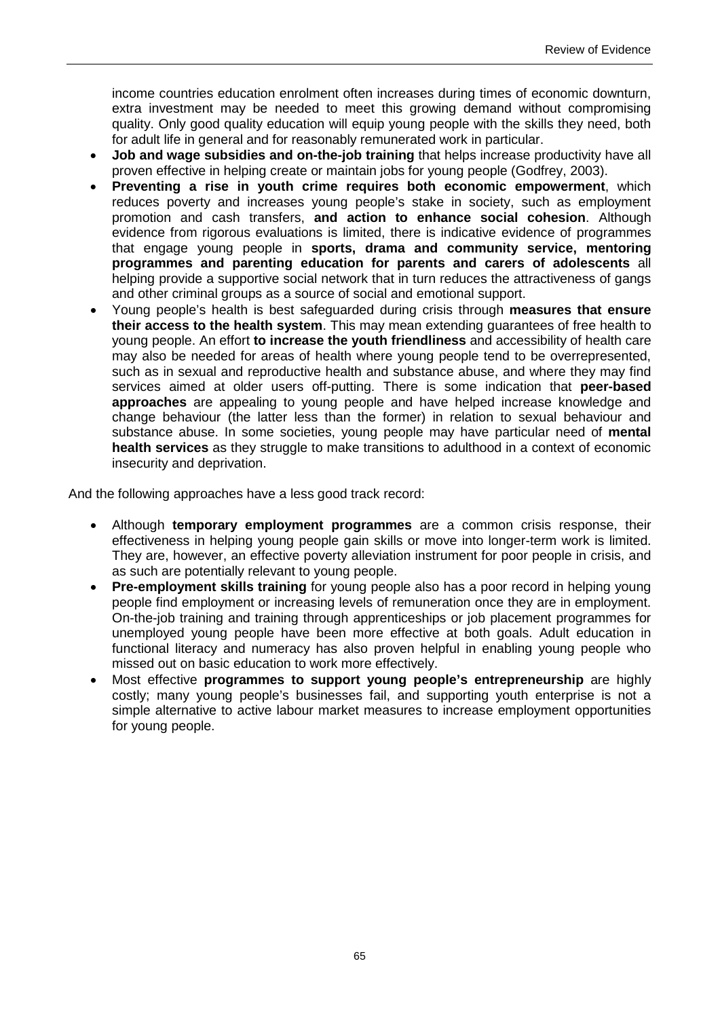income countries education enrolment often increases during times of economic downturn, extra investment may be needed to meet this growing demand without compromising quality. Only good quality education will equip young people with the skills they need, both for adult life in general and for reasonably remunerated work in particular.

- **Job and wage subsidies and on-the-job training** that helps increase productivity have all proven effective in helping create or maintain jobs for young people (Godfrey, 2003).
- **Preventing a rise in youth crime requires both economic empowerment**, which reduces poverty and increases young people's stake in society, such as employment promotion and cash transfers, **and action to enhance social cohesion**. Although evidence from rigorous evaluations is limited, there is indicative evidence of programmes that engage young people in **sports, drama and community service, mentoring programmes and parenting education for parents and carers of adolescents** all helping provide a supportive social network that in turn reduces the attractiveness of gangs and other criminal groups as a source of social and emotional support.
- Young people's health is best safeguarded during crisis through **measures that ensure their access to the health system**. This may mean extending guarantees of free health to young people. An effort **to increase the youth friendliness** and accessibility of health care may also be needed for areas of health where young people tend to be overrepresented, such as in sexual and reproductive health and substance abuse, and where they may find services aimed at older users off-putting. There is some indication that **peer-based approaches** are appealing to young people and have helped increase knowledge and change behaviour (the latter less than the former) in relation to sexual behaviour and substance abuse. In some societies, young people may have particular need of **mental health services** as they struggle to make transitions to adulthood in a context of economic insecurity and deprivation.

And the following approaches have a less good track record:

- Although **temporary employment programmes** are a common crisis response, their effectiveness in helping young people gain skills or move into longer-term work is limited. They are, however, an effective poverty alleviation instrument for poor people in crisis, and as such are potentially relevant to young people.
- **Pre-employment skills training** for young people also has a poor record in helping young people find employment or increasing levels of remuneration once they are in employment. On-the-job training and training through apprenticeships or job placement programmes for unemployed young people have been more effective at both goals. Adult education in functional literacy and numeracy has also proven helpful in enabling young people who missed out on basic education to work more effectively.
- Most effective **programmes to support young people's entrepreneurship** are highly costly; many young people's businesses fail, and supporting youth enterprise is not a simple alternative to active labour market measures to increase employment opportunities for young people.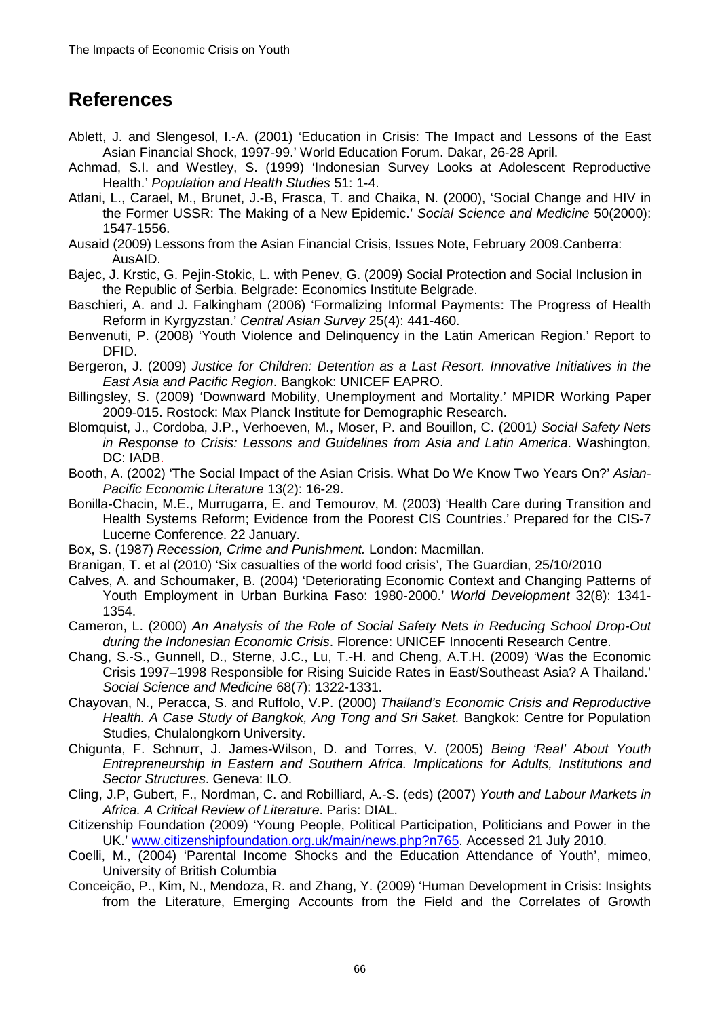### **References**

- Ablett, J. and Slengesol, I.-A. (2001) 'Education in Crisis: The Impact and Lessons of the East Asian Financial Shock, 1997-99.' World Education Forum. Dakar, 26-28 April.
- Achmad, S.I. and Westley, S. (1999) 'Indonesian Survey Looks at Adolescent Reproductive Health.' *Population and Health Studies* 51: 1-4.
- Atlani, L., Carael, M., Brunet, J.-B, Frasca, T. and Chaika, N. (2000), 'Social Change and HIV in the Former USSR: The Making of a New Epidemic.' *Social Science and Medicine* 50(2000): 1547-1556.
- Ausaid (2009) Lessons from the Asian Financial Crisis, Issues Note, February 2009.Canberra: AusAID.
- Bajec, J. Krstic, G. Pejin-Stokic, L. with Penev, G. (2009) Social Protection and Social Inclusion in the Republic of Serbia. Belgrade: Economics Institute Belgrade.
- Baschieri, A. and J. Falkingham (2006) 'Formalizing Informal Payments: The Progress of Health Reform in Kyrgyzstan.' *Central Asian Survey* 25(4): 441-460.
- Benvenuti, P. (2008) 'Youth Violence and Delinquency in the Latin American Region.' Report to DFID.
- Bergeron, J. (2009) *Justice for Children: Detention as a Last Resort. Innovative Initiatives in the East Asia and Pacific Region*. Bangkok: UNICEF EAPRO.
- Billingsley, S. (2009) 'Downward Mobility, Unemployment and Mortality.' MPIDR Working Paper 2009-015. Rostock: Max Planck Institute for Demographic Research.
- Blomquist, J., Cordoba, J.P., Verhoeven, M., Moser, P. and Bouillon, C. (2001*) Social Safety Nets in Response to Crisis: Lessons and Guidelines from Asia and Latin America*. Washington, DC: IADB.
- Booth, A. (2002) 'The Social Impact of the Asian Crisis. What Do We Know Two Years On?' *Asian-Pacific Economic Literature* 13(2): 16-29.
- Bonilla-Chacin, M.E., Murrugarra, E. and Temourov, M. (2003) 'Health Care during Transition and Health Systems Reform; Evidence from the Poorest CIS Countries.' Prepared for the CIS-7 Lucerne Conference. 22 January.
- Box, S. (1987) *Recession, Crime and Punishment.* London: Macmillan.
- Branigan, T. et al (2010) 'Six casualties of the world food crisis', The Guardian, 25/10/2010
- Calves, A. and Schoumaker, B. (2004) 'Deteriorating Economic Context and Changing Patterns of Youth Employment in Urban Burkina Faso: 1980-2000.' *World Development* 32(8): 1341- 1354.
- Cameron, L. (2000) *An Analysis of the Role of Social Safety Nets in Reducing School Drop-Out during the Indonesian Economic Crisis*. Florence: UNICEF Innocenti Research Centre.
- Chang, S.-S., Gunnell, D., Sterne, J.C., Lu, T.-H. and Cheng, A.T.H. (2009) 'Was the Economic Crisis 1997–1998 Responsible for Rising Suicide Rates in East/Southeast Asia? A Thailand.' *Social Science and Medicine* 68(7): 1322-1331.
- Chayovan, N., Peracca, S. and Ruffolo, V.P. (2000) *Thailand's Economic Crisis and Reproductive*  Health. A Case Study of Bangkok, Ang Tong and Sri Saket. Bangkok: Centre for Population Studies, Chulalongkorn University.
- Chigunta, F. Schnurr, J. James-Wilson, D. and Torres, V. (2005) *Being 'Real' About Youth Entrepreneurship in Eastern and Southern Africa. Implications for Adults, Institutions and Sector Structures*. Geneva: ILO.
- Cling, J.P, Gubert, F., Nordman, C. and Robilliard, A.-S. (eds) (2007) *Youth and Labour Markets in Africa. A Critical Review of Literature*. Paris: DIAL.
- Citizenship Foundation (2009) 'Young People, Political Participation, Politicians and Power in the UK.' [www.citizenshipfoundation.org.uk/main/news.php?n765.](http://www.citizenshipfoundation.org.uk/main/news.php?n765) Accessed 21 July 2010.
- Coelli, M., (2004) 'Parental Income Shocks and the Education Attendance of Youth', mimeo, University of British Columbia
- Conceição, P., Kim, N., Mendoza, R. and Zhang, Y. (2009) 'Human Development in Crisis: Insights from the Literature, Emerging Accounts from the Field and the Correlates of Growth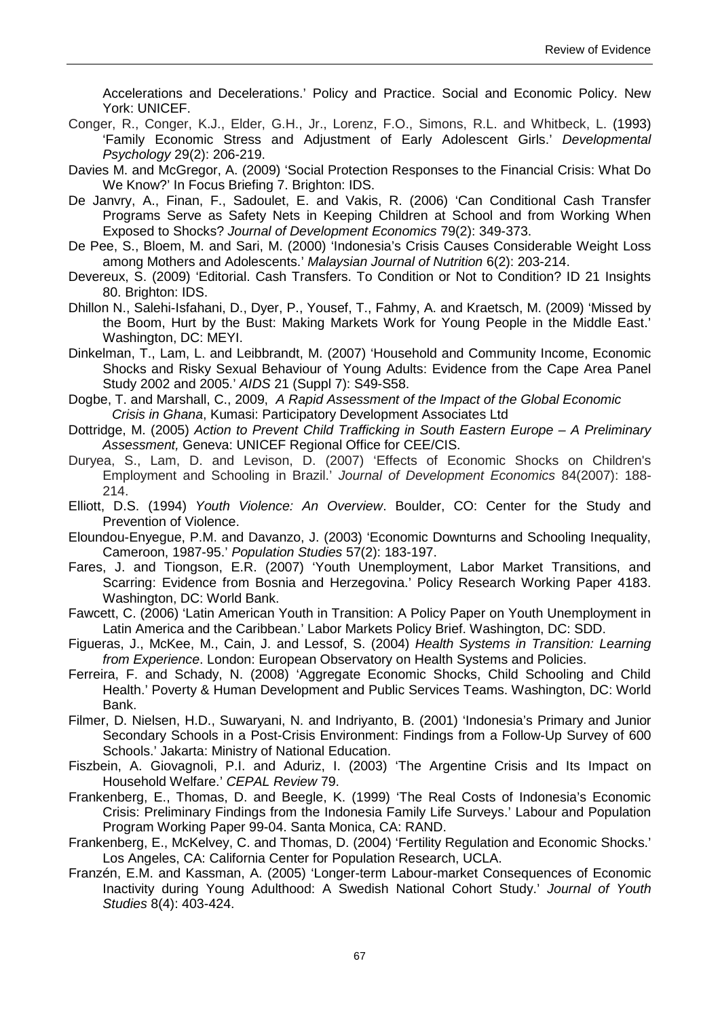Accelerations and Decelerations.' Policy and Practice. Social and Economic Policy. New York: UNICEF.

- Conger, R., Conger, K.J., Elder, G.H., Jr., Lorenz, F.O., Simons, R.L. and Whitbeck, L. (1993) 'Family Economic Stress and Adjustment of Early Adolescent Girls.' *Developmental Psychology* 29(2): 206-219.
- Davies M. and McGregor, A. (2009) 'Social Protection Responses to the Financial Crisis: What Do We Know?' In Focus Briefing 7. Brighton: IDS.
- De Janvry, A., Finan, F., Sadoulet, E. and Vakis, R. (2006) 'Can Conditional Cash Transfer Programs Serve as Safety Nets in Keeping Children at School and from Working When Exposed to Shocks? *Journal of Development Economics* 79(2): 349-373.
- De Pee, S., Bloem, M. and Sari, M. (2000) 'Indonesia's Crisis Causes Considerable Weight Loss among Mothers and Adolescents.' *Malaysian Journal of Nutrition* 6(2): 203-214.
- Devereux, S. (2009) 'Editorial. Cash Transfers. To Condition or Not to Condition? ID 21 Insights 80. Brighton: IDS.
- Dhillon N., Salehi-Isfahani, D., Dyer, P., Yousef, T., Fahmy, A. and Kraetsch, M. (2009) 'Missed by the Boom, Hurt by the Bust: Making Markets Work for Young People in the Middle East.' Washington, DC: MEYI.
- Dinkelman, T., Lam, L. and Leibbrandt, M. (2007) 'Household and Community Income, Economic Shocks and Risky Sexual Behaviour of Young Adults: Evidence from the Cape Area Panel Study 2002 and 2005.' *AIDS* 21 (Suppl 7): S49-S58.
- Dogbe, T. and Marshall, C., 2009, *A Rapid Assessment of the Impact of the Global Economic Crisis in Ghana*, Kumasi: Participatory Development Associates Ltd
- Dottridge, M. (2005) *Action to Prevent Child Trafficking in South Eastern Europe A Preliminary Assessment,* Geneva: UNICEF Regional Office for CEE/CIS.
- Duryea, S., Lam, D. and Levison, D. (2007) 'Effects of Economic Shocks on Children's Employment and Schooling in Brazil.' *Journal of Development Economics* 84(2007): 188- 214.
- Elliott, D.S. (1994) *Youth Violence: An Overview*. Boulder, CO: Center for the Study and Prevention of Violence.
- Eloundou-Enyegue, P.M. and Davanzo, J. (2003) 'Economic Downturns and Schooling Inequality, Cameroon, 1987-95.' *Population Studies* 57(2): 183-197.
- Fares, J. and Tiongson, E.R. (2007) 'Youth Unemployment, Labor Market Transitions, and Scarring: Evidence from Bosnia and Herzegovina.' Policy Research Working Paper 4183. Washington, DC: World Bank.
- Fawcett, C. (2006) 'Latin American Youth in Transition: A Policy Paper on Youth Unemployment in Latin America and the Caribbean.' Labor Markets Policy Brief. Washington, DC: SDD.
- Figueras, J., McKee, M., Cain, J. and Lessof, S. (2004) *Health Systems in Transition: Learning from Experience*. London: European Observatory on Health Systems and Policies.
- Ferreira, F. and Schady, N. (2008) 'Aggregate Economic Shocks, Child Schooling and Child Health.' Poverty & Human Development and Public Services Teams. Washington, DC: World Bank.
- Filmer, D. Nielsen, H.D., Suwaryani, N. and Indriyanto, B. (2001) 'Indonesia's Primary and Junior Secondary Schools in a Post-Crisis Environment: Findings from a Follow-Up Survey of 600 Schools.' Jakarta: Ministry of National Education.
- Fiszbein, A. Giovagnoli, P.I. and Aduriz, I. (2003) 'The Argentine Crisis and Its Impact on Household Welfare.' *CEPAL Review* 79.
- Frankenberg, E., Thomas, D. and Beegle, K. (1999) 'The Real Costs of Indonesia's Economic Crisis: Preliminary Findings from the Indonesia Family Life Surveys.' Labour and Population Program Working Paper 99-04. Santa Monica, CA: RAND.
- Frankenberg, E., McKelvey, C. and Thomas, D. (2004) 'Fertility Regulation and Economic Shocks.' Los Angeles, CA: California Center for Population Research, UCLA.
- Franzén, E.M. and Kassman, A. (2005) 'Longer-term Labour-market Consequences of Economic Inactivity during Young Adulthood: A Swedish National Cohort Study.' *Journal of Youth Studies* 8(4): 403-424.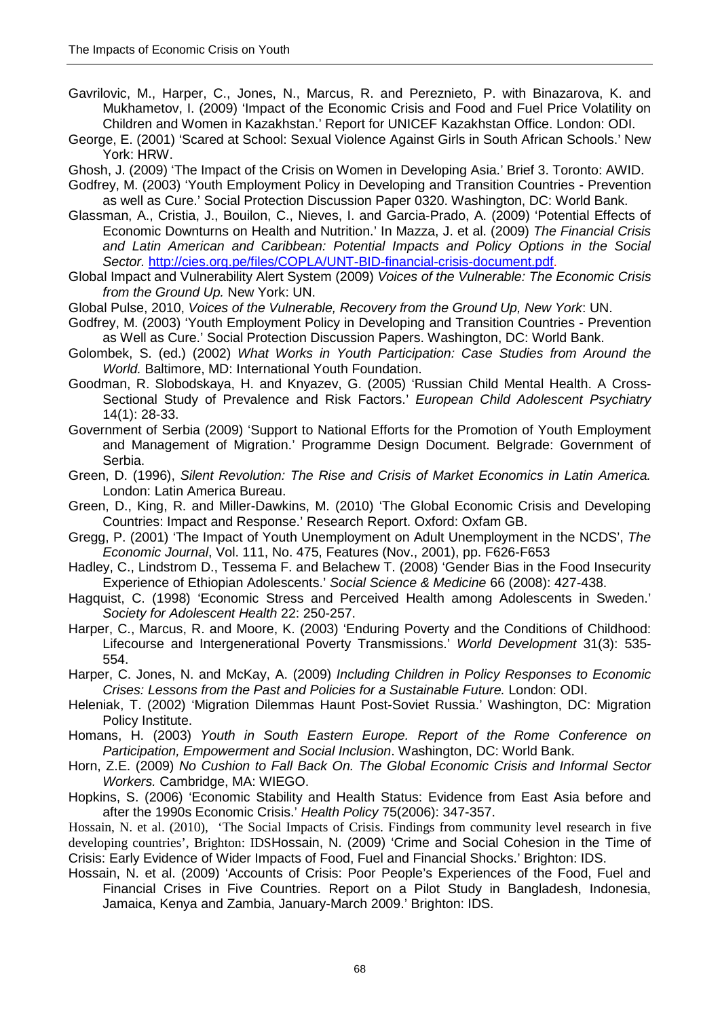- Gavrilovic, M., Harper, C., Jones, N., Marcus, R. and Pereznieto, P. with Binazarova, K. and Mukhametov, I. (2009) 'Impact of the Economic Crisis and Food and Fuel Price Volatility on Children and Women in Kazakhstan.' Report for UNICEF Kazakhstan Office. London: ODI.
- George, E. (2001) 'Scared at School: Sexual Violence Against Girls in South African Schools.' New York: HRW.
- Ghosh, J. (2009) 'The Impact of the Crisis on Women in Developing Asia.' Brief 3. Toronto: AWID.
- Godfrey, M. (2003) 'Youth Employment Policy in Developing and Transition Countries Prevention as well as Cure.' Social Protection Discussion Paper 0320. Washington, DC: World Bank.
- Glassman, A., Cristia, J., Bouilon, C., Nieves, I. and Garcia-Prado, A. (2009) 'Potential Effects of Economic Downturns on Health and Nutrition.' In Mazza, J. et al. (2009) *The Financial Crisis and Latin American and Caribbean: Potential Impacts and Policy Options in the Social Sector.* [http://cies.org.pe/files/COPLA/UNT-BID-financial-crisis-document.pdf.](http://cies.org.pe/files/COPLA/UNT-BID-financial-crisis-document.pdf)
- Global Impact and Vulnerability Alert System (2009) *Voices of the Vulnerable: The Economic Crisis from the Ground Up.* New York: UN.
- Global Pulse, 2010, *Voices of the Vulnerable, Recovery from the Ground Up, New York*: UN.
- Godfrey, M. (2003) 'Youth Employment Policy in Developing and Transition Countries Prevention as Well as Cure.' Social Protection Discussion Papers. Washington, DC: World Bank.
- Golombek, S. (ed.) (2002) *What Works in Youth Participation: Case Studies from Around the World.* Baltimore, MD: International Youth Foundation.
- Goodman, R. Slobodskaya, H. and Knyazev, G. (2005) 'Russian Child Mental Health. A Cross-Sectional Study of Prevalence and Risk Factors.' *European Child Adolescent Psychiatry* 14(1): 28-33.
- Government of Serbia (2009) 'Support to National Efforts for the Promotion of Youth Employment and Management of Migration.' Programme Design Document. Belgrade: Government of Serbia.
- Green, D. (1996), *Silent Revolution: The Rise and Crisis of Market Economics in Latin America.*  London: Latin America Bureau.
- Green, D., King, R. and Miller-Dawkins, M. (2010) 'The Global Economic Crisis and Developing Countries: Impact and Response.' Research Report. Oxford: Oxfam GB.
- Gregg, P. (2001) 'The Impact of Youth Unemployment on Adult Unemployment in the NCDS', *The Economic Journal*, Vol. 111, No. 475, Features (Nov., 2001), pp. F626-F653
- Hadley, C., Lindstrom D., Tessema F. and Belachew T. (2008) 'Gender Bias in the Food Insecurity Experience of Ethiopian Adolescents.' *Social Science & Medicine* 66 (2008): 427-438.
- Hagquist, C. (1998) 'Economic Stress and Perceived Health among Adolescents in Sweden.' *Society for Adolescent Health* 22: 250-257.
- Harper, C., Marcus, R. and Moore, K. (2003) 'Enduring Poverty and the Conditions of Childhood: Lifecourse and Intergenerational Poverty Transmissions.' *World Development* 31(3): 535- 554.
- Harper, C. Jones, N. and McKay, A. (2009) *Including Children in Policy Responses to Economic Crises: Lessons from the Past and Policies for a Sustainable Future.* London: ODI.
- Heleniak, T. (2002) 'Migration Dilemmas Haunt Post-Soviet Russia.' Washington, DC: Migration Policy Institute.
- Homans, H. (2003) *Youth in South Eastern Europe. Report of the Rome Conference on Participation, Empowerment and Social Inclusion*. Washington, DC: World Bank.
- Horn, Z.E. (2009) *No Cushion to Fall Back On. The Global Economic Crisis and Informal Sector Workers.* Cambridge, MA: WIEGO.
- Hopkins, S. (2006) 'Economic Stability and Health Status: Evidence from East Asia before and after the 1990s Economic Crisis.' *Health Policy* 75(2006): 347-357.

Hossain, N. et al. (2010), 'The Social Impacts of Crisis. Findings from community level research in five developing countries', Brighton: IDSHossain, N. (2009) 'Crime and Social Cohesion in the Time of Crisis: Early Evidence of Wider Impacts of Food, Fuel and Financial Shocks.' Brighton: IDS.

Hossain, N. et al. (2009) 'Accounts of Crisis: Poor People's Experiences of the Food, Fuel and Financial Crises in Five Countries. Report on a Pilot Study in Bangladesh, Indonesia, Jamaica, Kenya and Zambia, January-March 2009.' Brighton: IDS.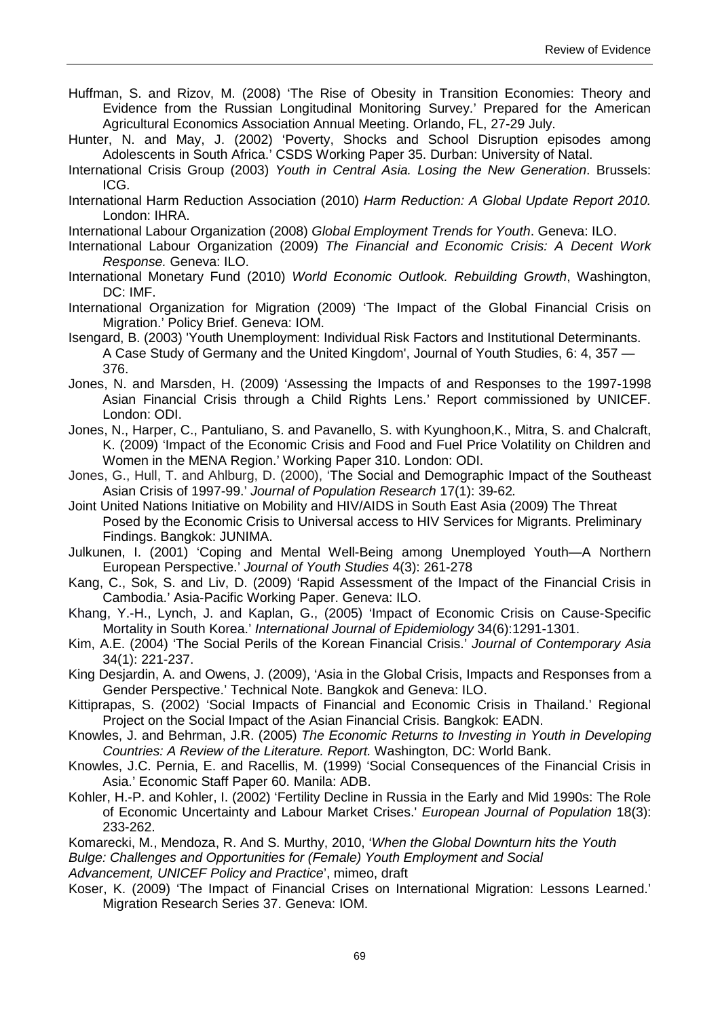- Huffman, S. and Rizov, M. (2008) 'The Rise of Obesity in Transition Economies: Theory and Evidence from the Russian Longitudinal Monitoring Survey.' Prepared for the American Agricultural Economics Association Annual Meeting. Orlando, FL, 27-29 July.
- Hunter, N. and May, J. (2002) 'Poverty, Shocks and School Disruption episodes among Adolescents in South Africa.' CSDS Working Paper 35. Durban: University of Natal.
- International Crisis Group (2003) *Youth in Central Asia. Losing the New Generation*. Brussels: ICG.
- International Harm Reduction Association (2010) *Harm Reduction: A Global Update Report 2010.*  London: IHRA.
- International Labour Organization (2008) *Global Employment Trends for Youth*. Geneva: ILO.
- International Labour Organization (2009) *The Financial and Economic Crisis: A Decent Work Response.* Geneva: ILO.
- International Monetary Fund (2010) *World Economic Outlook. Rebuilding Growth*, Washington, DC: IMF.
- International Organization for Migration (2009) 'The Impact of the Global Financial Crisis on Migration.' Policy Brief. Geneva: IOM.
- Isengard, B. (2003) 'Youth Unemployment: Individual Risk Factors and Institutional Determinants. A Case Study of Germany and the United Kingdom', Journal of Youth Studies, 6: 4, 357 — 376.
- Jones, N. and Marsden, H. (2009) 'Assessing the Impacts of and Responses to the 1997-1998 Asian Financial Crisis through a Child Rights Lens.' Report commissioned by UNICEF. London: ODI.
- Jones, N., Harper, C., Pantuliano, S. and Pavanello, S. with Kyunghoon,K., Mitra, S. and Chalcraft, K. (2009) 'Impact of the Economic Crisis and Food and Fuel Price Volatility on Children and Women in the MENA Region.' Working Paper 310. London: ODI.
- Jones, G., Hull, T. and Ahlburg, D. (2000), 'The Social and Demographic Impact of the Southeast Asian Crisis of 1997-99.' *Journal of Population Research* 17(1): 39-62*.*
- Joint United Nations Initiative on Mobility and HIV/AIDS in South East Asia (2009) The Threat Posed by the Economic Crisis to Universal access to HIV Services for Migrants. Preliminary Findings. Bangkok: JUNIMA.
- Julkunen, I. (2001) 'Coping and Mental Well-Being among Unemployed Youth—A Northern European Perspective.' *Journal of Youth Studies* 4(3): 261-278
- Kang, C., Sok, S. and Liv, D. (2009) 'Rapid Assessment of the Impact of the Financial Crisis in Cambodia.' Asia-Pacific Working Paper. Geneva: ILO.
- Khang, Y.-H., Lynch, J. and Kaplan, G., (2005) 'Impact of Economic Crisis on Cause-Specific Mortality in South Korea.' *International Journal of Epidemiology* 34(6):1291-1301.
- Kim, A.E. (2004) 'The Social Perils of the Korean Financial Crisis.' *Journal of Contemporary Asia*  34(1): 221-237.
- King Desjardin, A. and Owens, J. (2009), 'Asia in the Global Crisis, Impacts and Responses from a Gender Perspective.' Technical Note. Bangkok and Geneva: ILO.
- Kittiprapas, S. (2002) 'Social Impacts of Financial and Economic Crisis in Thailand.' Regional Project on the Social Impact of the Asian Financial Crisis. Bangkok: EADN.
- Knowles, J. and Behrman, J.R. (2005) *The Economic Returns to Investing in Youth in Developing Countries: A Review of the Literature. Report.* Washington, DC: World Bank.
- Knowles, J.C. Pernia, E. and Racellis, M. (1999) 'Social Consequences of the Financial Crisis in Asia.' Economic Staff Paper 60. Manila: ADB.
- Kohler, H.-P. and Kohler, I. (2002) 'Fertility Decline in Russia in the Early and Mid 1990s: The Role of Economic Uncertainty and Labour Market Crises.' *European Journal of Population* 18(3): 233-262.
- Komarecki, M., Mendoza, R. And S. Murthy, 2010, '*When the Global Downturn hits the Youth Bulge: Challenges and Opportunities for (Female) Youth Employment and Social*
- *Advancement, UNICEF Policy and Practice*', mimeo, draft
- Koser, K. (2009) 'The Impact of Financial Crises on International Migration: Lessons Learned.' Migration Research Series 37. Geneva: IOM.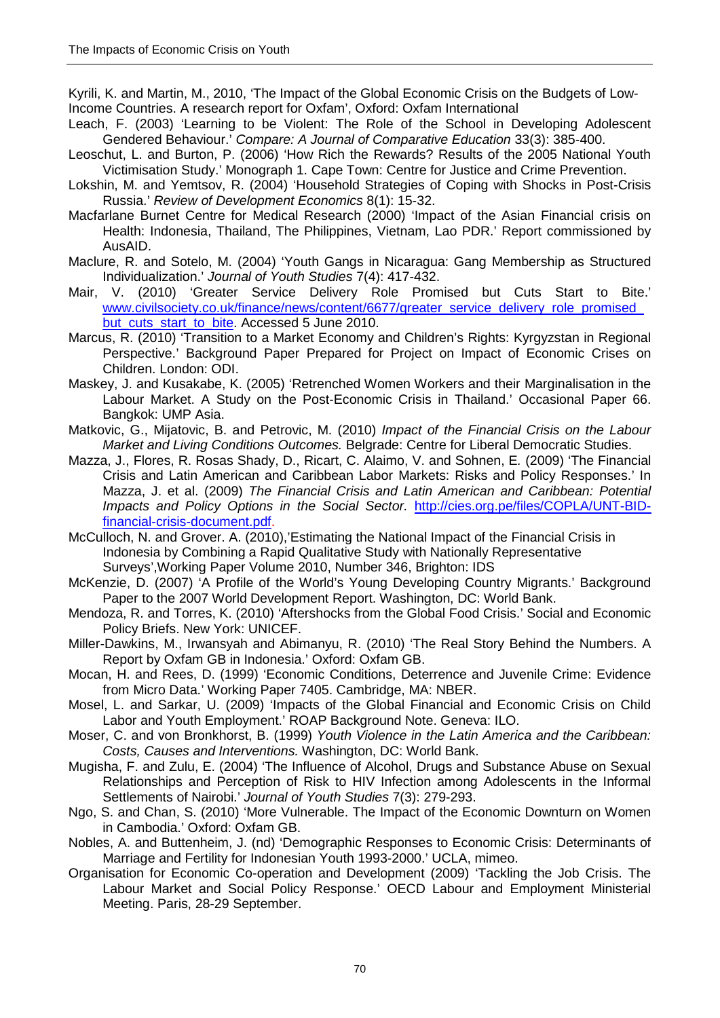Kyrili, K. and Martin, M., 2010, 'The Impact of the Global Economic Crisis on the Budgets of Low-Income Countries. A research report for Oxfam', Oxford: Oxfam International

- Leach, F. (2003) 'Learning to be Violent: The Role of the School in Developing Adolescent Gendered Behaviour.' *Compare: A Journal of Comparative Education* 33(3): 385-400.
- Leoschut, L. and Burton, P. (2006) 'How Rich the Rewards? Results of the 2005 National Youth Victimisation Study.' Monograph 1. Cape Town: Centre for Justice and Crime Prevention.
- Lokshin, M. and Yemtsov, R. (2004) 'Household Strategies of Coping with Shocks in Post-Crisis Russia.' *Review of Development Economics* 8(1): 15-32.
- Macfarlane Burnet Centre for Medical Research (2000) 'Impact of the Asian Financial crisis on Health: Indonesia, Thailand, The Philippines, Vietnam, Lao PDR.' Report commissioned by AusAID.
- Maclure, R. and Sotelo, M. (2004) 'Youth Gangs in Nicaragua: Gang Membership as Structured Individualization.' *Journal of Youth Studies* 7(4): 417-432.
- Mair, V. (2010) 'Greater Service Delivery Role Promised but Cuts Start to Bite.' [www.civilsociety.co.uk/finance/news/content/6677/greater\\_service\\_delivery\\_role\\_promised\\_](http://www.civilsociety.co.uk/finance/news/content/6677/greater_service_delivery_role_promised_but_cuts_start_to_bite) but cuts start to bite. Accessed 5 June 2010.
- Marcus, R. (2010) 'Transition to a Market Economy and Children's Rights: Kyrgyzstan in Regional Perspective.' Background Paper Prepared for Project on Impact of Economic Crises on Children. London: ODI.
- Maskey, J. and Kusakabe, K. (2005) 'Retrenched Women Workers and their Marginalisation in the Labour Market. A Study on the Post-Economic Crisis in Thailand.' Occasional Paper 66. Bangkok: UMP Asia.
- Matkovic, G., Mijatovic, B. and Petrovic, M. (2010) *Impact of the Financial Crisis on the Labour Market and Living Conditions Outcomes.* Belgrade: Centre for Liberal Democratic Studies.
- Mazza, J., Flores, R. Rosas Shady, D., Ricart, C. Alaimo, V. and Sohnen, E*.* (2009) 'The Financial Crisis and Latin American and Caribbean Labor Markets: Risks and Policy Responses.' In Mazza, J. et al. (2009) *The Financial Crisis and Latin American and Caribbean: Potential Impacts and Policy Options in the Social Sector.* [http://cies.org.pe/files/COPLA/UNT-BID](http://cies.org.pe/files/COPLA/UNT-BID-financial-crisis-document.pdf)[financial-crisis-document.pdf.](http://cies.org.pe/files/COPLA/UNT-BID-financial-crisis-document.pdf)
- McCulloch, N. and Grover. A. (2010),'Estimating the National Impact of the Financial Crisis in Indonesia by Combining a Rapid Qualitative Study with Nationally Representative Surveys',Working Paper Volume 2010, Number 346, Brighton: IDS
- McKenzie, D. (2007) 'A Profile of the World's Young Developing Country Migrants.' Background Paper to the 2007 World Development Report. Washington, DC: World Bank.
- Mendoza, R. and Torres, K. (2010) 'Aftershocks from the Global Food Crisis.' Social and Economic Policy Briefs. New York: UNICEF.
- Miller-Dawkins, M., Irwansyah and Abimanyu, R. (2010) 'The Real Story Behind the Numbers. A Report by Oxfam GB in Indonesia.' Oxford: Oxfam GB.
- Mocan, H. and Rees, D. (1999) 'Economic Conditions, Deterrence and Juvenile Crime: Evidence from Micro Data.' Working Paper 7405. Cambridge, MA: NBER.
- Mosel, L. and Sarkar, U. (2009) 'Impacts of the Global Financial and Economic Crisis on Child Labor and Youth Employment.' ROAP Background Note. Geneva: ILO.
- Moser, C. and von Bronkhorst, B. (1999) *Youth Violence in the Latin America and the Caribbean: Costs, Causes and Interventions.* Washington, DC: World Bank.
- Mugisha, F. and Zulu, E. (2004) 'The Influence of Alcohol, Drugs and Substance Abuse on Sexual Relationships and Perception of Risk to HIV Infection among Adolescents in the Informal Settlements of Nairobi.' *Journal of Youth Studies* 7(3): 279-293.
- Ngo, S. and Chan, S. (2010) 'More Vulnerable. The Impact of the Economic Downturn on Women in Cambodia.' Oxford: Oxfam GB.
- Nobles, A. and Buttenheim, J. (nd) 'Demographic Responses to Economic Crisis: Determinants of Marriage and Fertility for Indonesian Youth 1993-2000.' UCLA, mimeo.
- Organisation for Economic Co-operation and Development (2009) 'Tackling the Job Crisis. The Labour Market and Social Policy Response.' OECD Labour and Employment Ministerial Meeting. Paris, 28-29 September.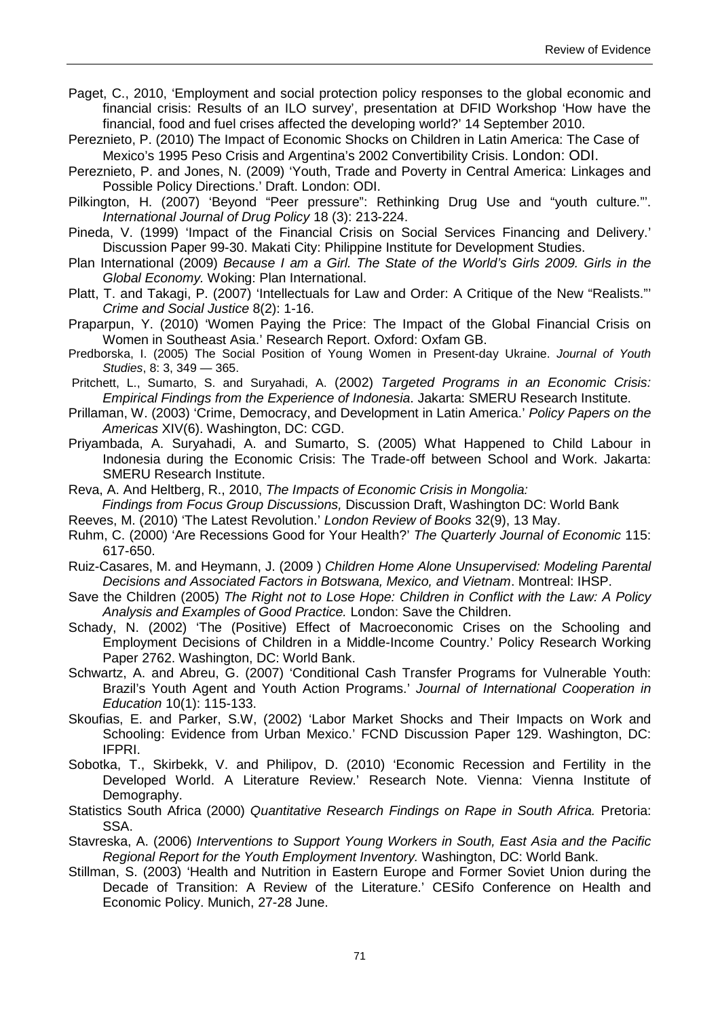- Paget, C., 2010, 'Employment and social protection policy responses to the global economic and financial crisis: Results of an ILO survey', presentation at DFID Workshop 'How have the financial, food and fuel crises affected the developing world?' 14 September 2010.
- Pereznieto, P. (2010) The Impact of Economic Shocks on Children in Latin America: The Case of Mexico's 1995 Peso Crisis and Argentina's 2002 Convertibility Crisis. London: ODI.
- Pereznieto, P. and Jones, N. (2009) 'Youth, Trade and Poverty in Central America: Linkages and Possible Policy Directions.' Draft. London: ODI.
- Pilkington, H. (2007) 'Beyond "Peer pressure": Rethinking Drug Use and "youth culture."'. *International Journal of Drug Policy* 18 (3): 213-224.
- Pineda, V. (1999) 'Impact of the Financial Crisis on Social Services Financing and Delivery.' Discussion Paper 99-30. Makati City: Philippine Institute for Development Studies.
- Plan International (2009) *Because I am a Girl. The State of the World's Girls 2009. Girls in the Global Economy.* Woking: Plan International.
- Platt, T. and Takagi, P. (2007) 'Intellectuals for Law and Order: A Critique of the New "Realists."' *Crime and Social Justice* 8(2): 1-16.
- Praparpun, Y. (2010) 'Women Paying the Price: The Impact of the Global Financial Crisis on Women in Southeast Asia.' Research Report. Oxford: Oxfam GB.
- Predborska, I. (2005) The Social Position of Young Women in Present-day Ukraine. *Journal of Youth Studies*, 8: 3, 349 — 365.
- Pritchett, L., Sumarto, S. and Suryahadi, A. (2002) *Targeted Programs in an Economic Crisis: Empirical Findings from the Experience of Indonesia*. Jakarta: SMERU Research Institute.
- Prillaman, W. (2003) 'Crime, Democracy, and Development in Latin America.' *Policy Papers on the Americas* XIV(6). Washington, DC: CGD.
- Priyambada, A. Suryahadi, A. and Sumarto, S. (2005) What Happened to Child Labour in Indonesia during the Economic Crisis: The Trade-off between School and Work. Jakarta: SMERU Research Institute.
- Reva, A. And Heltberg, R., 2010, *The Impacts of Economic Crisis in Mongolia: Findings from Focus Group Discussions,* Discussion Draft, Washington DC: World Bank
- Reeves, M. (2010) 'The Latest Revolution.' *London Review of Books* 32(9), 13 May.
- Ruhm, C. (2000) 'Are Recessions Good for Your Health?' *The Quarterly Journal of Economic* 115: 617-650.
- Ruiz-Casares, M. and Heymann, J. (2009 ) *Children Home Alone Unsupervised: Modeling Parental Decisions and Associated Factors in Botswana, Mexico, and Vietnam*. Montreal: IHSP.
- Save the Children (2005) *The Right not to Lose Hope: Children in Conflict with the Law: A Policy Analysis and Examples of Good Practice.* London: Save the Children.
- Schady, N. (2002) 'The (Positive) Effect of Macroeconomic Crises on the Schooling and Employment Decisions of Children in a Middle-Income Country.' Policy Research Working Paper 2762. Washington, DC: World Bank.
- Schwartz, A. and Abreu, G. (2007) 'Conditional Cash Transfer Programs for Vulnerable Youth: Brazil's Youth Agent and Youth Action Programs.' *Journal of International Cooperation in Education* 10(1): 115-133.
- Skoufias, E. and Parker, S.W, (2002) 'Labor Market Shocks and Their Impacts on Work and Schooling: Evidence from Urban Mexico.' FCND Discussion Paper 129. Washington, DC: IFPRI.
- Sobotka, T., Skirbekk, V. and Philipov, D. (2010) 'Economic Recession and Fertility in the Developed World. A Literature Review.' Research Note. Vienna: Vienna Institute of Demography.
- Statistics South Africa (2000) *Quantitative Research Findings on Rape in South Africa.* Pretoria: SSA.
- Stavreska, A. (2006) *Interventions to Support Young Workers in South, East Asia and the Pacific Regional Report for the Youth Employment Inventory.* Washington, DC: World Bank.
- Stillman, S. (2003) 'Health and Nutrition in Eastern Europe and Former Soviet Union during the Decade of Transition: A Review of the Literature.' CESifo Conference on Health and Economic Policy. Munich, 27-28 June.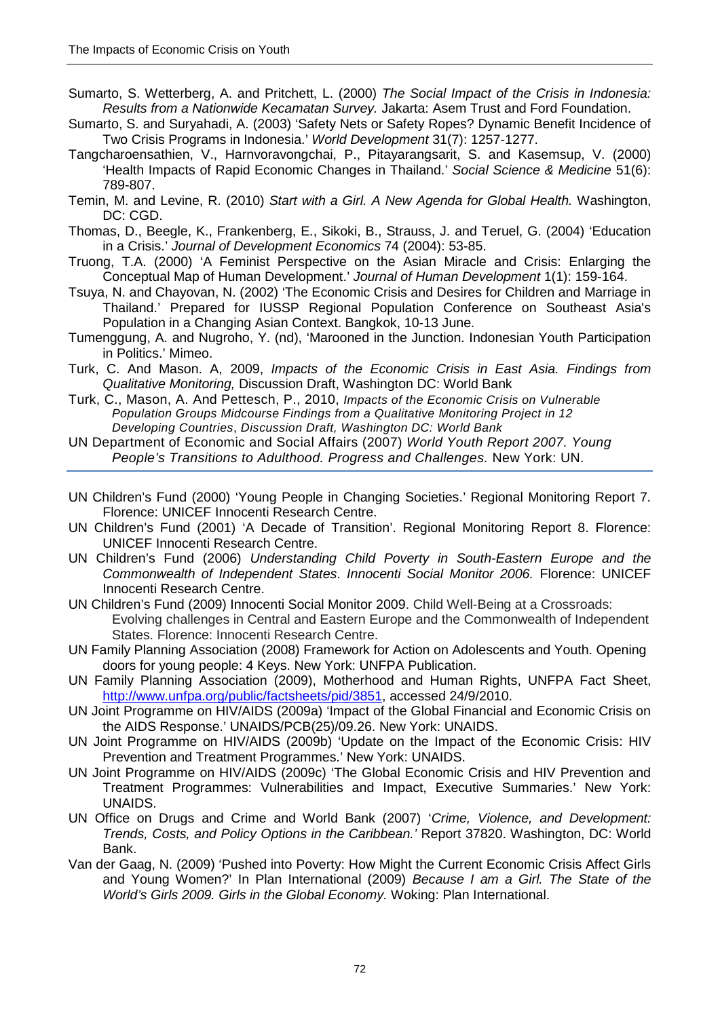- Sumarto, S. Wetterberg, A. and Pritchett, L. (2000) *The Social Impact of the Crisis in Indonesia: Results from a Nationwide Kecamatan Survey.* Jakarta: Asem Trust and Ford Foundation.
- Sumarto, S. and Suryahadi, A. (2003) 'Safety Nets or Safety Ropes? Dynamic Benefit Incidence of Two Crisis Programs in Indonesia.' *World Development* 31(7): 1257-1277.
- Tangcharoensathien, V., Harnvoravongchai, P., Pitayarangsarit, S. and Kasemsup, V. (2000) 'Health Impacts of Rapid Economic Changes in Thailand.' *Social Science & Medicine* 51(6): 789-807.
- Temin, M. and Levine, R. (2010) *Start with a Girl. A New Agenda for Global Health.* Washington, DC: CGD.
- Thomas, D., Beegle, K., Frankenberg, E., Sikoki, B., Strauss, J. and Teruel, G. (2004) 'Education in a Crisis.' *Journal of Development Economics* 74 (2004): 53-85.
- Truong, T.A. (2000) 'A Feminist Perspective on the Asian Miracle and Crisis: Enlarging the Conceptual Map of Human Development.' *Journal of Human Development* 1(1): 159-164.
- Tsuya, N. and Chayovan, N. (2002) 'The Economic Crisis and Desires for Children and Marriage in Thailand.' Prepared for IUSSP Regional Population Conference on Southeast Asia's Population in a Changing Asian Context. Bangkok, 10-13 June.
- Tumenggung, A. and Nugroho, Y. (nd), 'Marooned in the Junction. Indonesian Youth Participation in Politics.' Mimeo.
- Turk, C. And Mason. A, 2009, *Impacts of the Economic Crisis in East Asia. Findings from Qualitative Monitoring,* Discussion Draft, Washington DC: World Bank
- Turk, C., Mason, A. And Pettesch, P., 2010, *Impacts of the Economic Crisis on Vulnerable Population Groups Midcourse Findings from a Qualitative Monitoring Project in 12 Developing Countries*, *Discussion Draft, Washington DC: World Bank*
- UN Department of Economic and Social Affairs (2007) *World Youth Report 2007. Young People's Transitions to Adulthood. Progress and Challenges.* New York: UN.
- UN Children's Fund (2000) 'Young People in Changing Societies.' Regional Monitoring Report 7. Florence: UNICEF Innocenti Research Centre.
- UN Children's Fund (2001) 'A Decade of Transition'. Regional Monitoring Report 8. Florence: UNICEF Innocenti Research Centre.
- UN Children's Fund (2006) *Understanding Child Poverty in South-Eastern Europe and the Commonwealth of Independent States*. *Innocenti Social Monitor 2006.* Florence: UNICEF Innocenti Research Centre.
- UN Children's Fund (2009) Innocenti Social Monitor 2009. Child Well-Being at a Crossroads: Evolving challenges in Central and Eastern Europe and the Commonwealth of Independent States. Florence: Innocenti Research Centre.
- UN Family Planning Association (2008) Framework for Action on Adolescents and Youth. Opening doors for young people: 4 Keys. New York: UNFPA Publication.
- UN Family Planning Association (2009), Motherhood and Human Rights, UNFPA Fact Sheet, [http://www.unfpa.org/public/factsheets/pid/3851,](http://www.unfpa.org/public/factsheets/pid/3851) accessed 24/9/2010.
- UN Joint Programme on HIV/AIDS (2009a) 'Impact of the Global Financial and Economic Crisis on the AIDS Response.' UNAIDS/PCB(25)/09.26. New York: UNAIDS.
- UN Joint Programme on HIV/AIDS (2009b) 'Update on the Impact of the Economic Crisis: HIV Prevention and Treatment Programmes.' New York: UNAIDS.
- UN Joint Programme on HIV/AIDS (2009c) 'The Global Economic Crisis and HIV Prevention and Treatment Programmes: Vulnerabilities and Impact, Executive Summaries.' New York: UNAIDS.
- UN Office on Drugs and Crime and World Bank (2007) '*Crime, Violence, and Development: Trends, Costs, and Policy Options in the Caribbean.'* Report 37820. Washington, DC: World Bank.
- Van der Gaag, N. (2009) 'Pushed into Poverty: How Might the Current Economic Crisis Affect Girls and Young Women?' In Plan International (2009) *Because I am a Girl. The State of the World's Girls 2009. Girls in the Global Economy.* Woking: Plan International.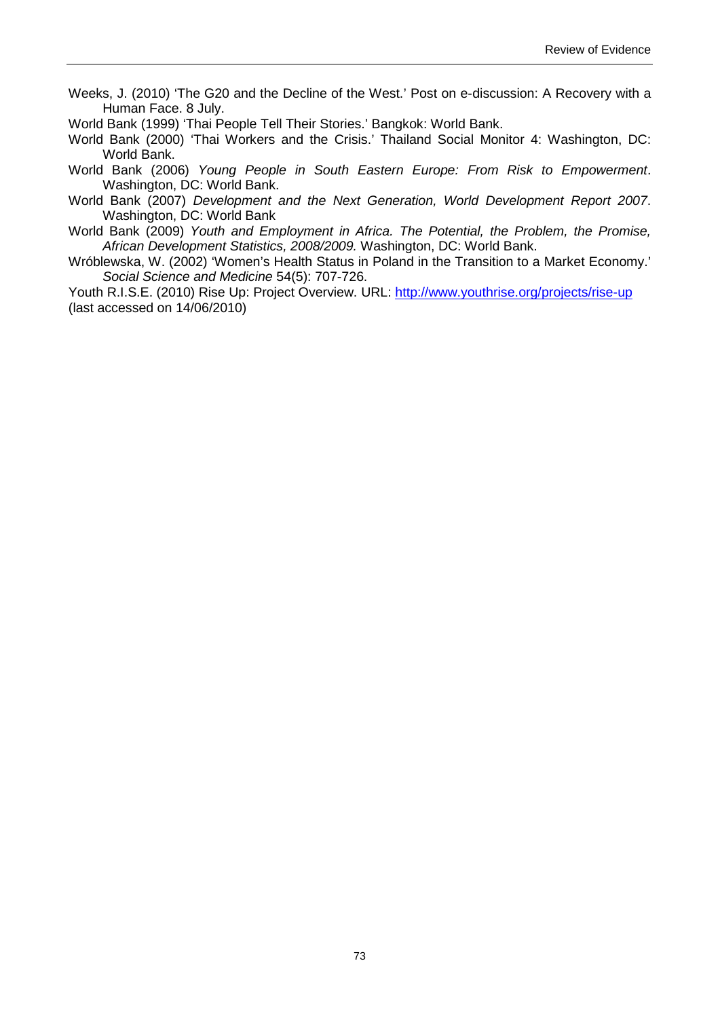Weeks, J. (2010) 'The G20 and the Decline of the West.' Post on e-discussion: A Recovery with a Human Face. 8 July.

World Bank (1999) 'Thai People Tell Their Stories.' Bangkok: World Bank.

World Bank (2000) 'Thai Workers and the Crisis.' Thailand Social Monitor 4: Washington, DC: World Bank.

- World Bank (2006) *Young People in South Eastern Europe: From Risk to Empowerment*. Washington, DC: World Bank.
- World Bank (2007) *Development and the Next Generation, World Development Report 2007*. Washington, DC: World Bank
- World Bank (2009) *Youth and Employment in Africa. The Potential, the Problem, the Promise, African Development Statistics, 2008/2009.* Washington, DC: World Bank.
- Wróblewska, W. (2002) 'Women's Health Status in Poland in the Transition to a Market Economy.' *Social Science and Medicine* 54(5): 707-726.

Youth R.I.S.E. (2010) Rise Up: Project Overview. URL:<http://www.youthrise.org/projects/rise-up> (last accessed on 14/06/2010)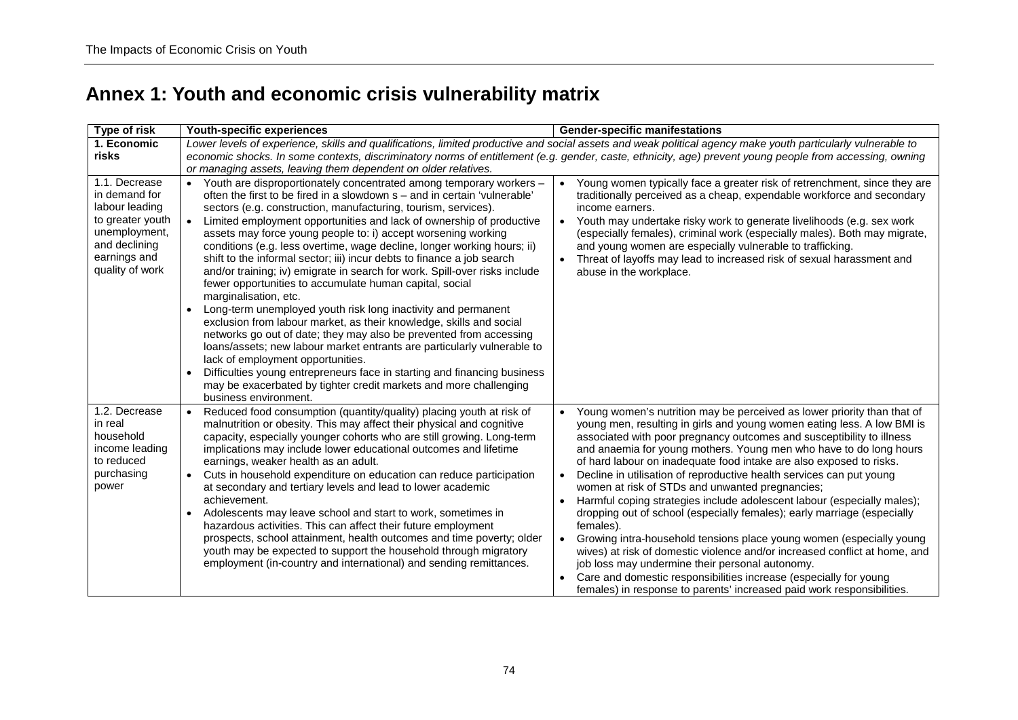## **Annex 1: Youth and economic crisis vulnerability matrix**

| Type of risk                                                                                                                              | Youth-specific experiences                                                                                                                                                                                                                                                                                                                                                                                                                                                                                                                                                                                                                                                                                                                                                                                                                                                                                                                                                                                                                                                                                                                                                                                           | <b>Gender-specific manifestations</b>                                                                                                                                                                                                                                                                                                                                                                                                                                                                                                                                                                                                                                                                                                                                                                                                                                                                                                                                                                                          |
|-------------------------------------------------------------------------------------------------------------------------------------------|----------------------------------------------------------------------------------------------------------------------------------------------------------------------------------------------------------------------------------------------------------------------------------------------------------------------------------------------------------------------------------------------------------------------------------------------------------------------------------------------------------------------------------------------------------------------------------------------------------------------------------------------------------------------------------------------------------------------------------------------------------------------------------------------------------------------------------------------------------------------------------------------------------------------------------------------------------------------------------------------------------------------------------------------------------------------------------------------------------------------------------------------------------------------------------------------------------------------|--------------------------------------------------------------------------------------------------------------------------------------------------------------------------------------------------------------------------------------------------------------------------------------------------------------------------------------------------------------------------------------------------------------------------------------------------------------------------------------------------------------------------------------------------------------------------------------------------------------------------------------------------------------------------------------------------------------------------------------------------------------------------------------------------------------------------------------------------------------------------------------------------------------------------------------------------------------------------------------------------------------------------------|
| 1. Economic<br>risks                                                                                                                      | or managing assets, leaving them dependent on older relatives.                                                                                                                                                                                                                                                                                                                                                                                                                                                                                                                                                                                                                                                                                                                                                                                                                                                                                                                                                                                                                                                                                                                                                       | Lower levels of experience, skills and qualifications, limited productive and social assets and weak political agency make youth particularly vulnerable to<br>economic shocks. In some contexts, discriminatory norms of entitlement (e.g. gender, caste, ethnicity, age) prevent young people from accessing, owning                                                                                                                                                                                                                                                                                                                                                                                                                                                                                                                                                                                                                                                                                                         |
| 1.1. Decrease<br>in demand for<br>labour leading<br>to greater youth<br>unemployment,<br>and declining<br>earnings and<br>quality of work | Youth are disproportionately concentrated among temporary workers -<br>often the first to be fired in a slowdown s – and in certain 'vulnerable'<br>sectors (e.g. construction, manufacturing, tourism, services).<br>Limited employment opportunities and lack of ownership of productive<br>$\bullet$<br>assets may force young people to: i) accept worsening working<br>conditions (e.g. less overtime, wage decline, longer working hours; ii)<br>shift to the informal sector; iii) incur debts to finance a job search<br>and/or training; iv) emigrate in search for work. Spill-over risks include<br>fewer opportunities to accumulate human capital, social<br>marginalisation, etc.<br>Long-term unemployed youth risk long inactivity and permanent<br>exclusion from labour market, as their knowledge, skills and social<br>networks go out of date; they may also be prevented from accessing<br>loans/assets; new labour market entrants are particularly vulnerable to<br>lack of employment opportunities.<br>Difficulties young entrepreneurs face in starting and financing business<br>$\bullet$<br>may be exacerbated by tighter credit markets and more challenging<br>business environment. | Young women typically face a greater risk of retrenchment, since they are<br>traditionally perceived as a cheap, expendable workforce and secondary<br>income earners.<br>Youth may undertake risky work to generate livelihoods (e.g. sex work<br>$\bullet$<br>(especially females), criminal work (especially males). Both may migrate,<br>and young women are especially vulnerable to trafficking.<br>Threat of layoffs may lead to increased risk of sexual harassment and<br>abuse in the workplace.                                                                                                                                                                                                                                                                                                                                                                                                                                                                                                                     |
| 1.2. Decrease<br>in real<br>household<br>income leading<br>to reduced<br>purchasing<br>power                                              | Reduced food consumption (quantity/quality) placing youth at risk of<br>$\bullet$<br>malnutrition or obesity. This may affect their physical and cognitive<br>capacity, especially younger cohorts who are still growing. Long-term<br>implications may include lower educational outcomes and lifetime<br>earnings, weaker health as an adult.<br>Cuts in household expenditure on education can reduce participation<br>$\bullet$<br>at secondary and tertiary levels and lead to lower academic<br>achievement.<br>Adolescents may leave school and start to work, sometimes in<br>hazardous activities. This can affect their future employment<br>prospects, school attainment, health outcomes and time poverty; older<br>youth may be expected to support the household through migratory<br>employment (in-country and international) and sending remittances.                                                                                                                                                                                                                                                                                                                                               | Young women's nutrition may be perceived as lower priority than that of<br>young men, resulting in girls and young women eating less. A low BMI is<br>associated with poor pregnancy outcomes and susceptibility to illness<br>and anaemia for young mothers. Young men who have to do long hours<br>of hard labour on inadequate food intake are also exposed to risks.<br>Decline in utilisation of reproductive health services can put young<br>women at risk of STDs and unwanted pregnancies;<br>Harmful coping strategies include adolescent labour (especially males);<br>dropping out of school (especially females); early marriage (especially<br>females).<br>Growing intra-household tensions place young women (especially young<br>wives) at risk of domestic violence and/or increased conflict at home, and<br>job loss may undermine their personal autonomy.<br>Care and domestic responsibilities increase (especially for young<br>females) in response to parents' increased paid work responsibilities. |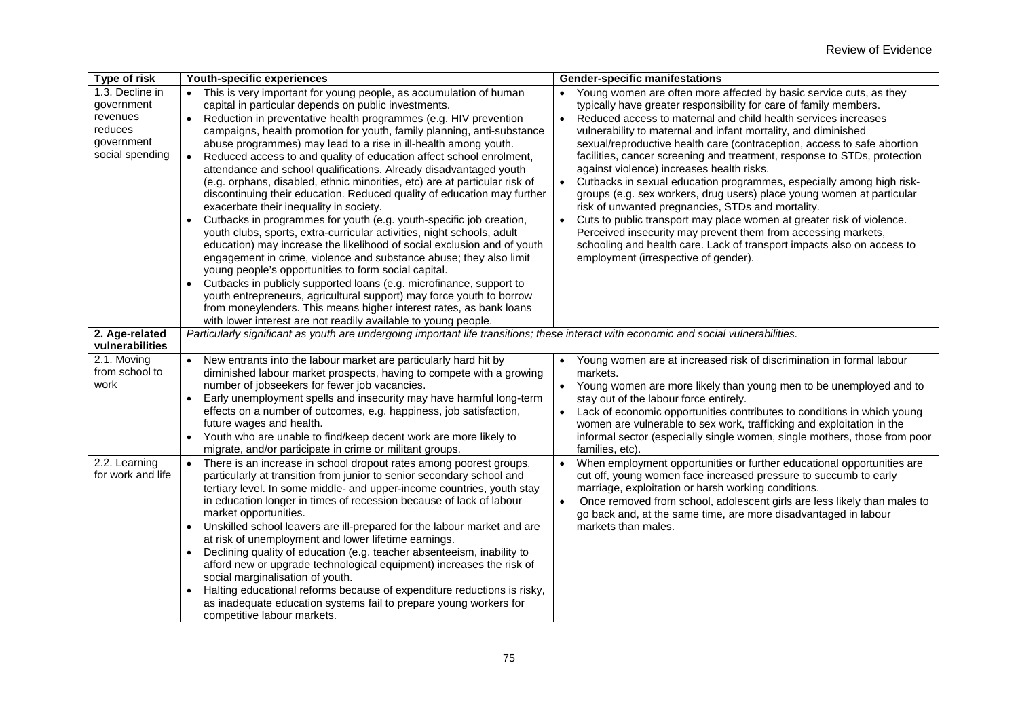| Type of risk                                                                          | Youth-specific experiences                                                                                                                                                                                                                                                                                                                                                                                                                                                                                                                                                                                                                                                                                                                                                                                                                                                                                                                                                                                                                                                                                                                                                                                                                                                                                                                                              | <b>Gender-specific manifestations</b>                                                                                                                                                                                                                                                                                                                                                                                                                                                                                                                                                                                                                                                                                                                                                                                                                                                                                                                            |
|---------------------------------------------------------------------------------------|-------------------------------------------------------------------------------------------------------------------------------------------------------------------------------------------------------------------------------------------------------------------------------------------------------------------------------------------------------------------------------------------------------------------------------------------------------------------------------------------------------------------------------------------------------------------------------------------------------------------------------------------------------------------------------------------------------------------------------------------------------------------------------------------------------------------------------------------------------------------------------------------------------------------------------------------------------------------------------------------------------------------------------------------------------------------------------------------------------------------------------------------------------------------------------------------------------------------------------------------------------------------------------------------------------------------------------------------------------------------------|------------------------------------------------------------------------------------------------------------------------------------------------------------------------------------------------------------------------------------------------------------------------------------------------------------------------------------------------------------------------------------------------------------------------------------------------------------------------------------------------------------------------------------------------------------------------------------------------------------------------------------------------------------------------------------------------------------------------------------------------------------------------------------------------------------------------------------------------------------------------------------------------------------------------------------------------------------------|
| 1.3. Decline in<br>government<br>revenues<br>reduces<br>government<br>social spending | • This is very important for young people, as accumulation of human<br>capital in particular depends on public investments.<br>Reduction in preventative health programmes (e.g. HIV prevention<br>$\bullet$<br>campaigns, health promotion for youth, family planning, anti-substance<br>abuse programmes) may lead to a rise in ill-health among youth.<br>Reduced access to and quality of education affect school enrolment,<br>attendance and school qualifications. Already disadvantaged youth<br>(e.g. orphans, disabled, ethnic minorities, etc) are at particular risk of<br>discontinuing their education. Reduced quality of education may further<br>exacerbate their inequality in society.<br>Cutbacks in programmes for youth (e.g. youth-specific job creation,<br>$\bullet$<br>youth clubs, sports, extra-curricular activities, night schools, adult<br>education) may increase the likelihood of social exclusion and of youth<br>engagement in crime, violence and substance abuse; they also limit<br>young people's opportunities to form social capital.<br>Cutbacks in publicly supported loans (e.g. microfinance, support to<br>youth entrepreneurs, agricultural support) may force youth to borrow<br>from moneylenders. This means higher interest rates, as bank loans<br>with lower interest are not readily available to young people. | • Young women are often more affected by basic service cuts, as they<br>typically have greater responsibility for care of family members.<br>Reduced access to maternal and child health services increases<br>$\bullet$<br>vulnerability to maternal and infant mortality, and diminished<br>sexual/reproductive health care (contraception, access to safe abortion<br>facilities, cancer screening and treatment, response to STDs, protection<br>against violence) increases health risks.<br>Cutbacks in sexual education programmes, especially among high risk-<br>groups (e.g. sex workers, drug users) place young women at particular<br>risk of unwanted pregnancies, STDs and mortality.<br>Cuts to public transport may place women at greater risk of violence.<br>Perceived insecurity may prevent them from accessing markets,<br>schooling and health care. Lack of transport impacts also on access to<br>employment (irrespective of gender). |
| 2. Age-related<br>vulnerabilities                                                     | Particularly significant as youth are undergoing important life transitions; these interact with economic and social vulnerabilities.                                                                                                                                                                                                                                                                                                                                                                                                                                                                                                                                                                                                                                                                                                                                                                                                                                                                                                                                                                                                                                                                                                                                                                                                                                   |                                                                                                                                                                                                                                                                                                                                                                                                                                                                                                                                                                                                                                                                                                                                                                                                                                                                                                                                                                  |
| 2.1. Moving<br>from school to<br>work                                                 | • New entrants into the labour market are particularly hard hit by<br>diminished labour market prospects, having to compete with a growing<br>number of jobseekers for fewer job vacancies.<br>Early unemployment spells and insecurity may have harmful long-term<br>$\bullet$<br>effects on a number of outcomes, e.g. happiness, job satisfaction,<br>future wages and health.<br>Youth who are unable to find/keep decent work are more likely to<br>$\bullet$<br>migrate, and/or participate in crime or militant groups.                                                                                                                                                                                                                                                                                                                                                                                                                                                                                                                                                                                                                                                                                                                                                                                                                                          | Young women are at increased risk of discrimination in formal labour<br>markets.<br>Young women are more likely than young men to be unemployed and to<br>$\bullet$<br>stay out of the labour force entirely.<br>Lack of economic opportunities contributes to conditions in which young<br>$\bullet$<br>women are vulnerable to sex work, trafficking and exploitation in the<br>informal sector (especially single women, single mothers, those from poor<br>families, etc).                                                                                                                                                                                                                                                                                                                                                                                                                                                                                   |
| 2.2. Learning<br>for work and life                                                    | There is an increase in school dropout rates among poorest groups,<br>particularly at transition from junior to senior secondary school and<br>tertiary level. In some middle- and upper-income countries, youth stay<br>in education longer in times of recession because of lack of labour<br>market opportunities.<br>Unskilled school leavers are ill-prepared for the labour market and are<br>at risk of unemployment and lower lifetime earnings.<br>Declining quality of education (e.g. teacher absenteeism, inability to<br>$\bullet$<br>afford new or upgrade technological equipment) increases the risk of<br>social marginalisation of youth.<br>Halting educational reforms because of expenditure reductions is risky,<br>$\bullet$<br>as inadequate education systems fail to prepare young workers for<br>competitive labour markets.                                                                                                                                                                                                                                                                                                                                                                                                                                                                                                                 | When employment opportunities or further educational opportunities are<br>cut off, young women face increased pressure to succumb to early<br>marriage, exploitation or harsh working conditions.<br>Once removed from school, adolescent girls are less likely than males to<br>$\bullet$<br>go back and, at the same time, are more disadvantaged in labour<br>markets than males.                                                                                                                                                                                                                                                                                                                                                                                                                                                                                                                                                                             |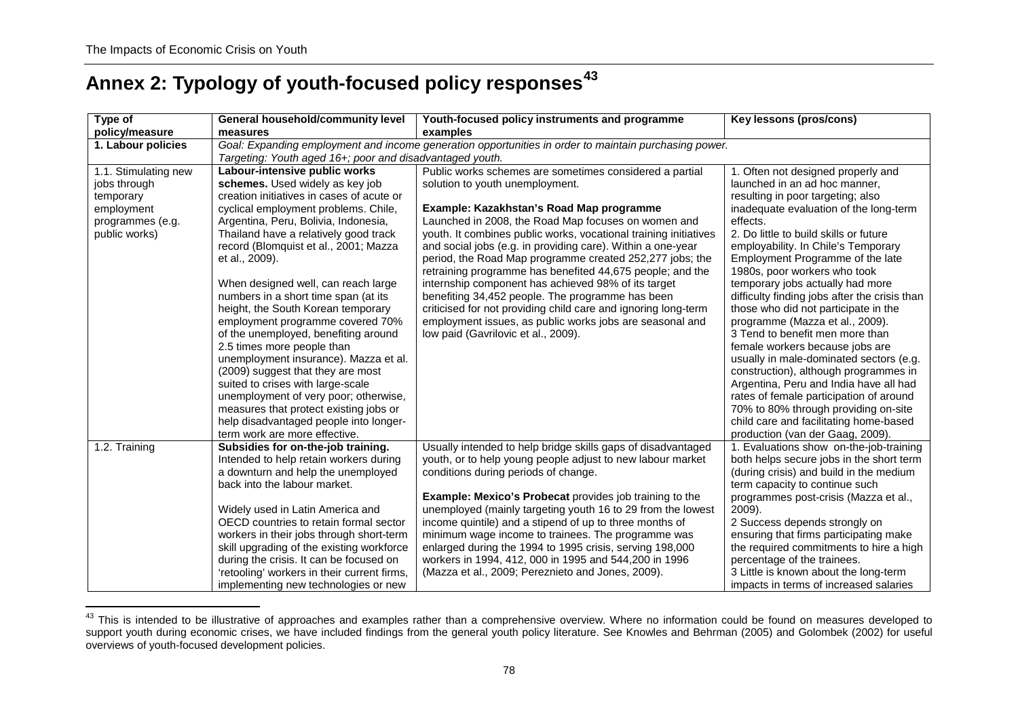# **Annex 2: Typology of youth-focused policy responses[43](#page-69-0)**

| Type of                                                                                              | General household/community level                                                                                                                                                                                                                                                                                                                                                                                                                                                                                                                                                                                                                                                                                                                                                | Youth-focused policy instruments and programme                                                                                                                                                                                                                                                                                                                                                                                                                                                                                                                                                                                                                                                                                            | Key lessons (pros/cons)                                                                                                                                                                                                                                                                                                                                                                                                                                                                                                                                                                                                                                                                                                                                                                                              |  |
|------------------------------------------------------------------------------------------------------|----------------------------------------------------------------------------------------------------------------------------------------------------------------------------------------------------------------------------------------------------------------------------------------------------------------------------------------------------------------------------------------------------------------------------------------------------------------------------------------------------------------------------------------------------------------------------------------------------------------------------------------------------------------------------------------------------------------------------------------------------------------------------------|-------------------------------------------------------------------------------------------------------------------------------------------------------------------------------------------------------------------------------------------------------------------------------------------------------------------------------------------------------------------------------------------------------------------------------------------------------------------------------------------------------------------------------------------------------------------------------------------------------------------------------------------------------------------------------------------------------------------------------------------|----------------------------------------------------------------------------------------------------------------------------------------------------------------------------------------------------------------------------------------------------------------------------------------------------------------------------------------------------------------------------------------------------------------------------------------------------------------------------------------------------------------------------------------------------------------------------------------------------------------------------------------------------------------------------------------------------------------------------------------------------------------------------------------------------------------------|--|
| policy/measure                                                                                       | measures                                                                                                                                                                                                                                                                                                                                                                                                                                                                                                                                                                                                                                                                                                                                                                         | examples                                                                                                                                                                                                                                                                                                                                                                                                                                                                                                                                                                                                                                                                                                                                  |                                                                                                                                                                                                                                                                                                                                                                                                                                                                                                                                                                                                                                                                                                                                                                                                                      |  |
| 1. Labour policies                                                                                   | Goal: Expanding employment and income generation opportunities in order to maintain purchasing power.                                                                                                                                                                                                                                                                                                                                                                                                                                                                                                                                                                                                                                                                            |                                                                                                                                                                                                                                                                                                                                                                                                                                                                                                                                                                                                                                                                                                                                           |                                                                                                                                                                                                                                                                                                                                                                                                                                                                                                                                                                                                                                                                                                                                                                                                                      |  |
|                                                                                                      | Targeting: Youth aged 16+; poor and disadvantaged youth.                                                                                                                                                                                                                                                                                                                                                                                                                                                                                                                                                                                                                                                                                                                         |                                                                                                                                                                                                                                                                                                                                                                                                                                                                                                                                                                                                                                                                                                                                           |                                                                                                                                                                                                                                                                                                                                                                                                                                                                                                                                                                                                                                                                                                                                                                                                                      |  |
| 1.1. Stimulating new<br>jobs through<br>temporary<br>employment<br>programmes (e.g.<br>public works) | Labour-intensive public works<br>schemes. Used widely as key job<br>creation initiatives in cases of acute or<br>cyclical employment problems. Chile,<br>Argentina, Peru, Bolivia, Indonesia,<br>Thailand have a relatively good track<br>record (Blomquist et al., 2001; Mazza<br>et al., 2009).<br>When designed well, can reach large<br>numbers in a short time span (at its<br>height, the South Korean temporary<br>employment programme covered 70%<br>of the unemployed, benefiting around<br>2.5 times more people than<br>unemployment insurance). Mazza et al.<br>(2009) suggest that they are most<br>suited to crises with large-scale<br>unemployment of very poor; otherwise,<br>measures that protect existing jobs or<br>help disadvantaged people into longer- | Public works schemes are sometimes considered a partial<br>solution to youth unemployment.<br>Example: Kazakhstan's Road Map programme<br>Launched in 2008, the Road Map focuses on women and<br>youth. It combines public works, vocational training initiatives<br>and social jobs (e.g. in providing care). Within a one-year<br>period, the Road Map programme created 252,277 jobs; the<br>retraining programme has benefited 44,675 people; and the<br>internship component has achieved 98% of its target<br>benefiting 34,452 people. The programme has been<br>criticised for not providing child care and ignoring long-term<br>employment issues, as public works jobs are seasonal and<br>low paid (Gavrilovic et al., 2009). | 1. Often not designed properly and<br>launched in an ad hoc manner,<br>resulting in poor targeting; also<br>inadequate evaluation of the long-term<br>effects.<br>2. Do little to build skills or future<br>employability. In Chile's Temporary<br>Employment Programme of the late<br>1980s, poor workers who took<br>temporary jobs actually had more<br>difficulty finding jobs after the crisis than<br>those who did not participate in the<br>programme (Mazza et al., 2009).<br>3 Tend to benefit men more than<br>female workers because jobs are<br>usually in male-dominated sectors (e.g.<br>construction), although programmes in<br>Argentina, Peru and India have all had<br>rates of female participation of around<br>70% to 80% through providing on-site<br>child care and facilitating home-based |  |
|                                                                                                      | term work are more effective.                                                                                                                                                                                                                                                                                                                                                                                                                                                                                                                                                                                                                                                                                                                                                    |                                                                                                                                                                                                                                                                                                                                                                                                                                                                                                                                                                                                                                                                                                                                           | production (van der Gaag, 2009).                                                                                                                                                                                                                                                                                                                                                                                                                                                                                                                                                                                                                                                                                                                                                                                     |  |
| 1.2. Training                                                                                        | Subsidies for on-the-job training.<br>Intended to help retain workers during<br>a downturn and help the unemployed<br>back into the labour market.<br>Widely used in Latin America and<br>OECD countries to retain formal sector<br>workers in their jobs through short-term<br>skill upgrading of the existing workforce<br>during the crisis. It can be focused on<br>'retooling' workers in their current firms,<br>implementing new technologies or new                                                                                                                                                                                                                                                                                                                      | Usually intended to help bridge skills gaps of disadvantaged<br>youth, or to help young people adjust to new labour market<br>conditions during periods of change.<br><b>Example: Mexico's Probecat provides job training to the</b><br>unemployed (mainly targeting youth 16 to 29 from the lowest<br>income quintile) and a stipend of up to three months of<br>minimum wage income to trainees. The programme was<br>enlarged during the 1994 to 1995 crisis, serving 198,000<br>workers in 1994, 412, 000 in 1995 and 544, 200 in 1996<br>(Mazza et al., 2009; Pereznieto and Jones, 2009).                                                                                                                                           | 1. Evaluations show on-the-job-training<br>both helps secure jobs in the short term<br>(during crisis) and build in the medium<br>term capacity to continue such<br>programmes post-crisis (Mazza et al.,<br>2009).<br>2 Success depends strongly on<br>ensuring that firms participating make<br>the required commitments to hire a high<br>percentage of the trainees.<br>3 Little is known about the long-term<br>impacts in terms of increased salaries                                                                                                                                                                                                                                                                                                                                                          |  |

 $\overline{a}$ <sup>43</sup> This is intended to be illustrative of approaches and examples rather than a comprehensive overview. Where no information could be found on measures developed to support youth during economic crises, we have included findings from the general youth policy literature. See Knowles and Behrman (2005) and Golombek (2002) for useful overviews of youth-focused development policies.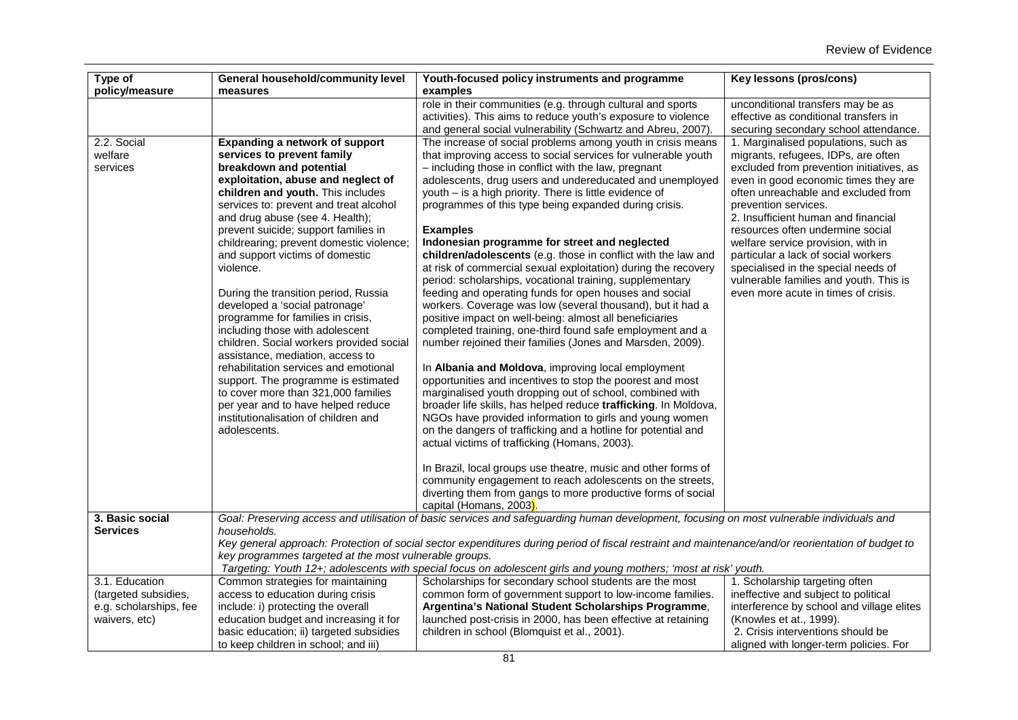| Type of<br>policy/measure | General household/community level<br>measures          | Youth-focused policy instruments and programme<br>examples                                                                                                                                   | Key lessons (pros/cons)                                                                                             |
|---------------------------|--------------------------------------------------------|----------------------------------------------------------------------------------------------------------------------------------------------------------------------------------------------|---------------------------------------------------------------------------------------------------------------------|
|                           |                                                        | role in their communities (e.g. through cultural and sports<br>activities). This aims to reduce youth's exposure to violence<br>and general social vulnerability (Schwartz and Abreu, 2007). | unconditional transfers may be as<br>effective as conditional transfers in<br>securing secondary school attendance. |
| 2.2. Social               | Expanding a network of support                         | The increase of social problems among youth in crisis means                                                                                                                                  | 1. Marginalised populations, such as                                                                                |
| welfare                   | services to prevent family                             | that improving access to social services for vulnerable youth                                                                                                                                | migrants, refugees, IDPs, are often                                                                                 |
| services                  | breakdown and potential                                | - including those in conflict with the law, pregnant                                                                                                                                         | excluded from prevention initiatives, as                                                                            |
|                           | exploitation, abuse and neglect of                     | adolescents, drug users and undereducated and unemployed                                                                                                                                     | even in good economic times they are                                                                                |
|                           | children and youth. This includes                      | youth $-$ is a high priority. There is little evidence of                                                                                                                                    | often unreachable and excluded from                                                                                 |
|                           |                                                        |                                                                                                                                                                                              |                                                                                                                     |
|                           | services to: prevent and treat alcohol                 | programmes of this type being expanded during crisis.                                                                                                                                        | prevention services.                                                                                                |
|                           | and drug abuse (see 4. Health);                        |                                                                                                                                                                                              | 2. Insufficient human and financial                                                                                 |
|                           | prevent suicide; support families in                   | <b>Examples</b>                                                                                                                                                                              | resources often undermine social                                                                                    |
|                           | childrearing; prevent domestic violence;               | Indonesian programme for street and neglected                                                                                                                                                | welfare service provision, with in                                                                                  |
|                           | and support victims of domestic                        | children/adolescents (e.g. those in conflict with the law and                                                                                                                                | particular a lack of social workers                                                                                 |
|                           | violence.                                              | at risk of commercial sexual exploitation) during the recovery                                                                                                                               | specialised in the special needs of                                                                                 |
|                           |                                                        | period: scholarships, vocational training, supplementary                                                                                                                                     | vulnerable families and youth. This is                                                                              |
|                           | During the transition period, Russia                   | feeding and operating funds for open houses and social                                                                                                                                       | even more acute in times of crisis.                                                                                 |
|                           | developed a 'social patronage'                         | workers. Coverage was low (several thousand), but it had a                                                                                                                                   |                                                                                                                     |
|                           | programme for families in crisis,                      | positive impact on well-being: almost all beneficiaries                                                                                                                                      |                                                                                                                     |
|                           | including those with adolescent                        | completed training, one-third found safe employment and a                                                                                                                                    |                                                                                                                     |
|                           | children. Social workers provided social               | number rejoined their families (Jones and Marsden, 2009).                                                                                                                                    |                                                                                                                     |
|                           | assistance, mediation, access to                       |                                                                                                                                                                                              |                                                                                                                     |
|                           | rehabilitation services and emotional                  | In Albania and Moldova, improving local employment                                                                                                                                           |                                                                                                                     |
|                           | support. The programme is estimated                    | opportunities and incentives to stop the poorest and most                                                                                                                                    |                                                                                                                     |
|                           | to cover more than 321,000 families                    | marginalised youth dropping out of school, combined with                                                                                                                                     |                                                                                                                     |
|                           | per year and to have helped reduce                     | broader life skills, has helped reduce trafficking. In Moldova,                                                                                                                              |                                                                                                                     |
|                           | institutionalisation of children and                   | NGOs have provided information to girls and young women                                                                                                                                      |                                                                                                                     |
|                           | adolescents.                                           | on the dangers of trafficking and a hotline for potential and                                                                                                                                |                                                                                                                     |
|                           |                                                        | actual victims of trafficking (Homans, 2003).                                                                                                                                                |                                                                                                                     |
|                           |                                                        | In Brazil, local groups use theatre, music and other forms of                                                                                                                                |                                                                                                                     |
|                           |                                                        | community engagement to reach adolescents on the streets,                                                                                                                                    |                                                                                                                     |
|                           |                                                        | diverting them from gangs to more productive forms of social                                                                                                                                 |                                                                                                                     |
|                           |                                                        | capital (Homans, 2003).                                                                                                                                                                      |                                                                                                                     |
| 3. Basic social           |                                                        | Goal: Preserving access and utilisation of basic services and safeguarding human development, focusing on most vulnerable individuals and                                                    |                                                                                                                     |
| <b>Services</b>           | households.                                            |                                                                                                                                                                                              |                                                                                                                     |
|                           |                                                        | Key general approach: Protection of social sector expenditures during period of fiscal restraint and maintenance/and/or reorientation of budget to                                           |                                                                                                                     |
|                           | key programmes targeted at the most vulnerable groups. |                                                                                                                                                                                              |                                                                                                                     |
|                           |                                                        | Targeting: Youth 12+; adolescents with special focus on adolescent girls and young mothers; 'most at risk' youth.                                                                            |                                                                                                                     |
| 3.1. Education            | Common strategies for maintaining                      | Scholarships for secondary school students are the most                                                                                                                                      | 1. Scholarship targeting often                                                                                      |
| (targeted subsidies,      | access to education during crisis                      | common form of government support to low-income families.                                                                                                                                    | ineffective and subject to political                                                                                |
| e.g. scholarships, fee    | include: i) protecting the overall                     | Argentina's National Student Scholarships Programme,                                                                                                                                         | interference by school and village elites                                                                           |
| waivers, etc)             | education budget and increasing it for                 | launched post-crisis in 2000, has been effective at retaining                                                                                                                                | (Knowles et at., 1999).                                                                                             |
|                           | basic education; ii) targeted subsidies                | children in school (Blomquist et al., 2001).                                                                                                                                                 | 2. Crisis interventions should be                                                                                   |
|                           | to keep children in school; and iii)                   |                                                                                                                                                                                              | aligned with longer-term policies. For                                                                              |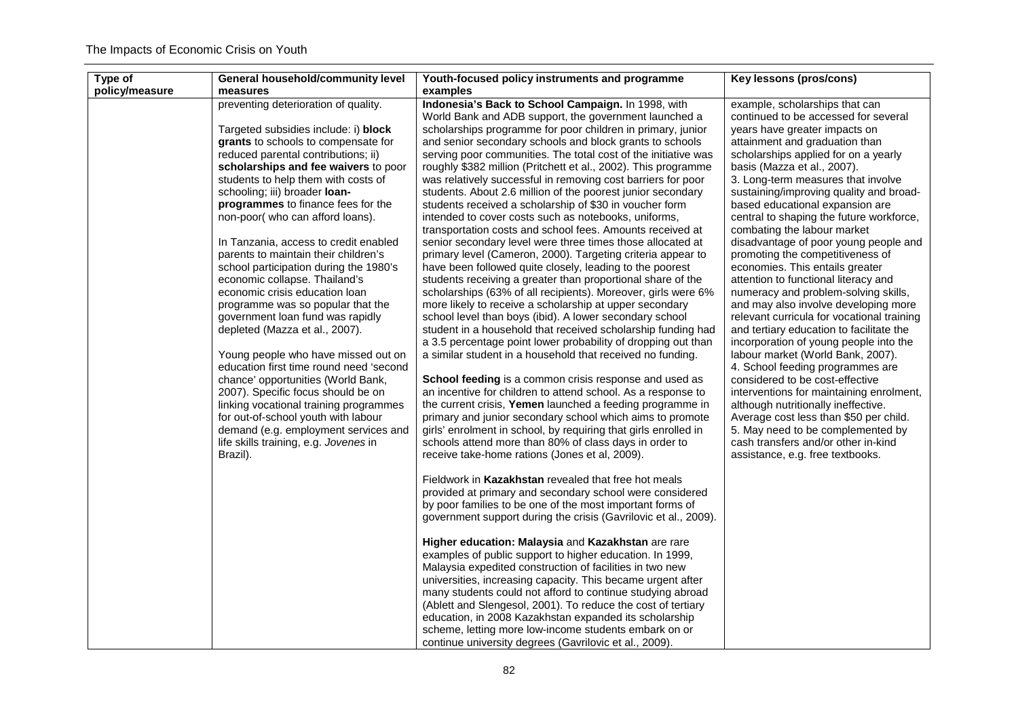| Type of        | General household/community level                                             | Youth-focused policy instruments and programme                                                                              | Key lessons (pros/cons)                                                       |
|----------------|-------------------------------------------------------------------------------|-----------------------------------------------------------------------------------------------------------------------------|-------------------------------------------------------------------------------|
| policy/measure | measures                                                                      | examples                                                                                                                    |                                                                               |
|                | preventing deterioration of quality.                                          | Indonesia's Back to School Campaign. In 1998, with                                                                          | example, scholarships that can                                                |
|                |                                                                               | World Bank and ADB support, the government launched a                                                                       | continued to be accessed for several                                          |
|                | Targeted subsidies include: i) block                                          | scholarships programme for poor children in primary, junior                                                                 | years have greater impacts on                                                 |
|                | grants to schools to compensate for                                           | and senior secondary schools and block grants to schools                                                                    | attainment and graduation than                                                |
|                | reduced parental contributions; ii)                                           | serving poor communities. The total cost of the initiative was                                                              | scholarships applied for on a yearly                                          |
|                | scholarships and fee waivers to poor                                          | roughly \$382 million (Pritchett et al., 2002). This programme                                                              | basis (Mazza et al., 2007).                                                   |
|                | students to help them with costs of<br>schooling; iii) broader loan-          | was relatively successful in removing cost barriers for poor<br>students. About 2.6 million of the poorest junior secondary | 3. Long-term measures that involve<br>sustaining/improving quality and broad- |
|                | programmes to finance fees for the                                            | students received a scholarship of \$30 in voucher form                                                                     | based educational expansion are                                               |
|                | non-poor( who can afford loans).                                              | intended to cover costs such as notebooks, uniforms,                                                                        | central to shaping the future workforce,                                      |
|                |                                                                               | transportation costs and school fees. Amounts received at                                                                   | combating the labour market                                                   |
|                | In Tanzania, access to credit enabled                                         | senior secondary level were three times those allocated at                                                                  | disadvantage of poor young people and                                         |
|                | parents to maintain their children's                                          | primary level (Cameron, 2000). Targeting criteria appear to                                                                 | promoting the competitiveness of                                              |
|                | school participation during the 1980's                                        | have been followed quite closely, leading to the poorest                                                                    | economies. This entails greater                                               |
|                | economic collapse. Thailand's                                                 | students receiving a greater than proportional share of the                                                                 | attention to functional literacy and                                          |
|                | economic crisis education loan                                                | scholarships (63% of all recipients). Moreover, girls were 6%                                                               | numeracy and problem-solving skills,                                          |
|                | programme was so popular that the                                             | more likely to receive a scholarship at upper secondary                                                                     | and may also involve developing more                                          |
|                | government loan fund was rapidly                                              | school level than boys (ibid). A lower secondary school                                                                     | relevant curricula for vocational training                                    |
|                | depleted (Mazza et al., 2007).                                                | student in a household that received scholarship funding had                                                                | and tertiary education to facilitate the                                      |
|                |                                                                               | a 3.5 percentage point lower probability of dropping out than                                                               | incorporation of young people into the                                        |
|                | Young people who have missed out on                                           | a similar student in a household that received no funding.                                                                  | labour market (World Bank, 2007).                                             |
|                | education first time round need 'second<br>chance' opportunities (World Bank, | School feeding is a common crisis response and used as                                                                      | 4. School feeding programmes are<br>considered to be cost-effective           |
|                | 2007). Specific focus should be on                                            | an incentive for children to attend school. As a response to                                                                | interventions for maintaining enrolment,                                      |
|                | linking vocational training programmes                                        | the current crisis, Yemen launched a feeding programme in                                                                   | although nutritionally ineffective.                                           |
|                | for out-of-school youth with labour                                           | primary and junior secondary school which aims to promote                                                                   | Average cost less than \$50 per child.                                        |
|                | demand (e.g. employment services and                                          | girls' enrolment in school, by requiring that girls enrolled in                                                             | 5. May need to be complemented by                                             |
|                | life skills training, e.g. Jovenes in                                         | schools attend more than 80% of class days in order to                                                                      | cash transfers and/or other in-kind                                           |
|                | Brazil).                                                                      | receive take-home rations (Jones et al, 2009).                                                                              | assistance, e.g. free textbooks.                                              |
|                |                                                                               |                                                                                                                             |                                                                               |
|                |                                                                               | Fieldwork in Kazakhstan revealed that free hot meals                                                                        |                                                                               |
|                |                                                                               | provided at primary and secondary school were considered<br>by poor families to be one of the most important forms of       |                                                                               |
|                |                                                                               | government support during the crisis (Gavrilovic et al., 2009).                                                             |                                                                               |
|                |                                                                               |                                                                                                                             |                                                                               |
|                |                                                                               | Higher education: Malaysia and Kazakhstan are rare                                                                          |                                                                               |
|                |                                                                               | examples of public support to higher education. In 1999,                                                                    |                                                                               |
|                |                                                                               | Malaysia expedited construction of facilities in two new                                                                    |                                                                               |
|                |                                                                               | universities, increasing capacity. This became urgent after                                                                 |                                                                               |
|                |                                                                               | many students could not afford to continue studying abroad                                                                  |                                                                               |
|                |                                                                               | (Ablett and Slengesol, 2001). To reduce the cost of tertiary                                                                |                                                                               |
|                |                                                                               | education, in 2008 Kazakhstan expanded its scholarship                                                                      |                                                                               |
|                |                                                                               | scheme, letting more low-income students embark on or                                                                       |                                                                               |
|                |                                                                               | continue university degrees (Gavrilovic et al., 2009).                                                                      |                                                                               |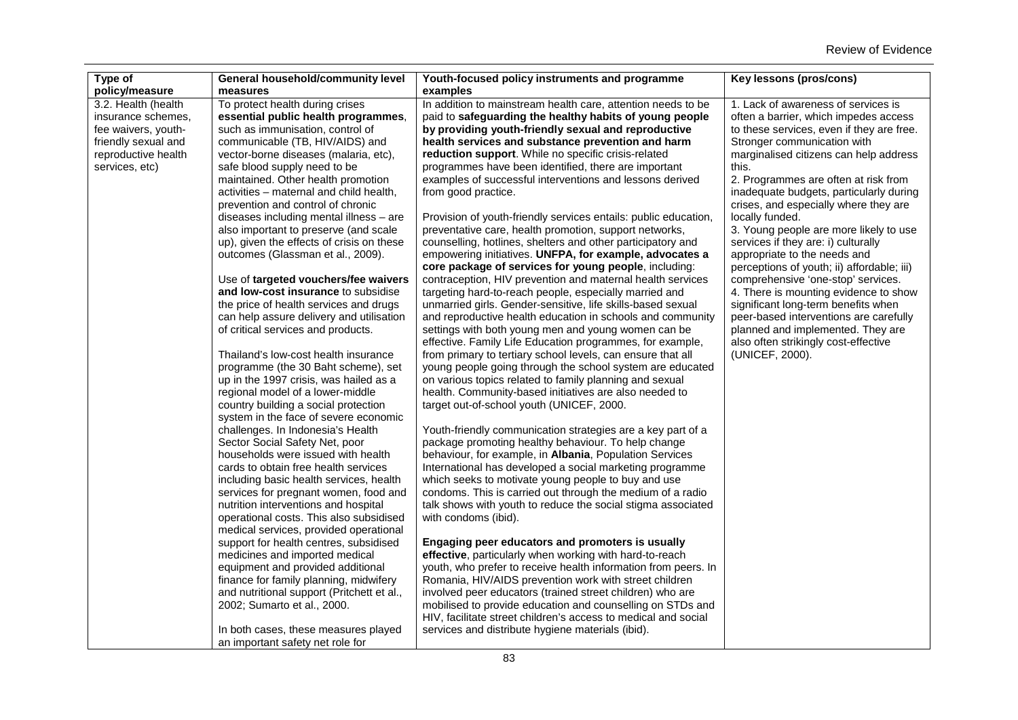| Type of<br>policy/measure | General household/community level<br>measures                              | Youth-focused policy instruments and programme<br>examples      | Key lessons (pros/cons)                    |
|---------------------------|----------------------------------------------------------------------------|-----------------------------------------------------------------|--------------------------------------------|
| 3.2. Health (health       | To protect health during crises                                            | In addition to mainstream health care, attention needs to be    | 1. Lack of awareness of services is        |
| insurance schemes.        | essential public health programmes,                                        | paid to safeguarding the healthy habits of young people         | often a barrier, which impedes access      |
| fee waivers, youth-       | such as immunisation, control of                                           | by providing youth-friendly sexual and reproductive             | to these services, even if they are free.  |
| friendly sexual and       | communicable (TB, HIV/AIDS) and                                            | health services and substance prevention and harm               | Stronger communication with                |
| reproductive health       | vector-borne diseases (malaria, etc),                                      | reduction support. While no specific crisis-related             | marginalised citizens can help address     |
| services, etc)            | safe blood supply need to be                                               | programmes have been identified, there are important            | this.                                      |
|                           | maintained. Other health promotion                                         | examples of successful interventions and lessons derived        | 2. Programmes are often at risk from       |
|                           | activities - maternal and child health,                                    | from good practice.                                             | inadequate budgets, particularly during    |
|                           | prevention and control of chronic                                          |                                                                 | crises, and especially where they are      |
|                           | diseases including mental illness - are                                    | Provision of youth-friendly services entails: public education, | locally funded.                            |
|                           | also important to preserve (and scale                                      | preventative care, health promotion, support networks,          | 3. Young people are more likely to use     |
|                           | up), given the effects of crisis on these                                  | counselling, hotlines, shelters and other participatory and     | services if they are: i) culturally        |
|                           | outcomes (Glassman et al., 2009).                                          | empowering initiatives. UNFPA, for example, advocates a         | appropriate to the needs and               |
|                           |                                                                            | core package of services for young people, including:           | perceptions of youth; ii) affordable; iii) |
|                           | Use of targeted vouchers/fee waivers                                       | contraception, HIV prevention and maternal health services      | comprehensive 'one-stop' services.         |
|                           | and low-cost insurance to subsidise                                        | targeting hard-to-reach people, especially married and          | 4. There is mounting evidence to show      |
|                           | the price of health services and drugs                                     | unmarried girls. Gender-sensitive, life skills-based sexual     | significant long-term benefits when        |
|                           | can help assure delivery and utilisation                                   | and reproductive health education in schools and community      | peer-based interventions are carefully     |
|                           | of critical services and products.                                         | settings with both young men and young women can be             | planned and implemented. They are          |
|                           |                                                                            | effective. Family Life Education programmes, for example,       | also often strikingly cost-effective       |
|                           | Thailand's low-cost health insurance                                       | from primary to tertiary school levels, can ensure that all     | (UNICEF, 2000).                            |
|                           | programme (the 30 Baht scheme), set                                        | young people going through the school system are educated       |                                            |
|                           | up in the 1997 crisis, was hailed as a                                     | on various topics related to family planning and sexual         |                                            |
|                           | regional model of a lower-middle                                           | health. Community-based initiatives are also needed to          |                                            |
|                           | country building a social protection                                       | target out-of-school youth (UNICEF, 2000.                       |                                            |
|                           | system in the face of severe economic<br>challenges. In Indonesia's Health | Youth-friendly communication strategies are a key part of a     |                                            |
|                           | Sector Social Safety Net, poor                                             | package promoting healthy behaviour. To help change             |                                            |
|                           | households were issued with health                                         | behaviour, for example, in Albania, Population Services         |                                            |
|                           | cards to obtain free health services                                       | International has developed a social marketing programme        |                                            |
|                           | including basic health services, health                                    | which seeks to motivate young people to buy and use             |                                            |
|                           | services for pregnant women, food and                                      | condoms. This is carried out through the medium of a radio      |                                            |
|                           | nutrition interventions and hospital                                       | talk shows with youth to reduce the social stigma associated    |                                            |
|                           | operational costs. This also subsidised                                    | with condoms (ibid).                                            |                                            |
|                           | medical services, provided operational                                     |                                                                 |                                            |
|                           | support for health centres, subsidised                                     | Engaging peer educators and promoters is usually                |                                            |
|                           | medicines and imported medical                                             | effective, particularly when working with hard-to-reach         |                                            |
|                           | equipment and provided additional                                          | youth, who prefer to receive health information from peers. In  |                                            |
|                           | finance for family planning, midwifery                                     | Romania, HIV/AIDS prevention work with street children          |                                            |
|                           | and nutritional support (Pritchett et al.,                                 | involved peer educators (trained street children) who are       |                                            |
|                           | 2002; Sumarto et al., 2000.                                                | mobilised to provide education and counselling on STDs and      |                                            |
|                           |                                                                            | HIV, facilitate street children's access to medical and social  |                                            |
|                           | In both cases, these measures played                                       | services and distribute hygiene materials (ibid).               |                                            |
|                           | an important safety net role for                                           |                                                                 |                                            |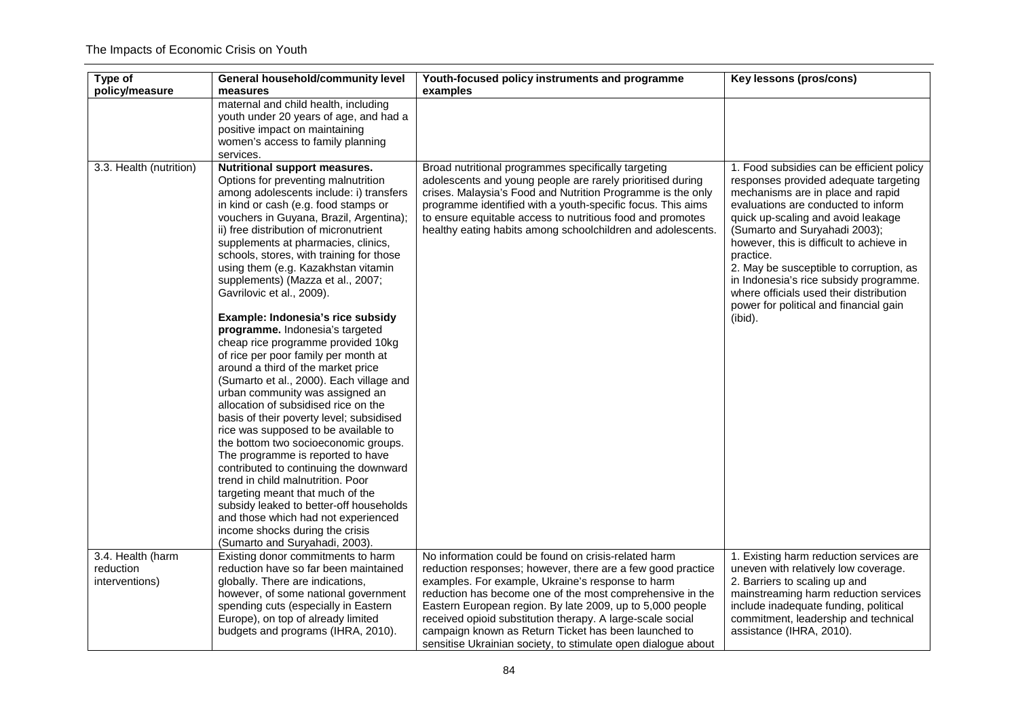| Type of<br>policy/measure                        | General household/community level<br>measures                                                                                                                                                                                                                                                                                                                                                                                                                                                                                                                                                                                                                                                                                                                                                                                                                                                                                                                                                                                                                                                                                                                                                          | Youth-focused policy instruments and programme<br>examples                                                                                                                                                                                                                                                                                                                                                                                                                                | Key lessons (pros/cons)                                                                                                                                                                                                                                                                                                                                                                                                                                                             |
|--------------------------------------------------|--------------------------------------------------------------------------------------------------------------------------------------------------------------------------------------------------------------------------------------------------------------------------------------------------------------------------------------------------------------------------------------------------------------------------------------------------------------------------------------------------------------------------------------------------------------------------------------------------------------------------------------------------------------------------------------------------------------------------------------------------------------------------------------------------------------------------------------------------------------------------------------------------------------------------------------------------------------------------------------------------------------------------------------------------------------------------------------------------------------------------------------------------------------------------------------------------------|-------------------------------------------------------------------------------------------------------------------------------------------------------------------------------------------------------------------------------------------------------------------------------------------------------------------------------------------------------------------------------------------------------------------------------------------------------------------------------------------|-------------------------------------------------------------------------------------------------------------------------------------------------------------------------------------------------------------------------------------------------------------------------------------------------------------------------------------------------------------------------------------------------------------------------------------------------------------------------------------|
|                                                  | maternal and child health, including<br>youth under 20 years of age, and had a<br>positive impact on maintaining<br>women's access to family planning<br>services.                                                                                                                                                                                                                                                                                                                                                                                                                                                                                                                                                                                                                                                                                                                                                                                                                                                                                                                                                                                                                                     |                                                                                                                                                                                                                                                                                                                                                                                                                                                                                           |                                                                                                                                                                                                                                                                                                                                                                                                                                                                                     |
| 3.3. Health (nutrition)                          | Nutritional support measures.<br>Options for preventing malnutrition<br>among adolescents include: i) transfers<br>in kind or cash (e.g. food stamps or<br>vouchers in Guyana, Brazil, Argentina);<br>ii) free distribution of micronutrient<br>supplements at pharmacies, clinics,<br>schools, stores, with training for those<br>using them (e.g. Kazakhstan vitamin<br>supplements) (Mazza et al., 2007;<br>Gavrilovic et al., 2009).<br>Example: Indonesia's rice subsidy<br>programme. Indonesia's targeted<br>cheap rice programme provided 10kg<br>of rice per poor family per month at<br>around a third of the market price<br>(Sumarto et al., 2000). Each village and<br>urban community was assigned an<br>allocation of subsidised rice on the<br>basis of their poverty level; subsidised<br>rice was supposed to be available to<br>the bottom two socioeconomic groups.<br>The programme is reported to have<br>contributed to continuing the downward<br>trend in child malnutrition. Poor<br>targeting meant that much of the<br>subsidy leaked to better-off households<br>and those which had not experienced<br>income shocks during the crisis<br>(Sumarto and Suryahadi, 2003). | Broad nutritional programmes specifically targeting<br>adolescents and young people are rarely prioritised during<br>crises. Malaysia's Food and Nutrition Programme is the only<br>programme identified with a youth-specific focus. This aims<br>to ensure equitable access to nutritious food and promotes<br>healthy eating habits among schoolchildren and adolescents.                                                                                                              | 1. Food subsidies can be efficient policy<br>responses provided adequate targeting<br>mechanisms are in place and rapid<br>evaluations are conducted to inform<br>quick up-scaling and avoid leakage<br>(Sumarto and Suryahadi 2003);<br>however, this is difficult to achieve in<br>practice.<br>2. May be susceptible to corruption, as<br>in Indonesia's rice subsidy programme.<br>where officials used their distribution<br>power for political and financial gain<br>(ibid). |
| 3.4. Health (harm<br>reduction<br>interventions) | Existing donor commitments to harm<br>reduction have so far been maintained<br>globally. There are indications,<br>however, of some national government<br>spending cuts (especially in Eastern<br>Europe), on top of already limited<br>budgets and programs (IHRA, 2010).                                                                                                                                                                                                                                                                                                                                                                                                                                                                                                                                                                                                                                                                                                                                                                                                                                                                                                                            | No information could be found on crisis-related harm<br>reduction responses; however, there are a few good practice<br>examples. For example, Ukraine's response to harm<br>reduction has become one of the most comprehensive in the<br>Eastern European region. By late 2009, up to 5,000 people<br>received opioid substitution therapy. A large-scale social<br>campaign known as Return Ticket has been launched to<br>sensitise Ukrainian society, to stimulate open dialogue about | 1. Existing harm reduction services are<br>uneven with relatively low coverage.<br>2. Barriers to scaling up and<br>mainstreaming harm reduction services<br>include inadequate funding, political<br>commitment, leadership and technical<br>assistance (IHRA, 2010).                                                                                                                                                                                                              |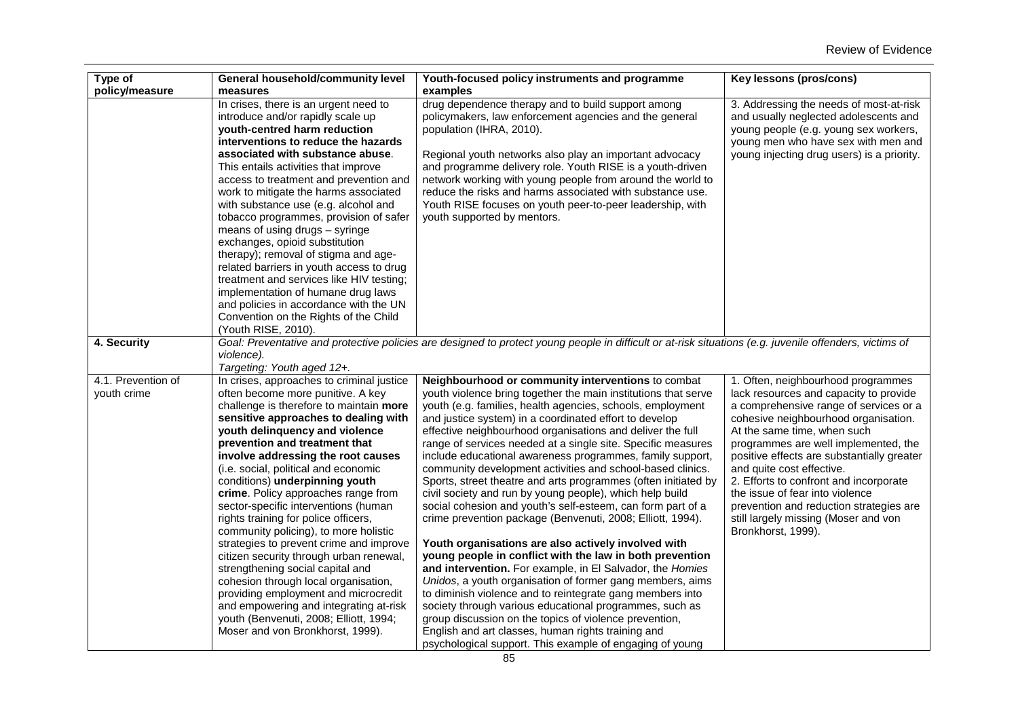| Type of<br>policy/measure         | General household/community level<br>measures                                                                                                                                                                                                                                                                                                                                                                                                                                                                                                                                                                                                                                                                                                                                                                                                          | Youth-focused policy instruments and programme<br>examples                                                                                                                                                                                                                                                                                                                                                                                                                                                                                                                                                                                                                                                                                                                                                                                                                                                                                                                                                                                                                                                                                                                                                                                                                                                        | Key lessons (pros/cons)                                                                                                                                                                                                                                                                                                                                                                                                                                                                                |
|-----------------------------------|--------------------------------------------------------------------------------------------------------------------------------------------------------------------------------------------------------------------------------------------------------------------------------------------------------------------------------------------------------------------------------------------------------------------------------------------------------------------------------------------------------------------------------------------------------------------------------------------------------------------------------------------------------------------------------------------------------------------------------------------------------------------------------------------------------------------------------------------------------|-------------------------------------------------------------------------------------------------------------------------------------------------------------------------------------------------------------------------------------------------------------------------------------------------------------------------------------------------------------------------------------------------------------------------------------------------------------------------------------------------------------------------------------------------------------------------------------------------------------------------------------------------------------------------------------------------------------------------------------------------------------------------------------------------------------------------------------------------------------------------------------------------------------------------------------------------------------------------------------------------------------------------------------------------------------------------------------------------------------------------------------------------------------------------------------------------------------------------------------------------------------------------------------------------------------------|--------------------------------------------------------------------------------------------------------------------------------------------------------------------------------------------------------------------------------------------------------------------------------------------------------------------------------------------------------------------------------------------------------------------------------------------------------------------------------------------------------|
|                                   | In crises, there is an urgent need to<br>introduce and/or rapidly scale up<br>youth-centred harm reduction<br>interventions to reduce the hazards<br>associated with substance abuse.<br>This entails activities that improve<br>access to treatment and prevention and<br>work to mitigate the harms associated<br>with substance use (e.g. alcohol and<br>tobacco programmes, provision of safer<br>means of using drugs - syringe<br>exchanges, opioid substitution<br>therapy); removal of stigma and age-<br>related barriers in youth access to drug<br>treatment and services like HIV testing;<br>implementation of humane drug laws<br>and policies in accordance with the UN<br>Convention on the Rights of the Child<br>(Youth RISE, 2010).                                                                                                 | drug dependence therapy and to build support among<br>policymakers, law enforcement agencies and the general<br>population (IHRA, 2010).<br>Regional youth networks also play an important advocacy<br>and programme delivery role. Youth RISE is a youth-driven<br>network working with young people from around the world to<br>reduce the risks and harms associated with substance use.<br>Youth RISE focuses on youth peer-to-peer leadership, with<br>youth supported by mentors.                                                                                                                                                                                                                                                                                                                                                                                                                                                                                                                                                                                                                                                                                                                                                                                                                           | 3. Addressing the needs of most-at-risk<br>and usually neglected adolescents and<br>young people (e.g. young sex workers,<br>young men who have sex with men and<br>young injecting drug users) is a priority.                                                                                                                                                                                                                                                                                         |
| 4. Security                       | violence).<br>Targeting: Youth aged 12+.                                                                                                                                                                                                                                                                                                                                                                                                                                                                                                                                                                                                                                                                                                                                                                                                               | Goal: Preventative and protective policies are designed to protect young people in difficult or at-risk situations (e.g. juvenile offenders, victims of                                                                                                                                                                                                                                                                                                                                                                                                                                                                                                                                                                                                                                                                                                                                                                                                                                                                                                                                                                                                                                                                                                                                                           |                                                                                                                                                                                                                                                                                                                                                                                                                                                                                                        |
| 4.1. Prevention of<br>youth crime | In crises, approaches to criminal justice<br>often become more punitive. A key<br>challenge is therefore to maintain more<br>sensitive approaches to dealing with<br>youth delinguency and violence<br>prevention and treatment that<br>involve addressing the root causes<br>(i.e. social, political and economic<br>conditions) underpinning youth<br>crime. Policy approaches range from<br>sector-specific interventions (human<br>rights training for police officers,<br>community policing), to more holistic<br>strategies to prevent crime and improve<br>citizen security through urban renewal,<br>strengthening social capital and<br>cohesion through local organisation,<br>providing employment and microcredit<br>and empowering and integrating at-risk<br>youth (Benvenuti, 2008; Elliott, 1994;<br>Moser and von Bronkhorst, 1999). | Neighbourhood or community interventions to combat<br>youth violence bring together the main institutions that serve<br>youth (e.g. families, health agencies, schools, employment<br>and justice system) in a coordinated effort to develop<br>effective neighbourhood organisations and deliver the full<br>range of services needed at a single site. Specific measures<br>include educational awareness programmes, family support,<br>community development activities and school-based clinics.<br>Sports, street theatre and arts programmes (often initiated by<br>civil society and run by young people), which help build<br>social cohesion and youth's self-esteem, can form part of a<br>crime prevention package (Benvenuti, 2008; Elliott, 1994).<br>Youth organisations are also actively involved with<br>young people in conflict with the law in both prevention<br>and intervention. For example, in El Salvador, the Homies<br>Unidos, a youth organisation of former gang members, aims<br>to diminish violence and to reintegrate gang members into<br>society through various educational programmes, such as<br>group discussion on the topics of violence prevention,<br>English and art classes, human rights training and<br>psychological support. This example of engaging of young | 1. Often, neighbourhood programmes<br>lack resources and capacity to provide<br>a comprehensive range of services or a<br>cohesive neighbourhood organisation.<br>At the same time, when such<br>programmes are well implemented, the<br>positive effects are substantially greater<br>and quite cost effective.<br>2. Efforts to confront and incorporate<br>the issue of fear into violence<br>prevention and reduction strategies are<br>still largely missing (Moser and von<br>Bronkhorst, 1999). |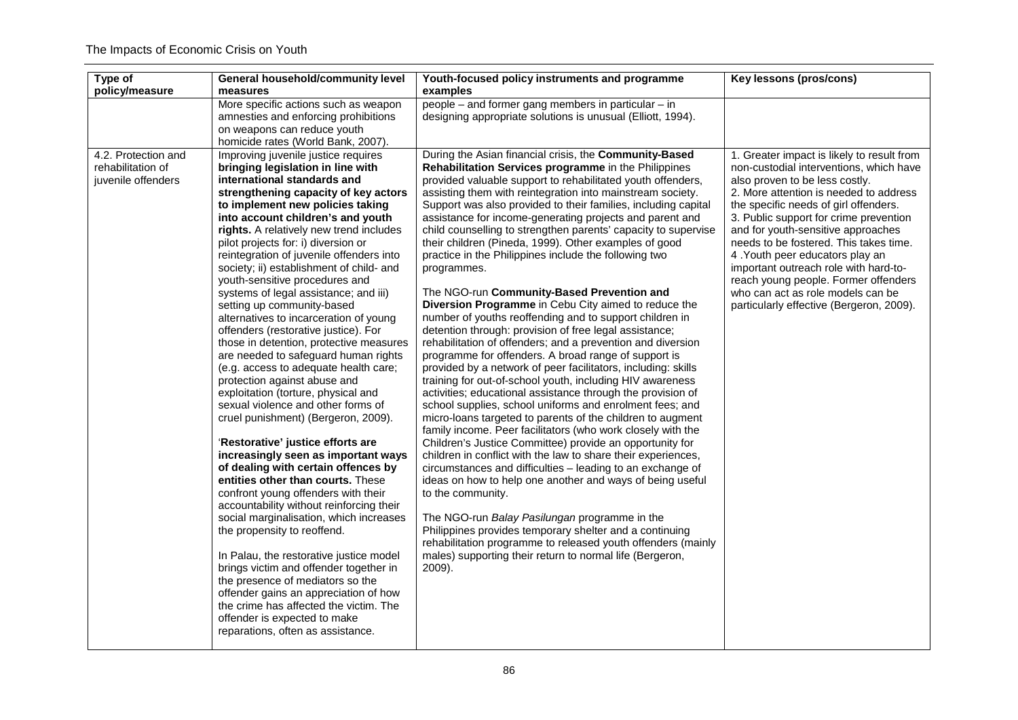| Type of<br>policy/measure                                      | <b>General household/community level</b><br>measures                                                                                                                                                                                                                                                                                                                                                                                                                                                                                                                                                                                                                                                                                                                                                                                                                                                                                                                                                                                                                                                                                                                                                                                                                                                                                                                                                                                                                                | Youth-focused policy instruments and programme<br>examples                                                                                                                                                                                                                                                                                                                                                                                                                                                                                                                                                                                                                                                                                                                                                                                                                                                                                                                                                                                                                                                                                                                                                                                                                                                                                                                                                                                                                                                                                                                                                                                                                                                                                                                                                                                          | Key lessons (pros/cons)                                                                                                                                                                                                                                                                                                                                                                                                                                                                                                                   |
|----------------------------------------------------------------|-------------------------------------------------------------------------------------------------------------------------------------------------------------------------------------------------------------------------------------------------------------------------------------------------------------------------------------------------------------------------------------------------------------------------------------------------------------------------------------------------------------------------------------------------------------------------------------------------------------------------------------------------------------------------------------------------------------------------------------------------------------------------------------------------------------------------------------------------------------------------------------------------------------------------------------------------------------------------------------------------------------------------------------------------------------------------------------------------------------------------------------------------------------------------------------------------------------------------------------------------------------------------------------------------------------------------------------------------------------------------------------------------------------------------------------------------------------------------------------|-----------------------------------------------------------------------------------------------------------------------------------------------------------------------------------------------------------------------------------------------------------------------------------------------------------------------------------------------------------------------------------------------------------------------------------------------------------------------------------------------------------------------------------------------------------------------------------------------------------------------------------------------------------------------------------------------------------------------------------------------------------------------------------------------------------------------------------------------------------------------------------------------------------------------------------------------------------------------------------------------------------------------------------------------------------------------------------------------------------------------------------------------------------------------------------------------------------------------------------------------------------------------------------------------------------------------------------------------------------------------------------------------------------------------------------------------------------------------------------------------------------------------------------------------------------------------------------------------------------------------------------------------------------------------------------------------------------------------------------------------------------------------------------------------------------------------------------------------------|-------------------------------------------------------------------------------------------------------------------------------------------------------------------------------------------------------------------------------------------------------------------------------------------------------------------------------------------------------------------------------------------------------------------------------------------------------------------------------------------------------------------------------------------|
|                                                                | More specific actions such as weapon<br>amnesties and enforcing prohibitions<br>on weapons can reduce youth<br>homicide rates (World Bank, 2007).                                                                                                                                                                                                                                                                                                                                                                                                                                                                                                                                                                                                                                                                                                                                                                                                                                                                                                                                                                                                                                                                                                                                                                                                                                                                                                                                   | people - and former gang members in particular - in<br>designing appropriate solutions is unusual (Elliott, 1994).                                                                                                                                                                                                                                                                                                                                                                                                                                                                                                                                                                                                                                                                                                                                                                                                                                                                                                                                                                                                                                                                                                                                                                                                                                                                                                                                                                                                                                                                                                                                                                                                                                                                                                                                  |                                                                                                                                                                                                                                                                                                                                                                                                                                                                                                                                           |
| 4.2. Protection and<br>rehabilitation of<br>juvenile offenders | Improving juvenile justice requires<br>bringing legislation in line with<br>international standards and<br>strengthening capacity of key actors<br>to implement new policies taking<br>into account children's and youth<br>rights. A relatively new trend includes<br>pilot projects for: i) diversion or<br>reintegration of juvenile offenders into<br>society; ii) establishment of child- and<br>youth-sensitive procedures and<br>systems of legal assistance; and iii)<br>setting up community-based<br>alternatives to incarceration of young<br>offenders (restorative justice). For<br>those in detention, protective measures<br>are needed to safeguard human rights<br>(e.g. access to adequate health care;<br>protection against abuse and<br>exploitation (torture, physical and<br>sexual violence and other forms of<br>cruel punishment) (Bergeron, 2009).<br>'Restorative' justice efforts are<br>increasingly seen as important ways<br>of dealing with certain offences by<br>entities other than courts. These<br>confront young offenders with their<br>accountability without reinforcing their<br>social marginalisation, which increases<br>the propensity to reoffend.<br>In Palau, the restorative justice model<br>brings victim and offender together in<br>the presence of mediators so the<br>offender gains an appreciation of how<br>the crime has affected the victim. The<br>offender is expected to make<br>reparations, often as assistance. | During the Asian financial crisis, the Community-Based<br>Rehabilitation Services programme in the Philippines<br>provided valuable support to rehabilitated youth offenders,<br>assisting them with reintegration into mainstream society.<br>Support was also provided to their families, including capital<br>assistance for income-generating projects and parent and<br>child counselling to strengthen parents' capacity to supervise<br>their children (Pineda, 1999). Other examples of good<br>practice in the Philippines include the following two<br>programmes.<br>The NGO-run Community-Based Prevention and<br>Diversion Programme in Cebu City aimed to reduce the<br>number of youths reoffending and to support children in<br>detention through: provision of free legal assistance;<br>rehabilitation of offenders; and a prevention and diversion<br>programme for offenders. A broad range of support is<br>provided by a network of peer facilitators, including: skills<br>training for out-of-school youth, including HIV awareness<br>activities; educational assistance through the provision of<br>school supplies, school uniforms and enrolment fees; and<br>micro-loans targeted to parents of the children to augment<br>family income. Peer facilitators (who work closely with the<br>Children's Justice Committee) provide an opportunity for<br>children in conflict with the law to share their experiences,<br>circumstances and difficulties - leading to an exchange of<br>ideas on how to help one another and ways of being useful<br>to the community.<br>The NGO-run Balay Pasilungan programme in the<br>Philippines provides temporary shelter and a continuing<br>rehabilitation programme to released youth offenders (mainly<br>males) supporting their return to normal life (Bergeron,<br>2009). | 1. Greater impact is likely to result from<br>non-custodial interventions, which have<br>also proven to be less costly.<br>2. More attention is needed to address<br>the specific needs of girl offenders.<br>3. Public support for crime prevention<br>and for youth-sensitive approaches<br>needs to be fostered. This takes time.<br>4. Youth peer educators play an<br>important outreach role with hard-to-<br>reach young people. Former offenders<br>who can act as role models can be<br>particularly effective (Bergeron, 2009). |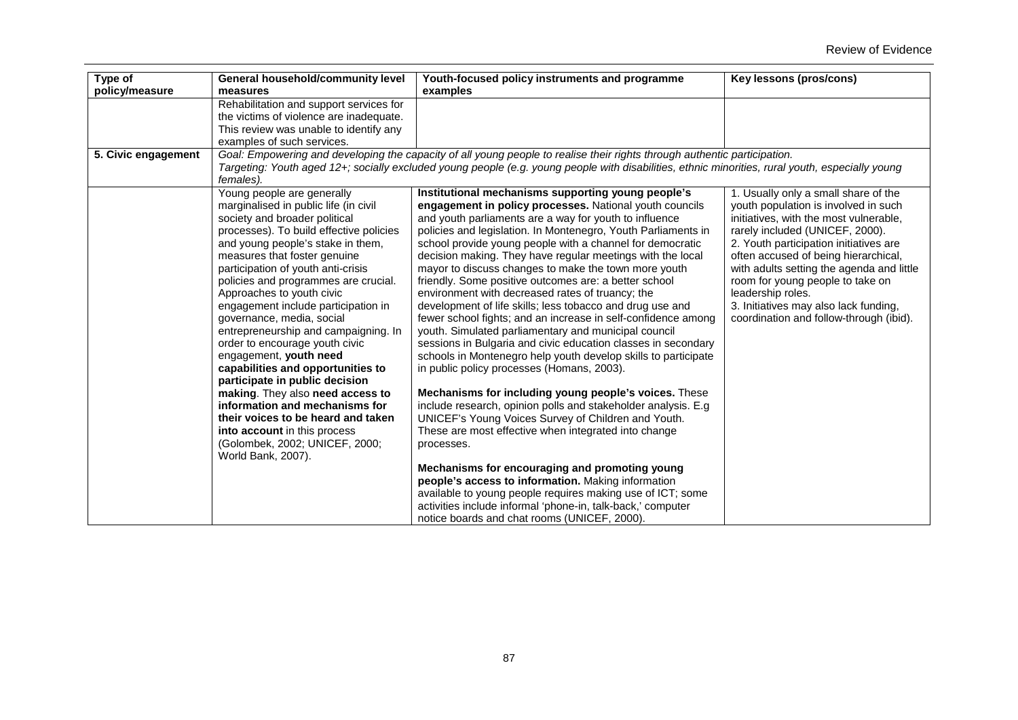| Type of             | <b>General household/community level</b>                           | Youth-focused policy instruments and programme                                                                                                                                                                                                                                | Key lessons (pros/cons)                   |
|---------------------|--------------------------------------------------------------------|-------------------------------------------------------------------------------------------------------------------------------------------------------------------------------------------------------------------------------------------------------------------------------|-------------------------------------------|
| policy/measure      | measures                                                           | examples                                                                                                                                                                                                                                                                      |                                           |
|                     | Rehabilitation and support services for                            |                                                                                                                                                                                                                                                                               |                                           |
|                     | the victims of violence are inadequate.                            |                                                                                                                                                                                                                                                                               |                                           |
|                     | This review was unable to identify any                             |                                                                                                                                                                                                                                                                               |                                           |
|                     | examples of such services.                                         |                                                                                                                                                                                                                                                                               |                                           |
| 5. Civic engagement | females).                                                          | Goal: Empowering and developing the capacity of all young people to realise their rights through authentic participation.<br>Targeting: Youth aged 12+; socially excluded young people (e.g. young people with disabilities, ethnic minorities, rural youth, especially young |                                           |
|                     | Young people are generally                                         | Institutional mechanisms supporting young people's                                                                                                                                                                                                                            | 1. Usually only a small share of the      |
|                     | marginalised in public life (in civil                              | engagement in policy processes. National youth councils                                                                                                                                                                                                                       | youth population is involved in such      |
|                     | society and broader political                                      | and youth parliaments are a way for youth to influence                                                                                                                                                                                                                        | initiatives, with the most vulnerable,    |
|                     | processes). To build effective policies                            | policies and legislation. In Montenegro, Youth Parliaments in                                                                                                                                                                                                                 | rarely included (UNICEF, 2000).           |
|                     | and young people's stake in them,                                  | school provide young people with a channel for democratic                                                                                                                                                                                                                     | 2. Youth participation initiatives are    |
|                     | measures that foster genuine                                       | decision making. They have regular meetings with the local                                                                                                                                                                                                                    | often accused of being hierarchical,      |
|                     | participation of youth anti-crisis                                 | mayor to discuss changes to make the town more youth                                                                                                                                                                                                                          | with adults setting the agenda and little |
|                     | policies and programmes are crucial.                               | friendly. Some positive outcomes are: a better school                                                                                                                                                                                                                         | room for young people to take on          |
|                     | Approaches to youth civic                                          | environment with decreased rates of truancy; the                                                                                                                                                                                                                              | leadership roles.                         |
|                     | engagement include participation in                                | development of life skills; less tobacco and drug use and                                                                                                                                                                                                                     | 3. Initiatives may also lack funding,     |
|                     | governance, media, social                                          | fewer school fights; and an increase in self-confidence among                                                                                                                                                                                                                 | coordination and follow-through (ibid).   |
|                     | entrepreneurship and campaigning. In                               | youth. Simulated parliamentary and municipal council                                                                                                                                                                                                                          |                                           |
|                     | order to encourage youth civic                                     | sessions in Bulgaria and civic education classes in secondary                                                                                                                                                                                                                 |                                           |
|                     | engagement, youth need                                             | schools in Montenegro help youth develop skills to participate                                                                                                                                                                                                                |                                           |
|                     | capabilities and opportunities to                                  | in public policy processes (Homans, 2003).                                                                                                                                                                                                                                    |                                           |
|                     | participate in public decision                                     |                                                                                                                                                                                                                                                                               |                                           |
|                     | making. They also need access to<br>information and mechanisms for | Mechanisms for including young people's voices. These                                                                                                                                                                                                                         |                                           |
|                     | their voices to be heard and taken                                 | include research, opinion polls and stakeholder analysis. E.g                                                                                                                                                                                                                 |                                           |
|                     |                                                                    | UNICEF's Young Voices Survey of Children and Youth.                                                                                                                                                                                                                           |                                           |
|                     | into account in this process                                       | These are most effective when integrated into change                                                                                                                                                                                                                          |                                           |
|                     | (Golombek, 2002; UNICEF, 2000;                                     | processes.                                                                                                                                                                                                                                                                    |                                           |
|                     | World Bank, 2007).                                                 | Mechanisms for encouraging and promoting young                                                                                                                                                                                                                                |                                           |
|                     |                                                                    | people's access to information. Making information                                                                                                                                                                                                                            |                                           |
|                     |                                                                    | available to young people requires making use of ICT; some                                                                                                                                                                                                                    |                                           |
|                     |                                                                    | activities include informal 'phone-in, talk-back,' computer                                                                                                                                                                                                                   |                                           |
|                     |                                                                    | notice boards and chat rooms (UNICEF, 2000).                                                                                                                                                                                                                                  |                                           |
|                     |                                                                    |                                                                                                                                                                                                                                                                               |                                           |